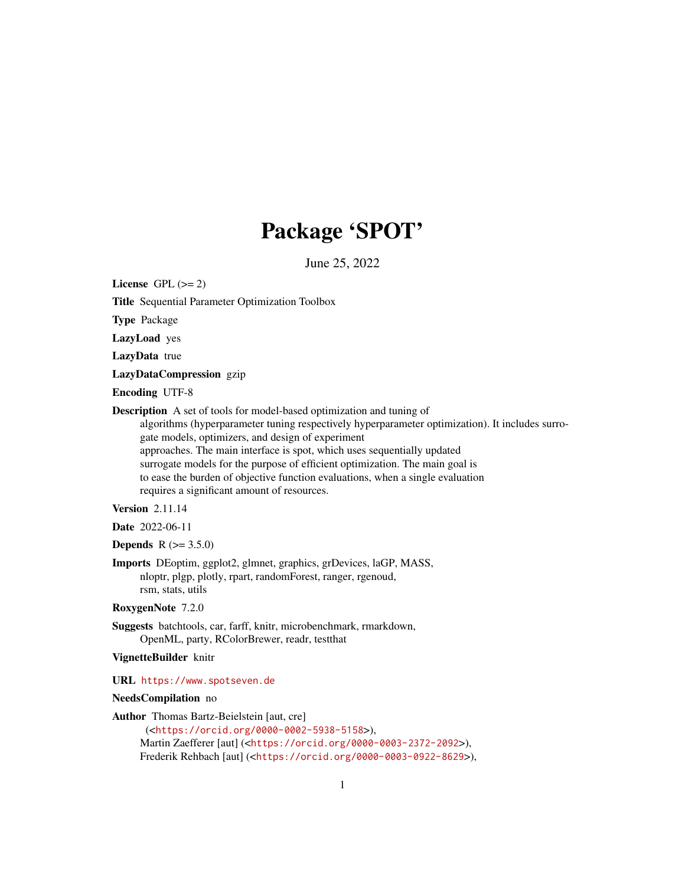# Package 'SPOT'

June 25, 2022

<span id="page-0-0"></span>License GPL  $(>= 2)$ 

Title Sequential Parameter Optimization Toolbox

Type Package

LazyLoad yes

LazyData true

LazyDataCompression gzip

Encoding UTF-8

Description A set of tools for model-based optimization and tuning of

algorithms (hyperparameter tuning respectively hyperparameter optimization). It includes surrogate models, optimizers, and design of experiment approaches. The main interface is spot, which uses sequentially updated surrogate models for the purpose of efficient optimization. The main goal is to ease the burden of objective function evaluations, when a single evaluation requires a significant amount of resources.

# Version 2.11.14

Date 2022-06-11

# **Depends**  $R$  ( $>= 3.5.0$ )

Imports DEoptim, ggplot2, glmnet, graphics, grDevices, laGP, MASS, nloptr, plgp, plotly, rpart, randomForest, ranger, rgenoud, rsm, stats, utils

RoxygenNote 7.2.0

Suggests batchtools, car, farff, knitr, microbenchmark, rmarkdown, OpenML, party, RColorBrewer, readr, testthat

#### VignetteBuilder knitr

URL <https://www.spotseven.de>

# NeedsCompilation no

Author Thomas Bartz-Beielstein [aut, cre]

(<<https://orcid.org/0000-0002-5938-5158>>), Martin Zaefferer [aut] (<<https://orcid.org/0000-0003-2372-2092>>), Frederik Rehbach [aut] (<<https://orcid.org/0000-0003-0922-8629>>),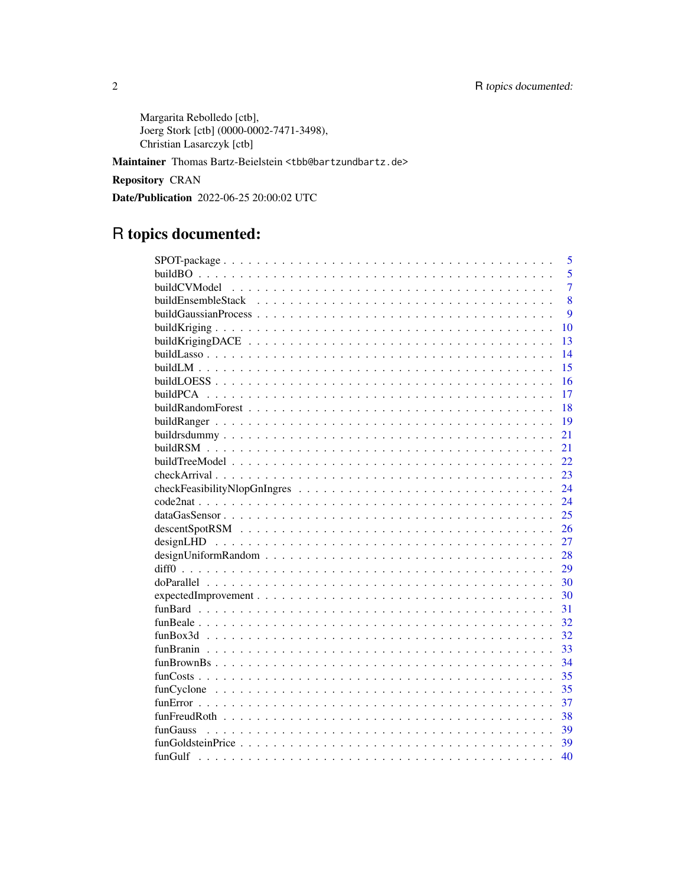Margarita Rebolledo [ctb], Joerg Stork [ctb] (0000-0002-7471-3498), Christian Lasarczyk [ctb]

Maintainer Thomas Bartz-Beielstein <tbb@bartzundbartz.de>

Repository CRAN

Date/Publication 2022-06-25 20:00:02 UTC

# R topics documented:

| 5              |
|----------------|
| 5              |
| 7              |
| 8              |
| 9              |
| 10             |
| 13             |
| 14             |
| 15             |
| 16             |
| 17             |
| 18             |
| 19             |
| 21             |
| 21             |
| 22             |
| 23             |
| 24             |
| 24             |
| 25             |
| 26             |
| 27             |
| 28             |
| 29             |
| 30             |
| 30             |
| 31             |
| 32             |
| 32             |
| 33             |
| 34             |
| 35             |
| 35             |
| 37             |
| 38             |
| funGauss<br>39 |
| 39             |
| 40             |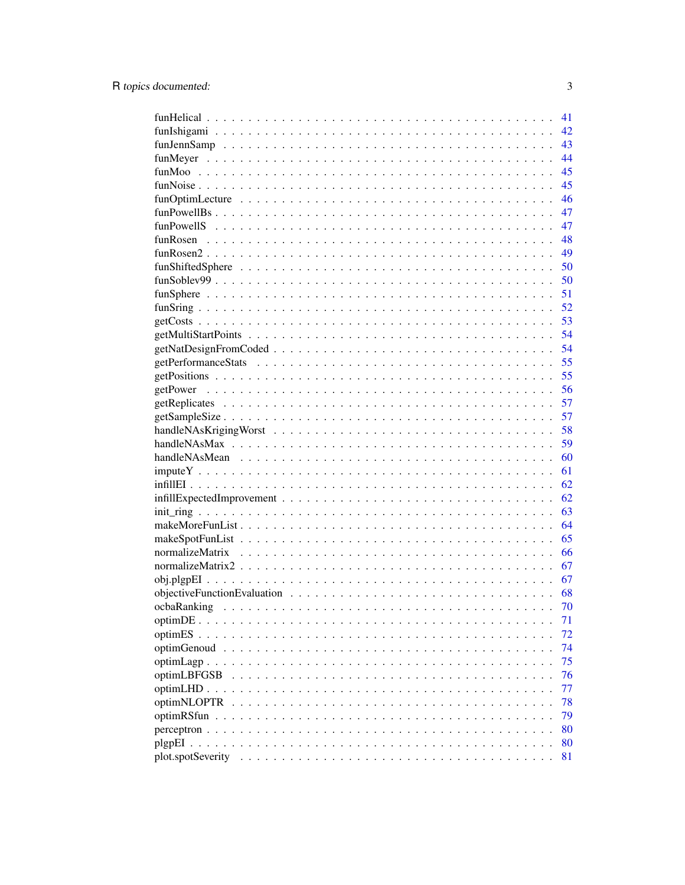|                                     | 41 |
|-------------------------------------|----|
|                                     | 42 |
|                                     | 43 |
|                                     | 44 |
|                                     | 45 |
|                                     | 45 |
|                                     | 46 |
|                                     | 47 |
|                                     | 47 |
|                                     | 48 |
|                                     | 49 |
|                                     | 50 |
|                                     | 50 |
|                                     | 51 |
|                                     | 52 |
|                                     | 53 |
|                                     | 54 |
|                                     | 54 |
|                                     | 55 |
|                                     | 55 |
|                                     | 56 |
|                                     | 57 |
|                                     | 57 |
|                                     | 58 |
|                                     | 59 |
|                                     | 60 |
|                                     | 61 |
|                                     | 62 |
|                                     | 62 |
|                                     | 63 |
|                                     | 64 |
|                                     | 65 |
|                                     | 66 |
|                                     | 67 |
|                                     | 67 |
|                                     | 68 |
|                                     | 70 |
|                                     | 71 |
| optim $ES \ldots$ .                 | 72 |
| optimGenoud<br>$\ddot{\phantom{a}}$ | 74 |
| optimLagn<br>$\ddots$               | 75 |
| optimLBFGSB                         | 76 |
| $optimLHD \ldots$                   | 77 |
| optimNLOPTR                         | 78 |
| optimRSfun                          | 79 |
|                                     | 80 |
|                                     | 80 |
| plot.spotSeverity                   | 81 |
|                                     |    |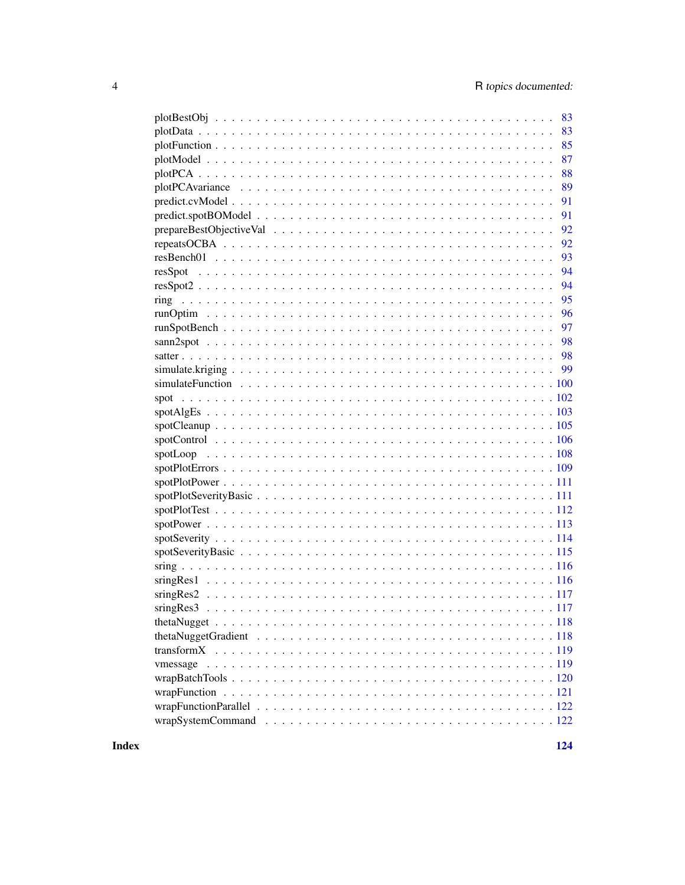| 83 |
|----|
| 83 |
| 85 |
| 87 |
| 88 |
| 89 |
| 91 |
| 91 |
| 92 |
| 92 |
| 93 |
| 94 |
| 94 |
| 95 |
| 96 |
| 97 |
|    |
|    |
|    |
|    |
|    |
|    |
|    |
|    |
|    |
|    |
|    |
|    |
|    |
|    |
|    |
|    |
|    |
|    |
|    |
|    |
|    |
|    |
|    |
|    |
|    |
|    |
|    |
|    |
|    |

**Index**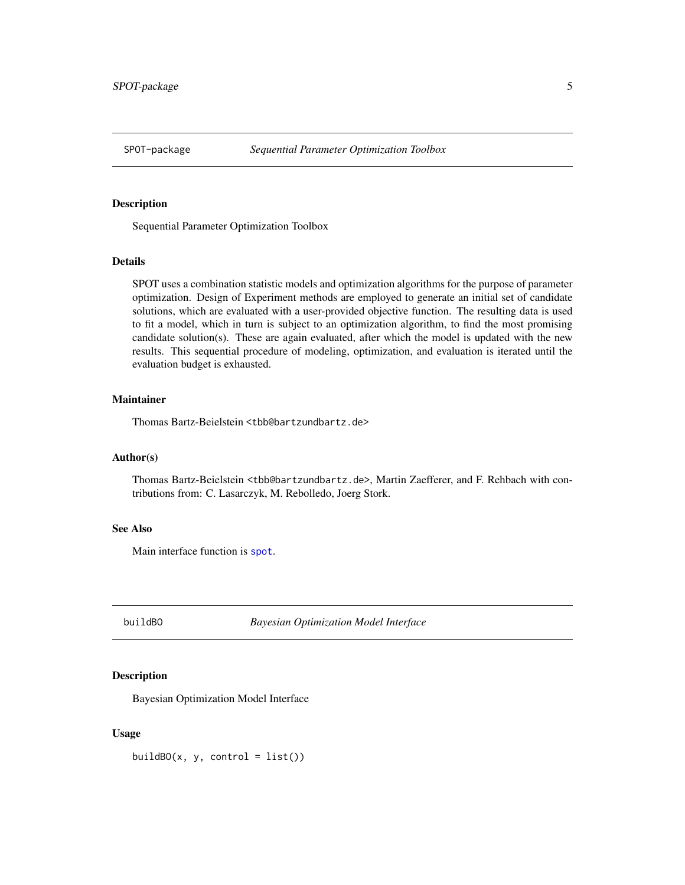<span id="page-4-0"></span>

Sequential Parameter Optimization Toolbox

#### Details

SPOT uses a combination statistic models and optimization algorithms for the purpose of parameter optimization. Design of Experiment methods are employed to generate an initial set of candidate solutions, which are evaluated with a user-provided objective function. The resulting data is used to fit a model, which in turn is subject to an optimization algorithm, to find the most promising candidate solution(s). These are again evaluated, after which the model is updated with the new results. This sequential procedure of modeling, optimization, and evaluation is iterated until the evaluation budget is exhausted.

# Maintainer

Thomas Bartz-Beielstein <tbb@bartzundbartz.de>

#### Author(s)

Thomas Bartz-Beielstein <tbb@bartzundbartz.de>, Martin Zaefferer, and F. Rehbach with contributions from: C. Lasarczyk, M. Rebolledo, Joerg Stork.

## See Also

Main interface function is [spot](#page-101-1).

buildBO *Bayesian Optimization Model Interface*

# Description

Bayesian Optimization Model Interface

#### Usage

 $buildBO(x, y, control = list())$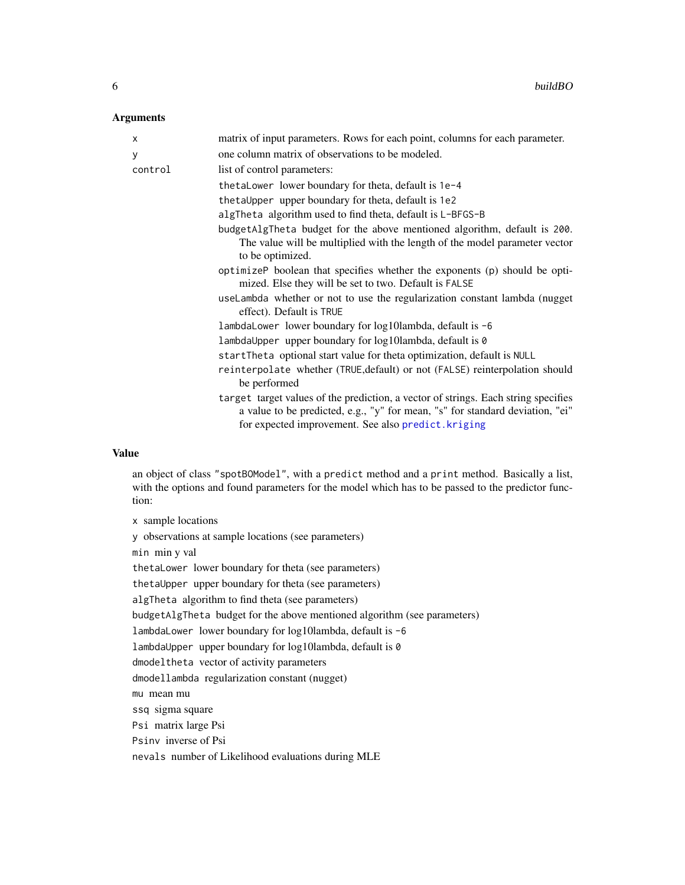#### Arguments

| X       | matrix of input parameters. Rows for each point, columns for each parameter.                                                                                                                                               |
|---------|----------------------------------------------------------------------------------------------------------------------------------------------------------------------------------------------------------------------------|
| У       | one column matrix of observations to be modeled.                                                                                                                                                                           |
| control | list of control parameters:                                                                                                                                                                                                |
|         | thetaLower lower boundary for theta, default is 1e-4                                                                                                                                                                       |
|         | the tall pper upper boundary for the ta, default is 1e2                                                                                                                                                                    |
|         | algTheta algorithm used to find theta, default is L-BFGS-B                                                                                                                                                                 |
|         | budgetAlgTheta budget for the above mentioned algorithm, default is 200.<br>The value will be multiplied with the length of the model parameter vector<br>to be optimized.                                                 |
|         | optimizeP boolean that specifies whether the exponents (p) should be opti-<br>mized. Else they will be set to two. Default is FALSE                                                                                        |
|         | useLambda whether or not to use the regularization constant lambda (nugget<br>effect). Default is TRUE                                                                                                                     |
|         | lambdaLower lower boundary for log10lambda, default is -6                                                                                                                                                                  |
|         | lambdaUpper upper boundary for log10lambda, default is 0                                                                                                                                                                   |
|         | startTheta optional start value for theta optimization, default is NULL                                                                                                                                                    |
|         | reinterpolate whether (TRUE, default) or not (FALSE) reinterpolation should<br>be performed                                                                                                                                |
|         | target target values of the prediction, a vector of strings. Each string specifies<br>a value to be predicted, e.g., "y" for mean, "s" for standard deviation, "ei"<br>for expected improvement. See also predict. kriging |

# Value

an object of class "spotBOModel", with a predict method and a print method. Basically a list, with the options and found parameters for the model which has to be passed to the predictor function:

x sample locations

y observations at sample locations (see parameters)

min min y val

thetaLower lower boundary for theta (see parameters)

thetaUpper upper boundary for theta (see parameters)

algTheta algorithm to find theta (see parameters)

budgetAlgTheta budget for the above mentioned algorithm (see parameters)

lambdaLower lower boundary for log10lambda, default is -6

lambdaUpper upper boundary for log10lambda, default is 0

dmodeltheta vector of activity parameters

dmodellambda regularization constant (nugget)

mu mean mu

ssq sigma square

Psi matrix large Psi

Psinv inverse of Psi

nevals number of Likelihood evaluations during MLE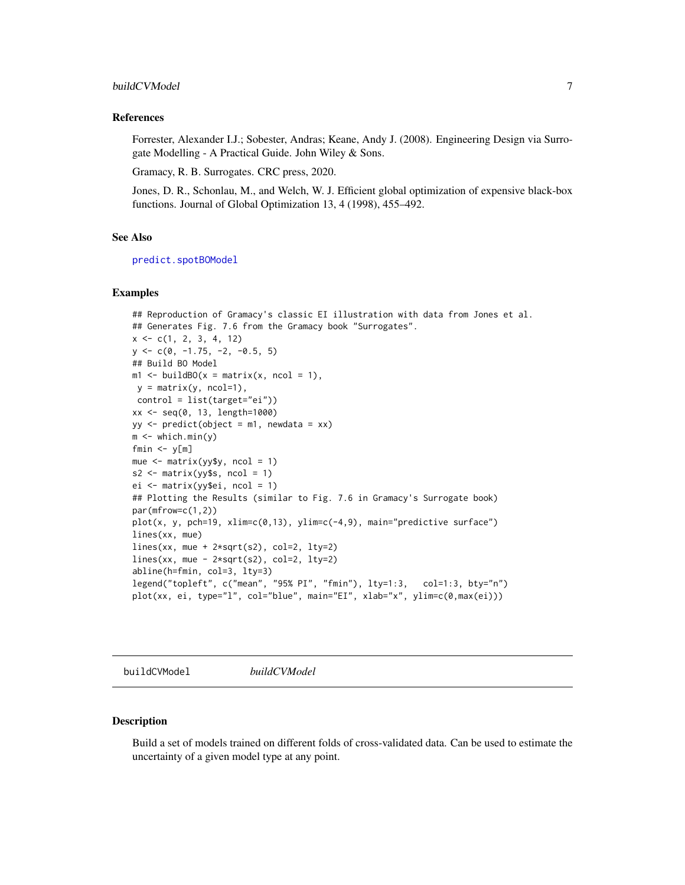# <span id="page-6-0"></span>buildCVModel 7

#### References

Forrester, Alexander I.J.; Sobester, Andras; Keane, Andy J. (2008). Engineering Design via Surrogate Modelling - A Practical Guide. John Wiley & Sons.

Gramacy, R. B. Surrogates. CRC press, 2020.

Jones, D. R., Schonlau, M., and Welch, W. J. Efficient global optimization of expensive black-box functions. Journal of Global Optimization 13, 4 (1998), 455–492.

#### See Also

[predict.spotBOModel](#page-90-1)

#### Examples

```
## Reproduction of Gramacy's classic EI illustration with data from Jones et al.
## Generates Fig. 7.6 from the Gramacy book "Surrogates".
x \leq -c(1, 2, 3, 4, 12)y \leftarrow c(0, -1.75, -2, -0.5, 5)## Build BO Model
m1 \le buildBO(x = matrix(x, ncol = 1),
y = matrix(y, ncol=1),
control = list(target="ei"))
xx <- seq(0, 13, length=1000)
yy \le predict(object = m1, newdata = xx)
m \leq which.min(y)
fmin \leq y[m]
mue <- matrix(yy$y, ncol = 1)
s2 \leq matrix(yy$s, ncol = 1)
ei <- matrix(yy$ei, ncol = 1)
## Plotting the Results (similar to Fig. 7.6 in Gramacy's Surrogate book)
par(mfrow=c(1,2))
plot(x, y, pch=19, xlim=c(0,13), ylim=c(-4,9), main="predictive surface")
lines(xx, mue)
lines(xx, mue + 2*sqrt(s2), col=2, lty=2)lines(xx, mue - 2*sqrt(s2), col=2, lty=2)
abline(h=fmin, col=3, lty=3)
legend("topleft", c("mean", "95% PI", "fmin"), lty=1:3, col=1:3, bty="n")
plot(xx, ei, type="l", col="blue", main="EI", xlab="x", ylim=c(0,max(ei)))
```
buildCVModel *buildCVModel*

#### **Description**

Build a set of models trained on different folds of cross-validated data. Can be used to estimate the uncertainty of a given model type at any point.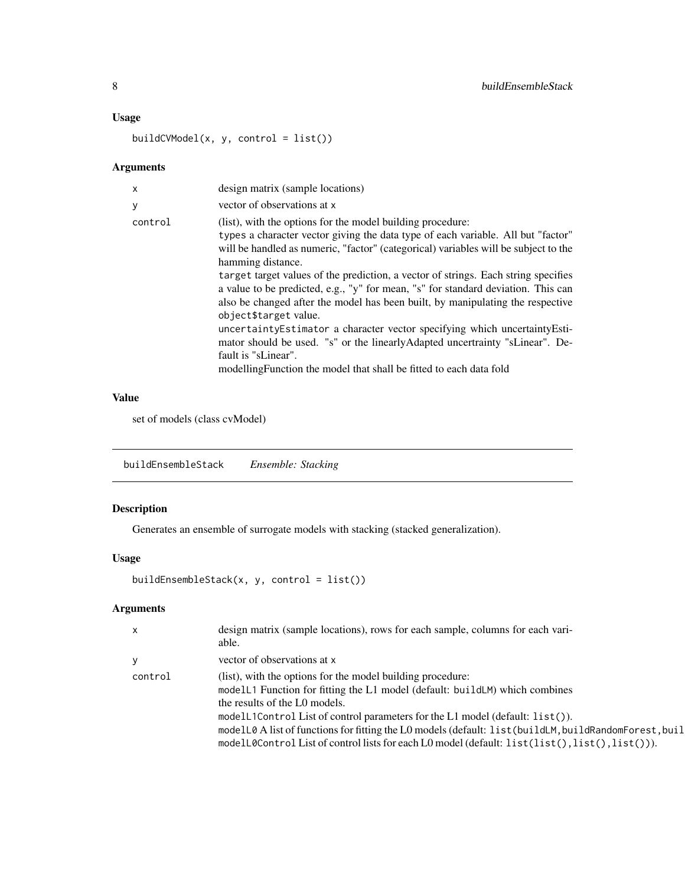# Usage

buildCVModel(x, y, control = list())

# Arguments

| X       | design matrix (sample locations)                                                                                                                                                                                                                                                                                                                                                                                                                                                                                                                                                                                                                                                                                                                                                                               |
|---------|----------------------------------------------------------------------------------------------------------------------------------------------------------------------------------------------------------------------------------------------------------------------------------------------------------------------------------------------------------------------------------------------------------------------------------------------------------------------------------------------------------------------------------------------------------------------------------------------------------------------------------------------------------------------------------------------------------------------------------------------------------------------------------------------------------------|
| у       | vector of observations at x                                                                                                                                                                                                                                                                                                                                                                                                                                                                                                                                                                                                                                                                                                                                                                                    |
| control | (list), with the options for the model building procedure:<br>types a character vector giving the data type of each variable. All but "factor"<br>will be handled as numeric, "factor" (categorical) variables will be subject to the<br>hamming distance.<br>target target values of the prediction, a vector of strings. Each string specifies<br>a value to be predicted, e.g., "y" for mean, "s" for standard deviation. This can<br>also be changed after the model has been built, by manipulating the respective<br>object\$target value.<br>uncertainty Estimator a character vector specifying which uncertainty Esti-<br>mator should be used. "s" or the linearly Adapted uncertrainty "sLinear". De-<br>fault is "sLinear".<br>modelling Function the model that shall be fitted to each data fold |
|         |                                                                                                                                                                                                                                                                                                                                                                                                                                                                                                                                                                                                                                                                                                                                                                                                                |

#### Value

set of models (class cvModel)

buildEnsembleStack *Ensemble: Stacking*

# Description

Generates an ensemble of surrogate models with stacking (stacked generalization).

# Usage

```
buildEnsembleStack(x, y, control = list())
```

| $\mathsf{X}$ | design matrix (sample locations), rows for each sample, columns for each vari-<br>able.                                                                                                                                                                                                                                                                                                                                                                                 |
|--------------|-------------------------------------------------------------------------------------------------------------------------------------------------------------------------------------------------------------------------------------------------------------------------------------------------------------------------------------------------------------------------------------------------------------------------------------------------------------------------|
| У            | vector of observations at x                                                                                                                                                                                                                                                                                                                                                                                                                                             |
| control      | (list), with the options for the model building procedure:<br>modelL1 Function for fitting the L1 model (default: buildLM) which combines<br>the results of the L0 models.<br>modelL1Control List of control parameters for the L1 model (default: list()).<br>modelL0 A list of functions for fitting the L0 models (default: list (buildLM, buildRandomForest, buil<br>modelL0Control List of control lists for each L0 model (default: $list(list(),list(),list());$ |

<span id="page-7-0"></span>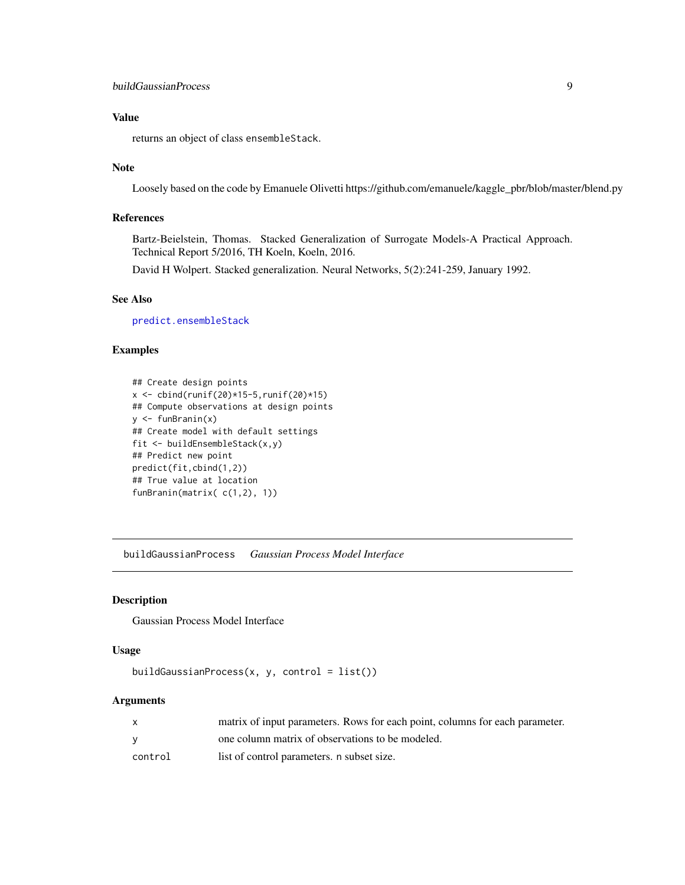# <span id="page-8-0"></span>buildGaussianProcess 9

# Value

returns an object of class ensembleStack.

#### Note

Loosely based on the code by Emanuele Olivetti https://github.com/emanuele/kaggle\_pbr/blob/master/blend.py

# References

Bartz-Beielstein, Thomas. Stacked Generalization of Surrogate Models-A Practical Approach. Technical Report 5/2016, TH Koeln, Koeln, 2016.

David H Wolpert. Stacked generalization. Neural Networks, 5(2):241-259, January 1992.

## See Also

[predict.ensembleStack](#page-0-0)

# Examples

```
## Create design points
x \le cbind(runif(20)*15-5,runif(20)*15)
## Compute observations at design points
y <- funBranin(x)
## Create model with default settings
fit <- buildEnsembleStack(x,y)
## Predict new point
predict(fit,cbind(1,2))
## True value at location
funBranin(matrix( c(1,2), 1))
```
buildGaussianProcess *Gaussian Process Model Interface*

# Description

Gaussian Process Model Interface

#### Usage

```
buildGaussianProcess(x, y, \text{control} = list())
```

|         | matrix of input parameters. Rows for each point, columns for each parameter. |
|---------|------------------------------------------------------------------------------|
|         | one column matrix of observations to be modeled.                             |
| control | list of control parameters, n subset size.                                   |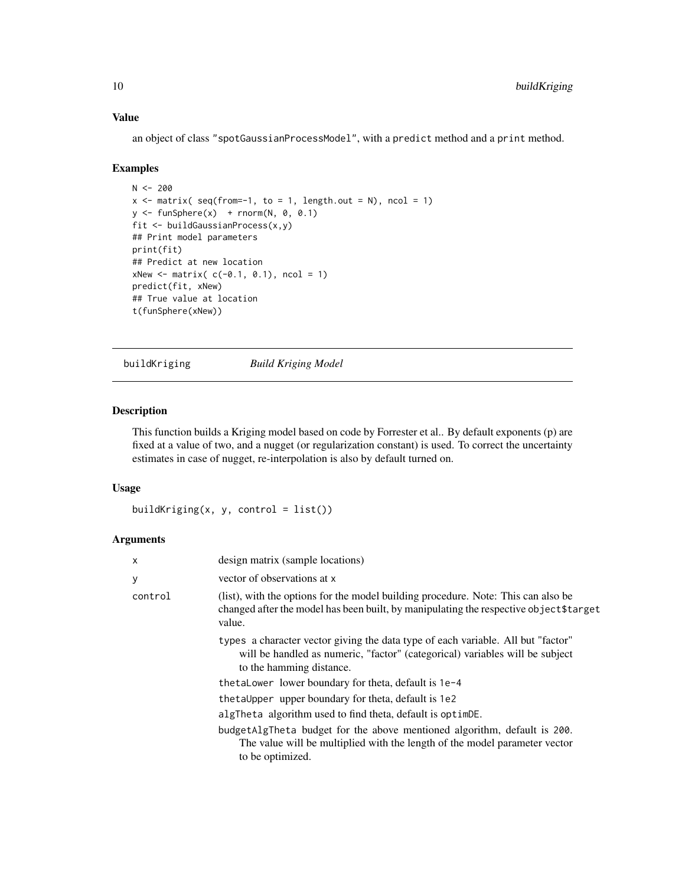# Value

an object of class "spotGaussianProcessModel", with a predict method and a print method.

#### Examples

```
N < -200x \le matrix( seq(from=-1, to = 1, length.out = N), ncol = 1)
y \le funSphere(x) + rnorm(N, 0, 0.1)
fit <- buildGaussianProcess(x,y)
## Print model parameters
print(fit)
## Predict at new location
xNew < - matrix( c(-0.1, 0.1), ncol = 1)
predict(fit, xNew)
## True value at location
t(funSphere(xNew))
```
buildKriging *Build Kriging Model*

# Description

This function builds a Kriging model based on code by Forrester et al.. By default exponents (p) are fixed at a value of two, and a nugget (or regularization constant) is used. To correct the uncertainty estimates in case of nugget, re-interpolation is also by default turned on.

#### Usage

```
buildKriging(x, y, control = list())
```

| $\mathsf{x}$ | design matrix (sample locations)                                                                                                                                                             |
|--------------|----------------------------------------------------------------------------------------------------------------------------------------------------------------------------------------------|
| У            | vector of observations at x                                                                                                                                                                  |
| control      | (list), with the options for the model building procedure. Note: This can also be<br>changed after the model has been built, by manipulating the respective object\$target<br>value.         |
|              | types a character vector giving the data type of each variable. All but "factor"<br>will be handled as numeric, "factor" (categorical) variables will be subject<br>to the hamming distance. |
|              | thetaLower lower boundary for theta, default is 1e-4                                                                                                                                         |
|              | the tall pper upper boundary for the ta, default is 1e2                                                                                                                                      |
|              | algTheta algorithm used to find theta, default is optimDE.                                                                                                                                   |
|              | budgetAlgTheta budget for the above mentioned algorithm, default is 200.<br>The value will be multiplied with the length of the model parameter vector<br>to be optimized.                   |

<span id="page-9-0"></span>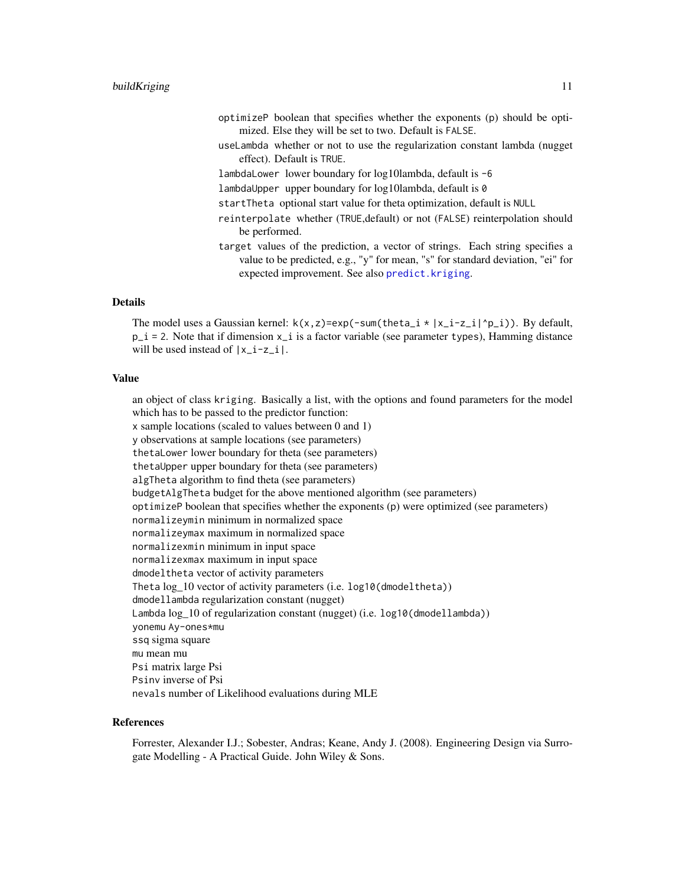- optimizeP boolean that specifies whether the exponents (p) should be optimized. Else they will be set to two. Default is FALSE.
- useLambda whether or not to use the regularization constant lambda (nugget effect). Default is TRUE.
- lambdaLower lower boundary for log10lambda, default is -6
- lambdaUpper upper boundary for log10lambda, default is 0
- startTheta optional start value for theta optimization, default is NULL
- reinterpolate whether (TRUE,default) or not (FALSE) reinterpolation should be performed.
- target values of the prediction, a vector of strings. Each string specifies a value to be predicted, e.g., "y" for mean, "s" for standard deviation, "ei" for expected improvement. See also [predict.kriging](#page-0-0).

# Details

The model uses a Gaussian kernel:  $k(x, z) = exp(-sum(theta_i \cdot |x_i - z_i|^p - i))$ . By default,  $p_i = 2$ . Note that if dimension  $x_i$  is a factor variable (see parameter types), Hamming distance will be used instead of  $|x_i-z_i|$ .

#### Value

an object of class kriging. Basically a list, with the options and found parameters for the model which has to be passed to the predictor function:

x sample locations (scaled to values between 0 and 1)

y observations at sample locations (see parameters)

thetaLower lower boundary for theta (see parameters)

thetaUpper upper boundary for theta (see parameters)

algTheta algorithm to find theta (see parameters)

budgetAlgTheta budget for the above mentioned algorithm (see parameters)

optimizeP boolean that specifies whether the exponents (p) were optimized (see parameters)

normalizeymin minimum in normalized space

- normalizeymax maximum in normalized space
- normalizexmin minimum in input space
- normalizexmax maximum in input space dmodeltheta vector of activity parameters
- Theta log 10 vector of activity parameters (i.e. log10(dmodeltheta))
- dmodellambda regularization constant (nugget)

Lambda log\_10 of regularization constant (nugget) (i.e. log10(dmodellambda))

yonemu Ay-ones\*mu

ssq sigma square

mu mean mu

Psi matrix large Psi Psinv inverse of Psi

nevals number of Likelihood evaluations during MLE

#### References

Forrester, Alexander I.J.; Sobester, Andras; Keane, Andy J. (2008). Engineering Design via Surrogate Modelling - A Practical Guide. John Wiley & Sons.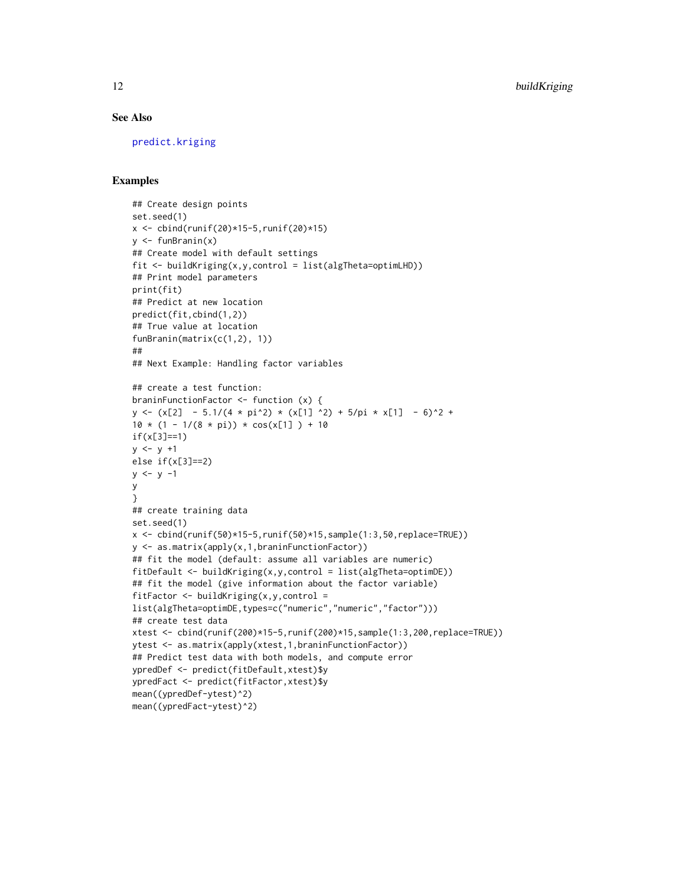# See Also

[predict.kriging](#page-0-0)

#### Examples

```
## Create design points
set.seed(1)
x \le cbind(runif(20)*15-5, runif(20)*15)
y <- funBranin(x)
## Create model with default settings
fit <- buildKriging(x,y,control = list(algTheta=optimLHD))
## Print model parameters
print(fit)
## Predict at new location
predict(fit,cbind(1,2))
## True value at location
funBranin(matrix(c(1,2), 1))
##
## Next Example: Handling factor variables
## create a test function:
braninFunctionFactor <- function (x) {
y \leftarrow (x[2] - 5.1/(4 * pi^2) * (x[1] )2) + 5/pi * x[1] - 6)^2 +10 * (1 - 1/(8 * pi)) * cos(x[1]) + 10if(x[3]==1)
y \le y +1else if(x[3]==2)
y \le -y -1y
}
## create training data
set.seed(1)
x <- cbind(runif(50)*15-5,runif(50)*15,sample(1:3,50,replace=TRUE))
y <- as.matrix(apply(x,1,braninFunctionFactor))
## fit the model (default: assume all variables are numeric)
fitDefault <- buildKriging(x,y,control = list(algTheta=optimDE))
## fit the model (give information about the factor variable)
fitFactor \le buildKriging(x,y,control =
list(algTheta=optimDE,types=c("numeric","numeric","factor")))
## create test data
xtest <- cbind(runif(200)*15-5,runif(200)*15,sample(1:3,200,replace=TRUE))
ytest <- as.matrix(apply(xtest,1,braninFunctionFactor))
## Predict test data with both models, and compute error
ypredDef <- predict(fitDefault,xtest)$y
ypredFact <- predict(fitFactor,xtest)$y
mean((ypredDef-ytest)^2)
mean((ypredFact-ytest)^2)
```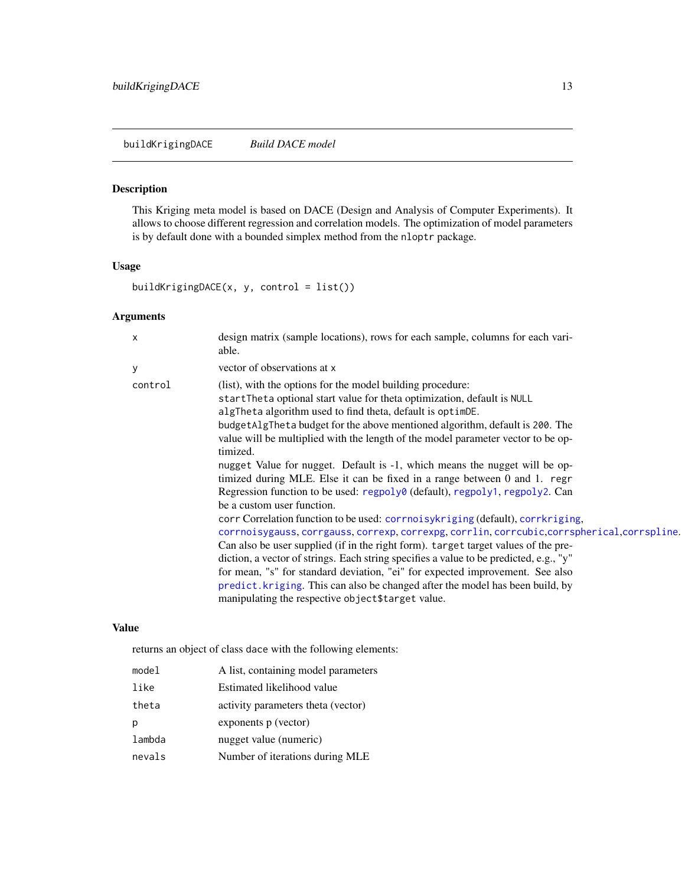<span id="page-12-0"></span>buildKrigingDACE *Build DACE model*

# Description

This Kriging meta model is based on DACE (Design and Analysis of Computer Experiments). It allows to choose different regression and correlation models. The optimization of model parameters is by default done with a bounded simplex method from the nloptr package.

# Usage

buildKrigingDACE(x, y, control = list())

# Arguments

| х       | design matrix (sample locations), rows for each sample, columns for each vari-<br>able.                                                                                                                                                                                                                                                                                                                                                                                                                                                                                                                                                                                                                                                                                                                                                                                                                                                                                                                                                                                                                                                                                                                                                                  |
|---------|----------------------------------------------------------------------------------------------------------------------------------------------------------------------------------------------------------------------------------------------------------------------------------------------------------------------------------------------------------------------------------------------------------------------------------------------------------------------------------------------------------------------------------------------------------------------------------------------------------------------------------------------------------------------------------------------------------------------------------------------------------------------------------------------------------------------------------------------------------------------------------------------------------------------------------------------------------------------------------------------------------------------------------------------------------------------------------------------------------------------------------------------------------------------------------------------------------------------------------------------------------|
| У       | vector of observations at x                                                                                                                                                                                                                                                                                                                                                                                                                                                                                                                                                                                                                                                                                                                                                                                                                                                                                                                                                                                                                                                                                                                                                                                                                              |
| control | (list), with the options for the model building procedure:<br>startTheta optional start value for theta optimization, default is NULL<br>algTheta algorithm used to find theta, default is optimDE.<br>budget AlgTheta budget for the above mentioned algorithm, default is 200. The<br>value will be multiplied with the length of the model parameter vector to be op-<br>timized.<br>nugget Value for nugget. Default is -1, which means the nugget will be op-<br>timized during MLE. Else it can be fixed in a range between 0 and 1. regr<br>Regression function to be used: regpoly0 (default), regpoly1, regpoly2. Can<br>be a custom user function.<br>corr Correlation function to be used: corrnoisy kriging (default), corr kriging,<br>corrnoisygauss, corrgauss, correxp, correxpg, corrlin, corrcubic, corrspherical, corrspline.<br>Can also be user supplied (if in the right form). target target values of the pre-<br>diction, a vector of strings. Each string specifies a value to be predicted, e.g., "y"<br>for mean, "s" for standard deviation, "ei" for expected improvement. See also<br>predict. kriging. This can also be changed after the model has been build, by<br>manipulating the respective object \$target value. |

# Value

returns an object of class dace with the following elements:

| model  | A list, containing model parameters |
|--------|-------------------------------------|
| like   | Estimated likelihood value          |
| theta  | activity parameters theta (vector)  |
| p      | exponents p (vector)                |
| lambda | nugget value (numeric)              |
| nevals | Number of iterations during MLE     |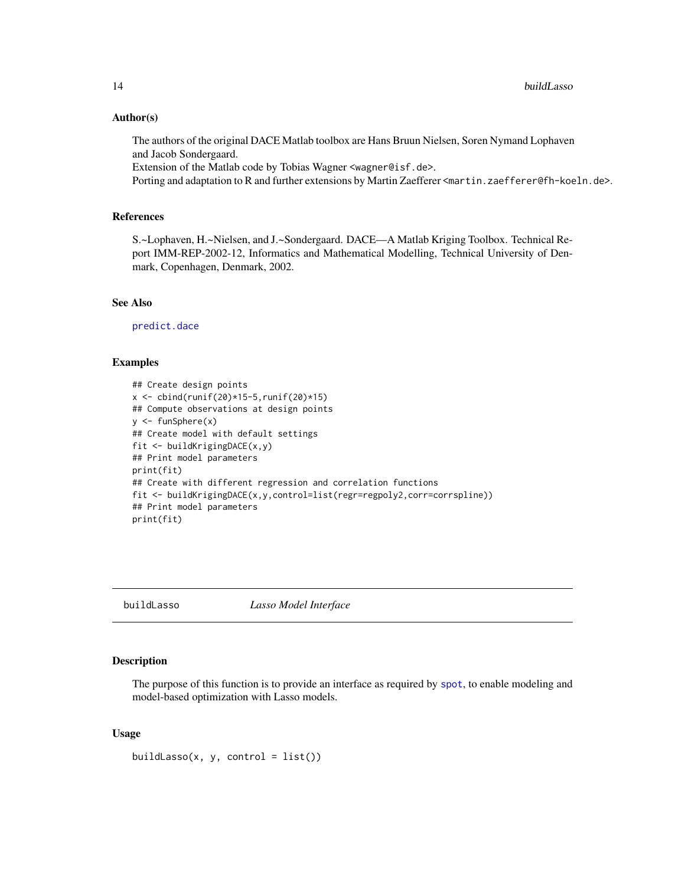#### <span id="page-13-0"></span>Author(s)

The authors of the original DACE Matlab toolbox are Hans Bruun Nielsen, Soren Nymand Lophaven and Jacob Sondergaard.

Extension of the Matlab code by Tobias Wagner <wagner@isf.de>.

Porting and adaptation to R and further extensions by Martin Zaefferer <martin.zaefferer@fh-koeln.de>.

# References

S.~Lophaven, H.~Nielsen, and J.~Sondergaard. DACE—A Matlab Kriging Toolbox. Technical Report IMM-REP-2002-12, Informatics and Mathematical Modelling, Technical University of Denmark, Copenhagen, Denmark, 2002.

# See Also

[predict.dace](#page-0-0)

### Examples

```
## Create design points
x \le cbind(runif(20)*15-5,runif(20)*15)
## Compute observations at design points
y \leftarrow funSphere(x)## Create model with default settings
fit <- buildKrigingDACE(x,y)
## Print model parameters
print(fit)
## Create with different regression and correlation functions
fit <- buildKrigingDACE(x,y,control=list(regr=regpoly2,corr=corrspline))
## Print model parameters
print(fit)
```
buildLasso *Lasso Model Interface*

#### Description

The purpose of this function is to provide an interface as required by [spot](#page-101-1), to enable modeling and model-based optimization with Lasso models.

#### Usage

buildLasso(x, y, control =  $list()$ )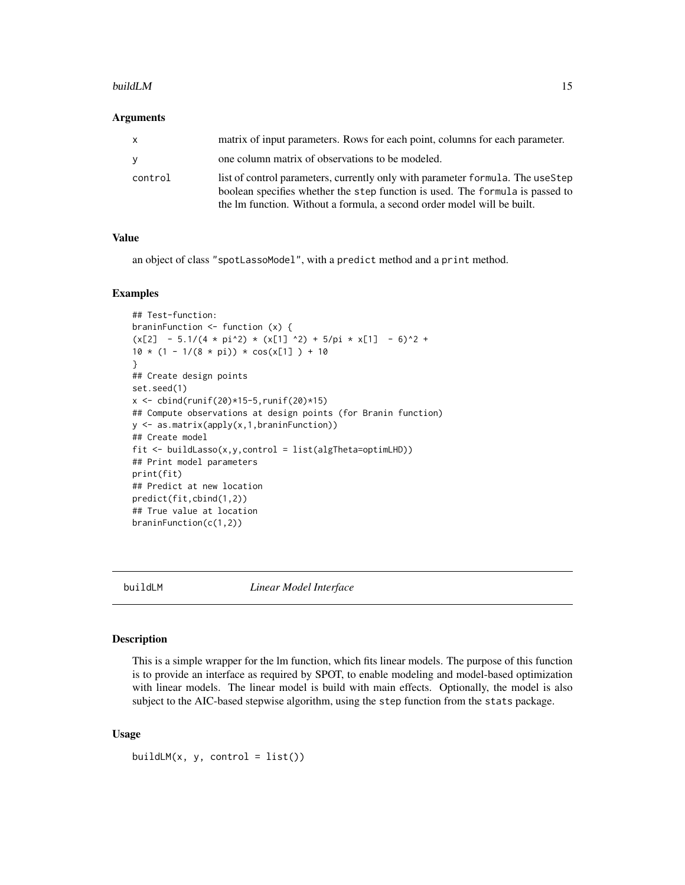#### <span id="page-14-0"></span>buildLM 15

#### Arguments

| x       | matrix of input parameters. Rows for each point, columns for each parameter.                                                                                                                                                               |
|---------|--------------------------------------------------------------------------------------------------------------------------------------------------------------------------------------------------------------------------------------------|
| V       | one column matrix of observations to be modeled.                                                                                                                                                                                           |
| control | list of control parameters, currently only with parameter formula. The useStep<br>boolean specifies whether the step function is used. The formula is passed to<br>the lm function. Without a formula, a second order model will be built. |

#### Value

an object of class "spotLassoModel", with a predict method and a print method.

#### Examples

```
## Test-function:
braninFunction <- function (x) {
(x[2] - 5.1/(4 * pi^2) * (x[1] )2) + 5/pi * x[1] - 6)^2 +10 * (1 - 1/(8 * pi)) * cos(x[1]) + 10}
## Create design points
set.seed(1)
x \le cbind(runif(20)*15-5, runif(20)*15)
## Compute observations at design points (for Branin function)
y <- as.matrix(apply(x,1,braninFunction))
## Create model
fit <- buildLasso(x,y,control = list(algTheta=optimLHD))
## Print model parameters
print(fit)
## Predict at new location
predict(fit,cbind(1,2))
## True value at location
braninFunction(c(1,2))
```
buildLM *Linear Model Interface*

# Description

This is a simple wrapper for the lm function, which fits linear models. The purpose of this function is to provide an interface as required by SPOT, to enable modeling and model-based optimization with linear models. The linear model is build with main effects. Optionally, the model is also subject to the AIC-based stepwise algorithm, using the step function from the stats package.

#### Usage

buildLM $(x, y, \text{control} = list())$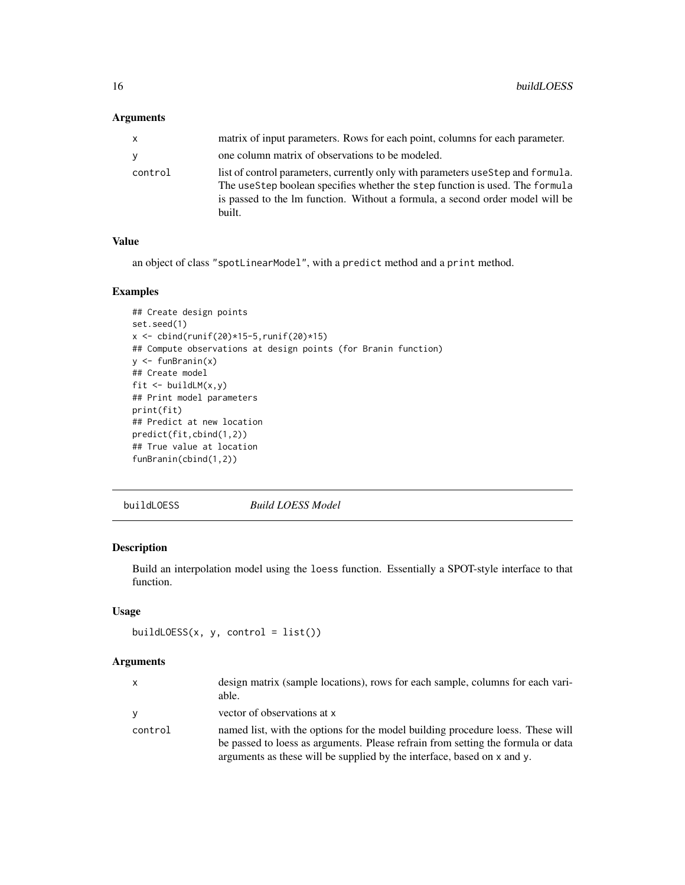# <span id="page-15-0"></span>Arguments

| x       | matrix of input parameters. Rows for each point, columns for each parameter.                                                                                                                                                                                |
|---------|-------------------------------------------------------------------------------------------------------------------------------------------------------------------------------------------------------------------------------------------------------------|
| v       | one column matrix of observations to be modeled.                                                                                                                                                                                                            |
| control | list of control parameters, currently only with parameters uses tep and formula.<br>The useStep boolean specifies whether the step function is used. The formula<br>is passed to the lm function. Without a formula, a second order model will be<br>built. |

#### Value

an object of class "spotLinearModel", with a predict method and a print method.

# Examples

```
## Create design points
set.seed(1)
x \le - \text{cbind}(\text{runif}(20) * 15 - 5, \text{runif}(20) * 15)## Compute observations at design points (for Branin function)
y <- funBranin(x)
## Create model
fit <- buildLM(x,y)
## Print model parameters
print(fit)
## Predict at new location
predict(fit,cbind(1,2))
## True value at location
funBranin(cbind(1,2))
```
buildLOESS *Build LOESS Model*

# Description

Build an interpolation model using the loess function. Essentially a SPOT-style interface to that function.

# Usage

```
buildLOESS(x, y, control = list())
```

| X        | design matrix (sample locations), rows for each sample, columns for each vari-<br>able.                                                                             |
|----------|---------------------------------------------------------------------------------------------------------------------------------------------------------------------|
| <b>Y</b> | vector of observations at x                                                                                                                                         |
| control  | named list, with the options for the model building procedure loess. These will<br>be passed to loess as arguments. Please refrain from setting the formula or data |
|          | arguments as these will be supplied by the interface, based on x and y.                                                                                             |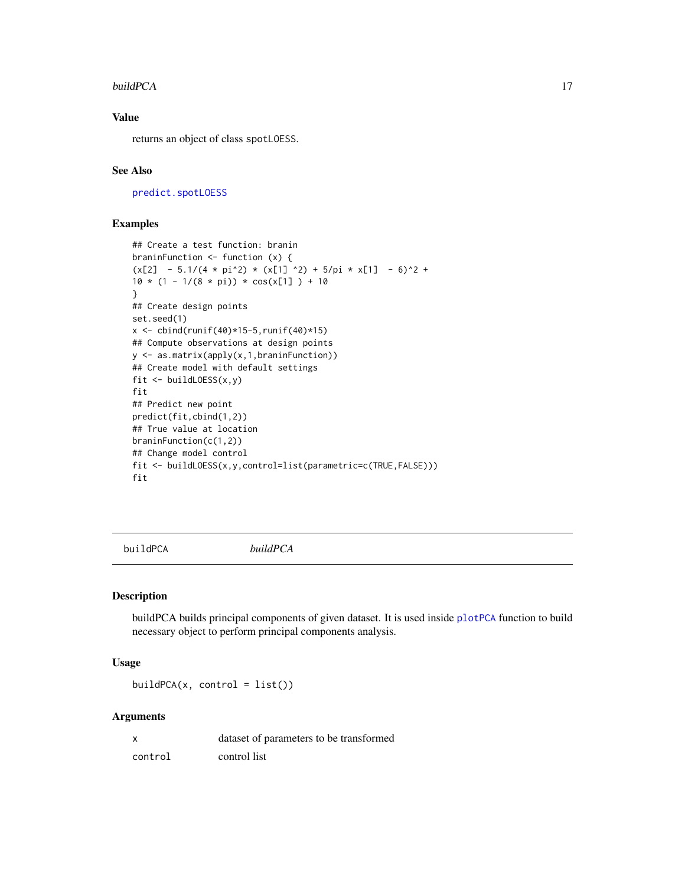#### <span id="page-16-0"></span>buildPCA 17

# Value

returns an object of class spotLOESS.

### See Also

[predict.spotLOESS](#page-0-0)

## Examples

```
## Create a test function: branin
braninFunction <- function (x) {
(x[2] - 5.1/(4 * pi^2) * (x[1] ^2) + 5/pi * x[1] - 6)^2 +10 * (1 - 1/(8 * pi)) * cos(x[1]) + 10}
## Create design points
set.seed(1)
x <- cbind(runif(40)*15-5,runif(40)*15)
## Compute observations at design points
y <- as.matrix(apply(x,1,braninFunction))
## Create model with default settings
fit <- buildLOESS(x,y)
fit
## Predict new point
predict(fit,cbind(1,2))
## True value at location
braninFunction(c(1,2))
## Change model control
fit <- buildLOESS(x,y,control=list(parametric=c(TRUE,FALSE)))
fit
```
buildPCA *buildPCA*

# Description

buildPCA builds principal components of given dataset. It is used inside [plotPCA](#page-87-1) function to build necessary object to perform principal components analysis.

#### Usage

 $buildPCA(x, control = list())$ 

| x       | dataset of parameters to be transformed |
|---------|-----------------------------------------|
| control | control list                            |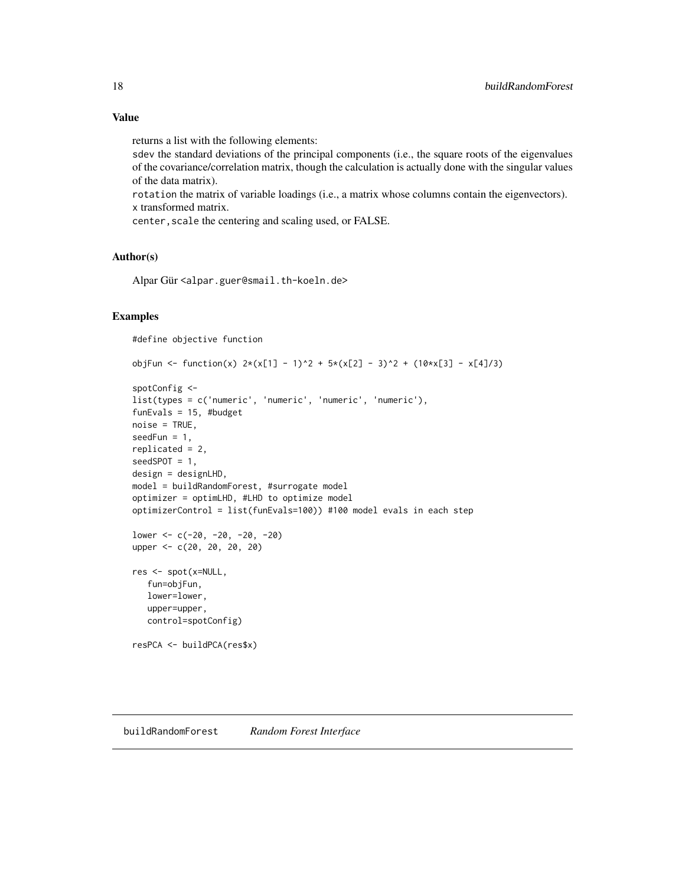<span id="page-17-0"></span>returns a list with the following elements:

sdev the standard deviations of the principal components (i.e., the square roots of the eigenvalues of the covariance/correlation matrix, though the calculation is actually done with the singular values of the data matrix).

rotation the matrix of variable loadings (i.e., a matrix whose columns contain the eigenvectors). x transformed matrix.

center, scale the centering and scaling used, or FALSE.

# Author(s)

Alpar Gür <alpar.guer@smail.th-koeln.de>

#### Examples

```
#define objective function
```

```
objFun <- function(x) 2*(x[1] - 1)^2 + 5*(x[2] - 3)^2 + (10*x[3] - x[4]/3)spotConfig <-
list(types = c('numeric', 'numeric', 'numeric', 'numeric'),
funEvals = 15, #budget
noise = TRUE,
seedFun = 1,
replicated = 2,
seedSPOT = 1,
design = designLHD,
model = buildRandomForest, #surrogate model
optimizer = optimLHD, #LHD to optimize model
optimizerControl = list(funEvals=100)) #100 model evals in each step
lower <- c(-20, -20, -20, -20)
upper <- c(20, 20, 20, 20)
res <- spot(x=NULL,
   fun=objFun,
  lower=lower,
  upper=upper,
  control=spotConfig)
resPCA <- buildPCA(res$x)
```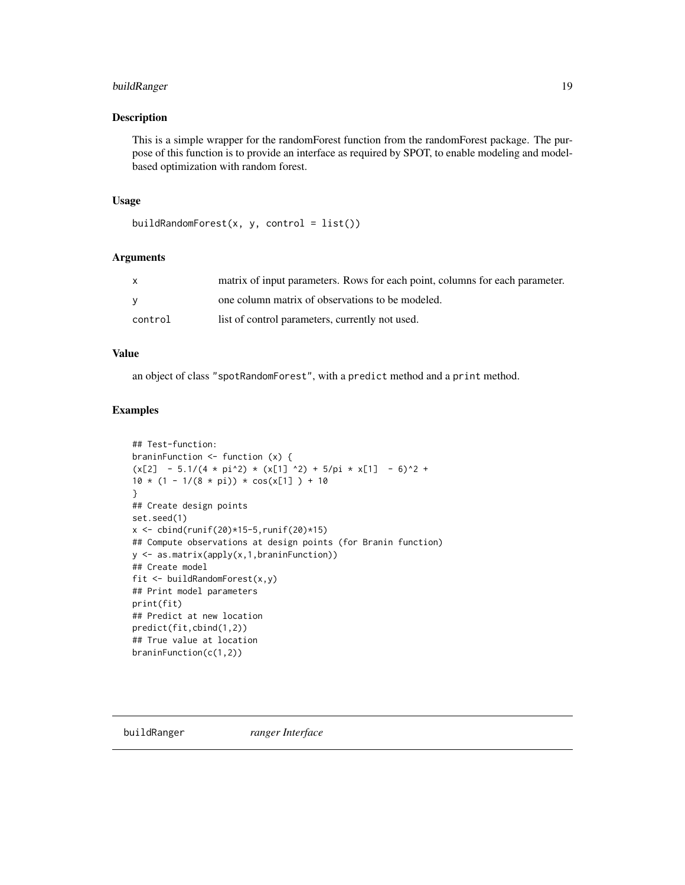# <span id="page-18-0"></span>buildRanger 19

#### Description

This is a simple wrapper for the randomForest function from the randomForest package. The purpose of this function is to provide an interface as required by SPOT, to enable modeling and modelbased optimization with random forest.

#### Usage

```
buildRandomForest(x, y, \text{control} = list())
```
# Arguments

| $\mathbf{x}$ | matrix of input parameters. Rows for each point, columns for each parameter. |
|--------------|------------------------------------------------------------------------------|
| <b>V</b>     | one column matrix of observations to be modeled.                             |
| control      | list of control parameters, currently not used.                              |

#### Value

an object of class "spotRandomForest", with a predict method and a print method.

#### Examples

```
## Test-function:
braninFunction <- function (x) {
(x[2] - 5.1/(4 * pi^2) * (x[1] ^2) + 5/pi * x[1] - 6)^2 +10 * (1 - 1/(8 * pi)) * cos(x[1]) + 10}
## Create design points
set.seed(1)
x \le cbind(runif(20)*15-5,runif(20)*15)
## Compute observations at design points (for Branin function)
y <- as.matrix(apply(x,1,braninFunction))
## Create model
fit <- buildRandomForest(x,y)
## Print model parameters
print(fit)
## Predict at new location
predict(fit,cbind(1,2))
## True value at location
braninFunction(c(1,2))
```
buildRanger *ranger Interface*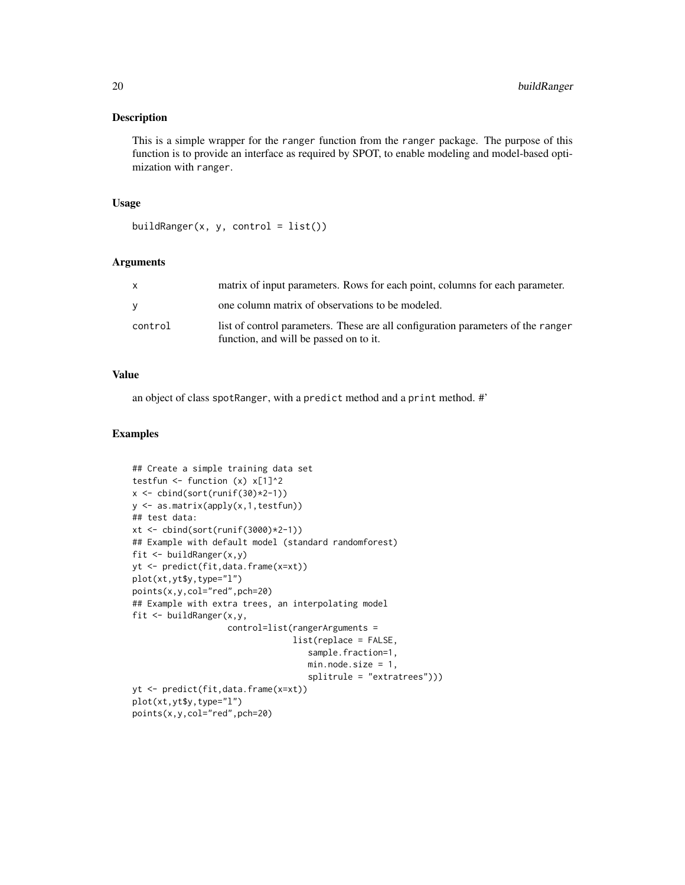This is a simple wrapper for the ranger function from the ranger package. The purpose of this function is to provide an interface as required by SPOT, to enable modeling and model-based optimization with ranger.

#### Usage

```
buildRanger(x, y, control = list())
```
#### Arguments

| X       | matrix of input parameters. Rows for each point, columns for each parameter.                                               |
|---------|----------------------------------------------------------------------------------------------------------------------------|
| V       | one column matrix of observations to be modeled.                                                                           |
| control | list of control parameters. These are all configuration parameters of the ranger<br>function, and will be passed on to it. |

# Value

an object of class spotRanger, with a predict method and a print method. #'

#### Examples

```
## Create a simple training data set
testfun \le function (x) x[1]^2x <- cbind(sort(runif(30)*2-1))
y <- as.matrix(apply(x,1,testfun))
## test data:
xt <- cbind(sort(runif(3000)*2-1))
## Example with default model (standard randomforest)
fit <- buildRanger(x,y)
yt <- predict(fit,data.frame(x=xt))
plot(xt,yt$y,type="l")
points(x,y,col="red",pch=20)
## Example with extra trees, an interpolating model
fit <- buildRanger(x,y,
                   control=list(rangerArguments =
                                list(replace = FALSE,
                                   sample.fraction=1,
                                   min.node.size = 1,
                                   splitrule = "extratrees")))
yt <- predict(fit,data.frame(x=xt))
plot(xt,yt$y,type="l")
points(x,y,col="red",pch=20)
```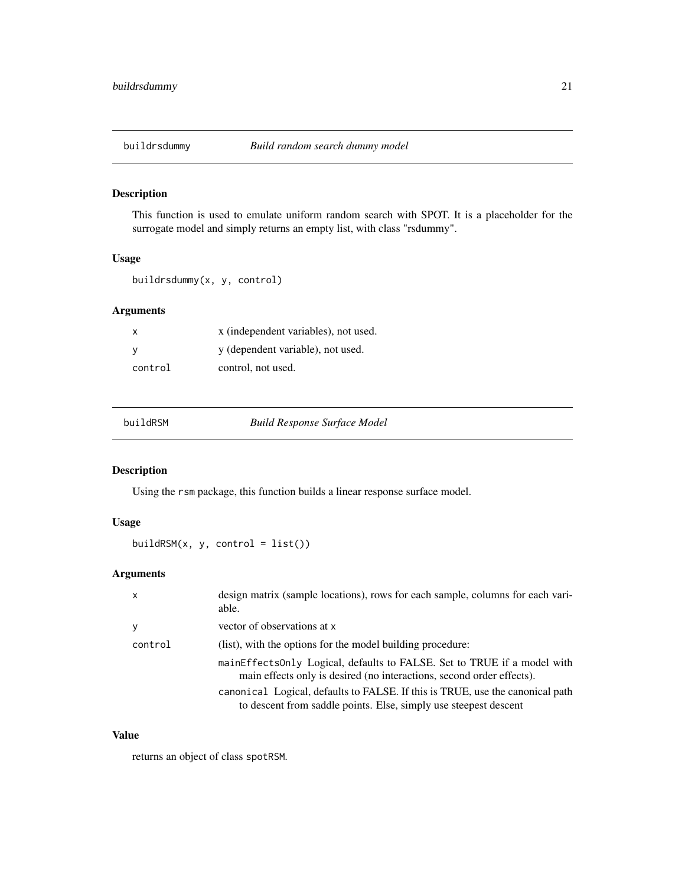<span id="page-20-0"></span>

This function is used to emulate uniform random search with SPOT. It is a placeholder for the surrogate model and simply returns an empty list, with class "rsdummy".

# Usage

buildrsdummy(x, y, control)

# Arguments

| х       | x (independent variables), not used. |
|---------|--------------------------------------|
|         | y (dependent variable), not used.    |
| control | control, not used.                   |

<span id="page-20-1"></span>

|  |  | buildRSM |
|--|--|----------|
|  |  |          |

**Build Response Surface Model** 

# Description

Using the rsm package, this function builds a linear response surface model.

# Usage

buildRSM(x, y, control = list())

#### Arguments

| X       | design matrix (sample locations), rows for each sample, columns for each vari-<br>able.                                                           |
|---------|---------------------------------------------------------------------------------------------------------------------------------------------------|
| у       | vector of observations at x                                                                                                                       |
| control | (list), with the options for the model building procedure:                                                                                        |
|         | mainEffectsOnly Logical, defaults to FALSE. Set to TRUE if a model with<br>main effects only is desired (no interactions, second order effects).  |
|         | canonical Logical, defaults to FALSE. If this is TRUE, use the canonical path<br>to descent from saddle points. Else, simply use steepest descent |

# Value

returns an object of class spotRSM.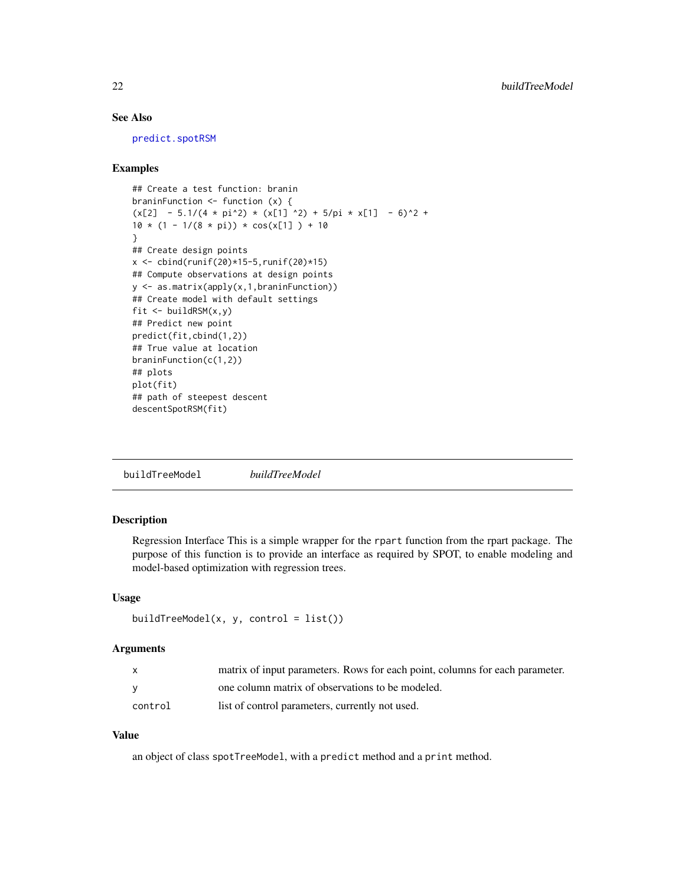# <span id="page-21-0"></span>See Also

[predict.spotRSM](#page-0-0)

#### Examples

```
## Create a test function: branin
braninFunction <- function (x) {
(x[2] - 5.1/(4 * pi^2) * (x[1] ^2) + 5/pi * x[1] - 6)^2 +10 * (1 - 1/(8 * pi)) * cos(x[1]) + 10}
## Create design points
x \le cbind(runif(20)*15-5,runif(20)*15)
## Compute observations at design points
y <- as.matrix(apply(x,1,braninFunction))
## Create model with default settings
fit \le buildRSM(x, y)## Predict new point
predict(fit,cbind(1,2))
## True value at location
braninFunction(c(1,2))
## plots
plot(fit)
## path of steepest descent
descentSpotRSM(fit)
```
buildTreeModel *buildTreeModel*

# Description

Regression Interface This is a simple wrapper for the rpart function from the rpart package. The purpose of this function is to provide an interface as required by SPOT, to enable modeling and model-based optimization with regression trees.

# Usage

```
buildTreeModel(x, y, control = list())
```
#### Arguments

| X.      | matrix of input parameters. Rows for each point, columns for each parameter. |
|---------|------------------------------------------------------------------------------|
|         | one column matrix of observations to be modeled.                             |
| control | list of control parameters, currently not used.                              |

# Value

an object of class spotTreeModel, with a predict method and a print method.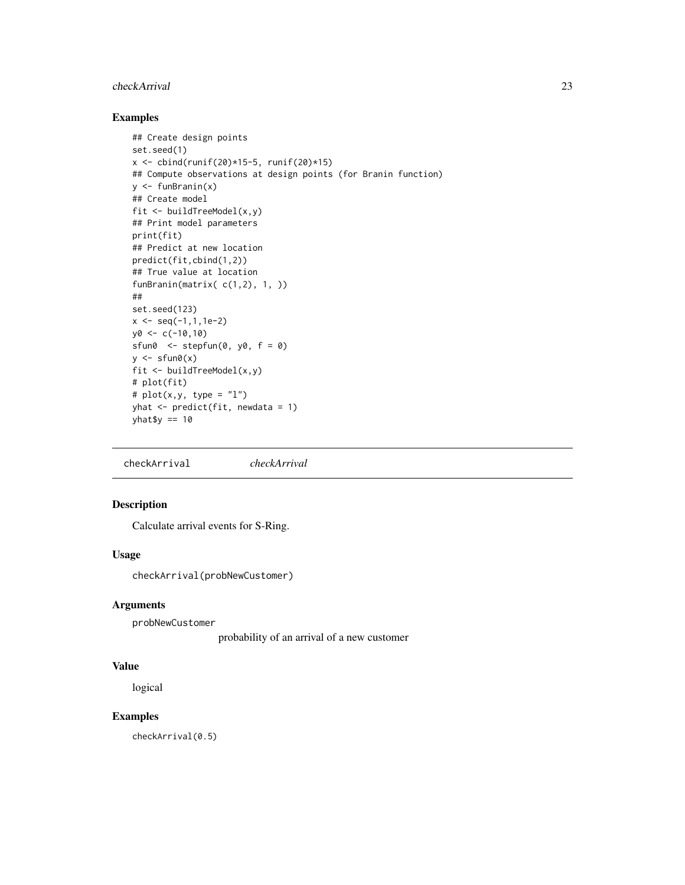#### <span id="page-22-0"></span>checkArrival 23

# Examples

```
## Create design points
set.seed(1)
x <- cbind(runif(20)*15-5, runif(20)*15)
## Compute observations at design points (for Branin function)
y \leq funBranin(x)## Create model
fit <- buildTreeModel(x,y)
## Print model parameters
print(fit)
## Predict at new location
predict(fit,cbind(1,2))
## True value at location
funBranin(matrix( c(1,2), 1, ))
##
set.seed(123)
x \leq -\text{seq}(-1, 1, 1e-2)y0 < -c(-10,10)sfun0 \le- stepfun(0, y_0, f = 0)y \leftarrow sfun\theta(x)fit <- buildTreeModel(x,y)
# plot(fit)
# plot(x, y, type = "l")yhat \leq predict(fit, newdata = 1)
yhat$y == 10
```
checkArrival *checkArrival*

# Description

Calculate arrival events for S-Ring.

### Usage

checkArrival(probNewCustomer)

#### Arguments

probNewCustomer

probability of an arrival of a new customer

#### Value

logical

#### Examples

checkArrival(0.5)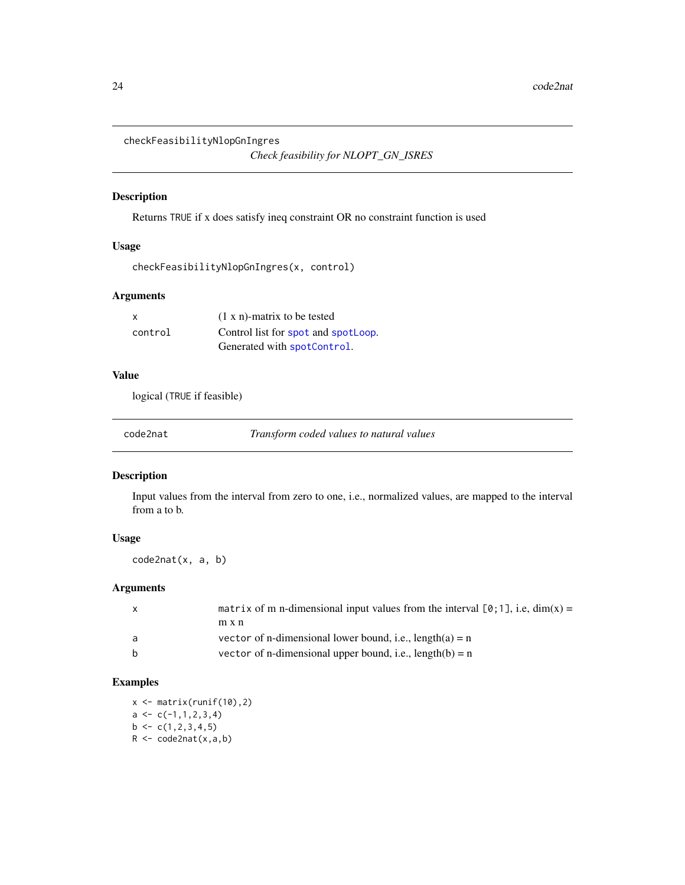```
checkFeasibilityNlopGnIngres
```

```
Check feasibility for NLOPT_GN_ISRES
```
Returns TRUE if x does satisfy ineq constraint OR no constraint function is used

# Usage

```
checkFeasibilityNlopGnIngres(x, control)
```
# Arguments

| X       | $(1 x n)$ -matrix to be tested      |
|---------|-------------------------------------|
| control | Control list for spot and spotLoop. |
|         | Generated with spotControl.         |

# Value

logical (TRUE if feasible)

code2nat *Transform coded values to natural values*

# Description

Input values from the interval from zero to one, i.e., normalized values, are mapped to the interval from a to b.

# Usage

code2nat(x, a, b)

# Arguments

|   | matrix of m n-dimensional input values from the interval $[0,1]$ , i.e., dim(x) = |
|---|-----------------------------------------------------------------------------------|
|   | m x n                                                                             |
| a | vector of n-dimensional lower bound, i.e., $length(a) = n$                        |
| b | vector of n-dimensional upper bound, i.e., $length(b) = n$                        |

# Examples

 $x \leftarrow \text{matrix(runif(10),2)}$  $a \leftarrow c(-1,1,2,3,4)$  $b \leftarrow c(1, 2, 3, 4, 5)$  $R$  <- code2nat(x,a,b)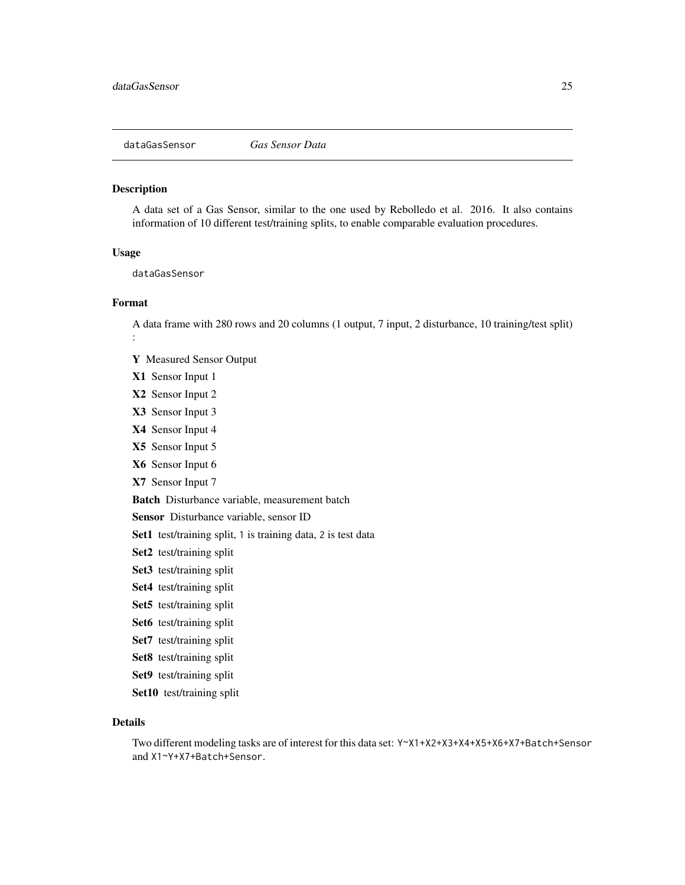<span id="page-24-0"></span>

A data set of a Gas Sensor, similar to the one used by Rebolledo et al. 2016. It also contains information of 10 different test/training splits, to enable comparable evaluation procedures.

#### Usage

dataGasSensor

#### Format

A data frame with 280 rows and 20 columns (1 output, 7 input, 2 disturbance, 10 training/test split) :

- Y Measured Sensor Output
- X1 Sensor Input 1
- X2 Sensor Input 2
- X3 Sensor Input 3
- X4 Sensor Input 4
- X5 Sensor Input 5
- X6 Sensor Input 6
- X7 Sensor Input 7

Batch Disturbance variable, measurement batch

Sensor Disturbance variable, sensor ID

Set1 test/training split, 1 is training data, 2 is test data

- Set2 test/training split
- Set3 test/training split
- Set4 test/training split
- Set5 test/training split
- Set6 test/training split
- Set7 test/training split
- Set8 test/training split
- Set9 test/training split
- Set10 test/training split

#### Details

Two different modeling tasks are of interest for this data set: Y~X1+X2+X3+X4+X5+X6+X7+Batch+Sensor and X1~Y+X7+Batch+Sensor.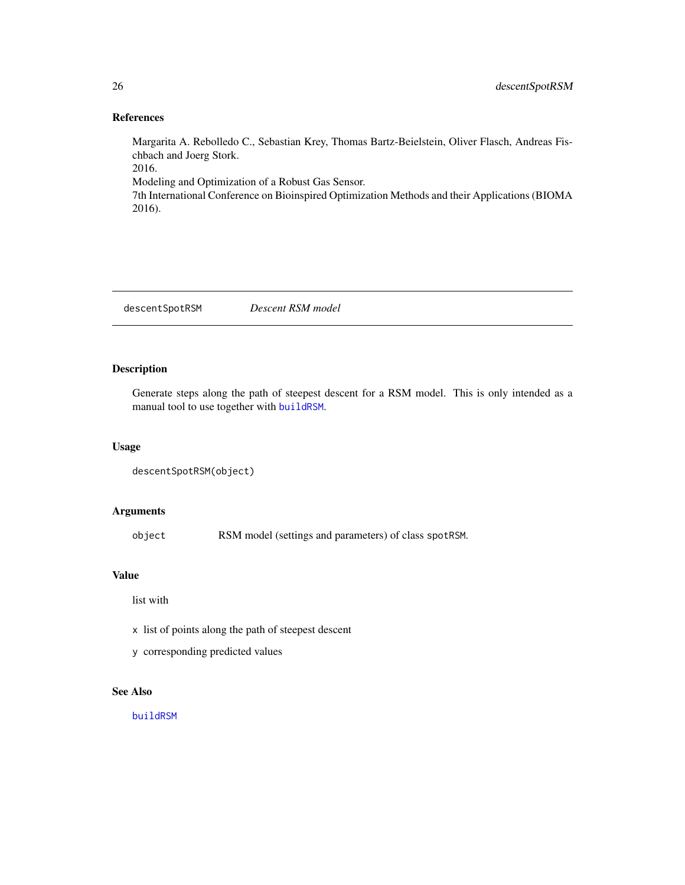# References

2016).

Margarita A. Rebolledo C., Sebastian Krey, Thomas Bartz-Beielstein, Oliver Flasch, Andreas Fischbach and Joerg Stork. 2016. Modeling and Optimization of a Robust Gas Sensor. 7th International Conference on Bioinspired Optimization Methods and their Applications (BIOMA

descentSpotRSM *Descent RSM model*

# Description

Generate steps along the path of steepest descent for a RSM model. This is only intended as a manual tool to use together with [buildRSM](#page-20-1).

## Usage

```
descentSpotRSM(object)
```
# Arguments

object RSM model (settings and parameters) of class spotRSM.

# Value

list with

- x list of points along the path of steepest descent
- y corresponding predicted values

# See Also

[buildRSM](#page-20-1)

<span id="page-25-0"></span>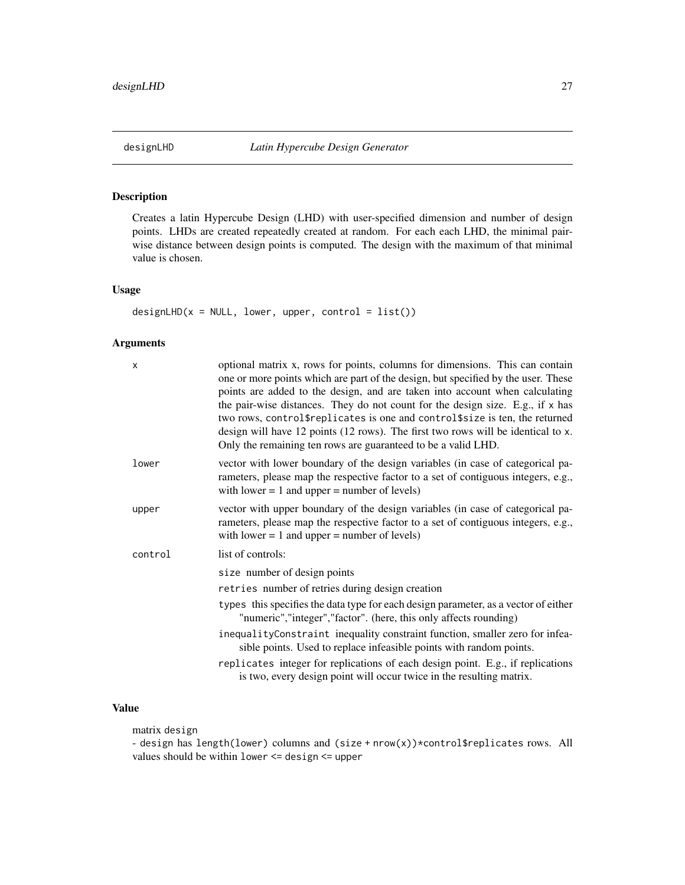<span id="page-26-0"></span>

Creates a latin Hypercube Design (LHD) with user-specified dimension and number of design points. LHDs are created repeatedly created at random. For each each LHD, the minimal pairwise distance between design points is computed. The design with the maximum of that minimal value is chosen.

# Usage

 $designLHD(x = NULL, lower, upper, control = list())$ 

# Arguments

| X       | optional matrix x, rows for points, columns for dimensions. This can contain<br>one or more points which are part of the design, but specified by the user. These<br>points are added to the design, and are taken into account when calculating<br>the pair-wise distances. They do not count for the design size. E.g., if x has<br>two rows, control\$replicates is one and control\$size is ten, the returned<br>design will have 12 points (12 rows). The first two rows will be identical to x.<br>Only the remaining ten rows are guaranteed to be a valid LHD. |
|---------|------------------------------------------------------------------------------------------------------------------------------------------------------------------------------------------------------------------------------------------------------------------------------------------------------------------------------------------------------------------------------------------------------------------------------------------------------------------------------------------------------------------------------------------------------------------------|
| lower   | vector with lower boundary of the design variables (in case of categorical pa-<br>rameters, please map the respective factor to a set of contiguous integers, e.g.,<br>with lower $= 1$ and upper $=$ number of levels)                                                                                                                                                                                                                                                                                                                                                |
| upper   | vector with upper boundary of the design variables (in case of categorical pa-<br>rameters, please map the respective factor to a set of contiguous integers, e.g.,<br>with lower $= 1$ and upper $=$ number of levels)                                                                                                                                                                                                                                                                                                                                                |
| control | list of controls:                                                                                                                                                                                                                                                                                                                                                                                                                                                                                                                                                      |
|         | size number of design points                                                                                                                                                                                                                                                                                                                                                                                                                                                                                                                                           |
|         | retries number of retries during design creation                                                                                                                                                                                                                                                                                                                                                                                                                                                                                                                       |
|         | types this specifies the data type for each design parameter, as a vector of either<br>"numeric", "integer", "factor". (here, this only affects rounding)                                                                                                                                                                                                                                                                                                                                                                                                              |
|         | inequalityConstraint inequality constraint function, smaller zero for infea-<br>sible points. Used to replace infeasible points with random points.                                                                                                                                                                                                                                                                                                                                                                                                                    |
|         | replicates integer for replications of each design point. E.g., if replications<br>is two, every design point will occur twice in the resulting matrix.                                                                                                                                                                                                                                                                                                                                                                                                                |
|         |                                                                                                                                                                                                                                                                                                                                                                                                                                                                                                                                                                        |

# Value

matrix design

- design has length(lower) columns and (size + nrow(x))\*control\$replicates rows. All values should be within lower <= design <= upper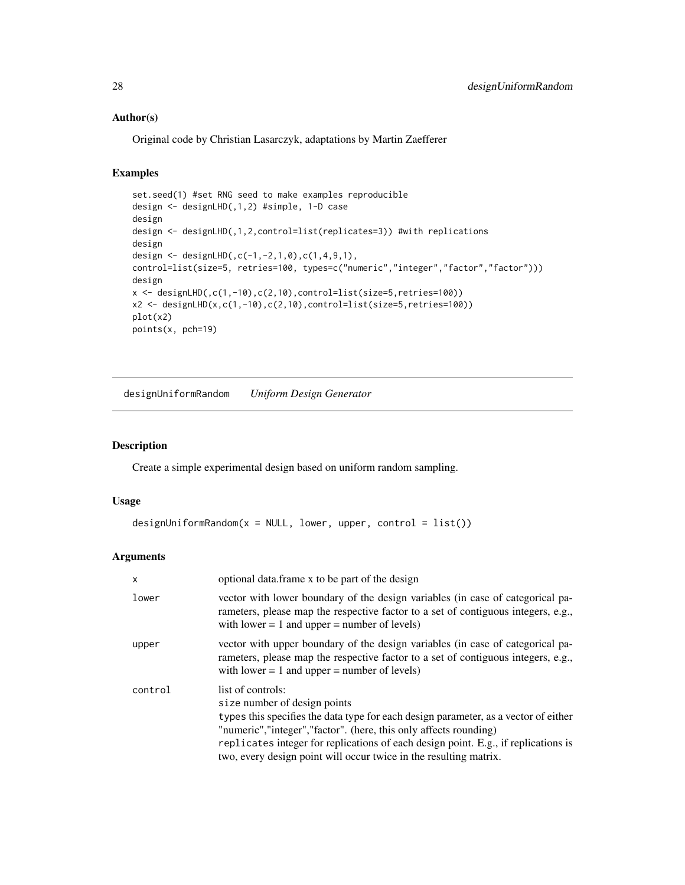## <span id="page-27-0"></span>Author(s)

Original code by Christian Lasarczyk, adaptations by Martin Zaefferer

# Examples

```
set.seed(1) #set RNG seed to make examples reproducible
design <- designLHD(,1,2) #simple, 1-D case
design
design <- designLHD(,1,2,control=list(replicates=3)) #with replications
design
design <- designLHD(,c(-1,-2,1,0),c(1,4,9,1),
control=list(size=5, retries=100, types=c("numeric","integer","factor","factor")))
design
x <- designLHD(,c(1,-10),c(2,10),control=list(size=5,retries=100))
x2 \leftarrow designLHD(x,c(1,-10),c(2,10),control=list(size=5,retries=100))
plot(x2)
points(x, pch=19)
```
designUniformRandom *Uniform Design Generator*

#### Description

Create a simple experimental design based on uniform random sampling.

## Usage

```
designUniformRandom(x = NULL, lower, upper, control = list())
```

| $\mathsf{x}$ | optional data.frame x to be part of the design                                                                                                                                                                                                                                                                                                                            |
|--------------|---------------------------------------------------------------------------------------------------------------------------------------------------------------------------------------------------------------------------------------------------------------------------------------------------------------------------------------------------------------------------|
| lower        | vector with lower boundary of the design variables (in case of categorical pa-<br>rameters, please map the respective factor to a set of contiguous integers, e.g.,<br>with lower $= 1$ and upper $=$ number of levels)                                                                                                                                                   |
| upper        | vector with upper boundary of the design variables (in case of categorical pa-<br>rameters, please map the respective factor to a set of contiguous integers, e.g.,<br>with lower $= 1$ and upper $=$ number of levels)                                                                                                                                                   |
| control      | list of controls:<br>size number of design points<br>types this specifies the data type for each design parameter, as a vector of either<br>"numeric", "integer", "factor". (here, this only affects rounding)<br>replicates integer for replications of each design point. E.g., if replications is<br>two, every design point will occur twice in the resulting matrix. |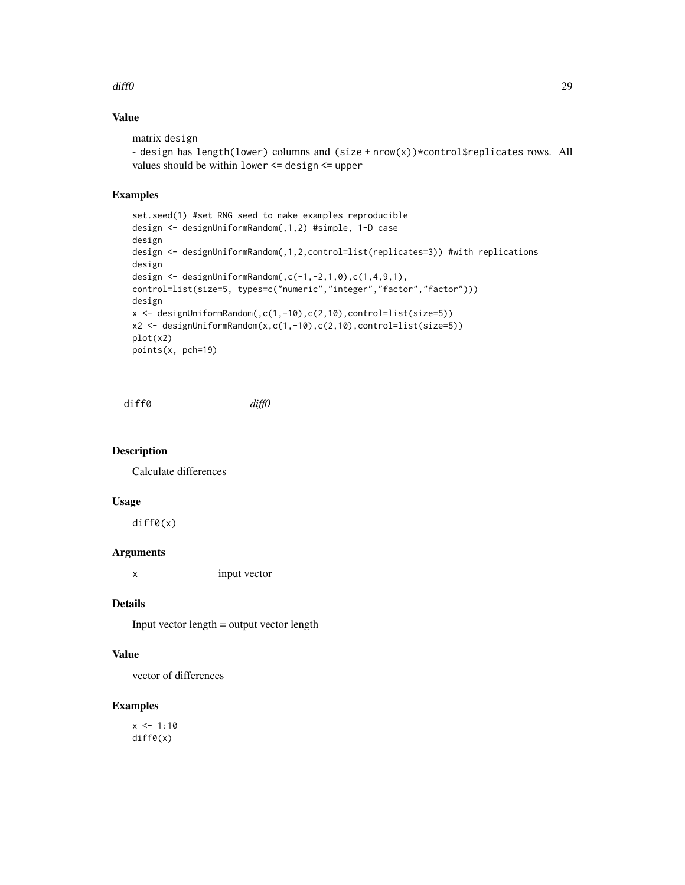#### <span id="page-28-0"></span>diff $0$  29

# Value

```
matrix design
- design has length(lower) columns and (size + nrow(x))*control$replicates rows. All
values should be within lower <= design <= upper
```
### Examples

```
set.seed(1) #set RNG seed to make examples reproducible
design <- designUniformRandom(,1,2) #simple, 1-D case
design
design <- designUniformRandom(,1,2,control=list(replicates=3)) #with replications
design
design <- designUniformRandom(,c(-1,-2,1,0),c(1,4,9,1),
control=list(size=5, types=c("numeric","integer","factor","factor")))
design
x <- designUniformRandom(,c(1,-10),c(2,10),control=list(size=5))
x2 <- designUniformRandom(x,c(1,-10),c(2,10),control=list(size=5))
plot(x2)
points(x, pch=19)
```
diff0 *diff0*

#### Description

Calculate differences

#### Usage

diff0(x)

# Arguments

x input vector

# Details

Input vector length = output vector length

#### Value

vector of differences

#### Examples

 $x \le -1:10$ diff0(x)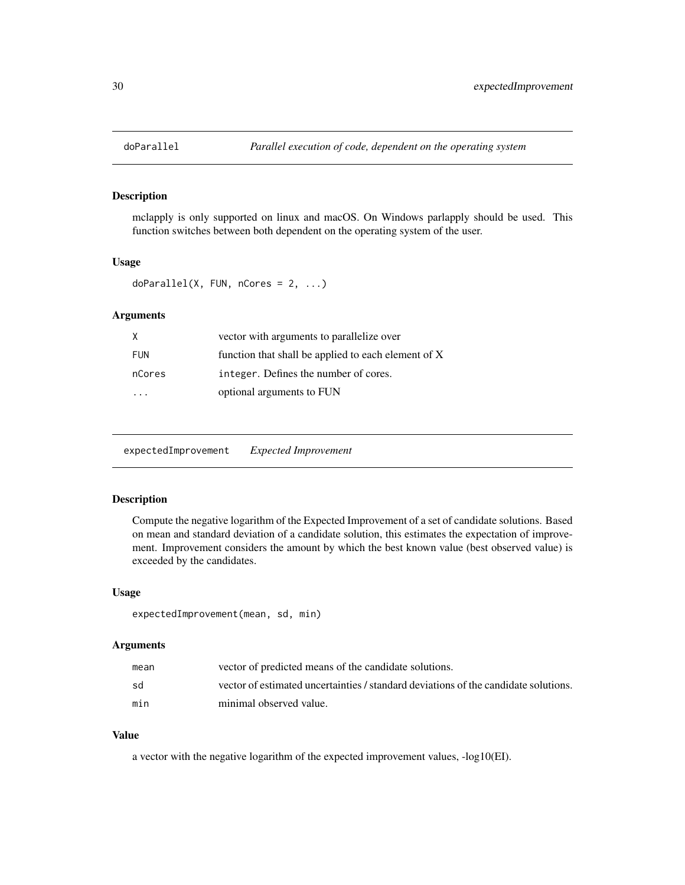<span id="page-29-0"></span>

mclapply is only supported on linux and macOS. On Windows parlapply should be used. This function switches between both dependent on the operating system of the user.

#### Usage

```
doParallel(X, FUN, nCores = 2, ...)
```
# Arguments

| X          | vector with arguments to parallelize over           |
|------------|-----------------------------------------------------|
| <b>FUN</b> | function that shall be applied to each element of X |
| nCores     | integer. Defines the number of cores.               |
|            | optional arguments to FUN                           |

expectedImprovement *Expected Improvement*

# Description

Compute the negative logarithm of the Expected Improvement of a set of candidate solutions. Based on mean and standard deviation of a candidate solution, this estimates the expectation of improvement. Improvement considers the amount by which the best known value (best observed value) is exceeded by the candidates.

#### Usage

```
expectedImprovement(mean, sd, min)
```
#### Arguments

| mean | vector of predicted means of the candidate solutions.                               |
|------|-------------------------------------------------------------------------------------|
| sd   | vector of estimated uncertainties / standard deviations of the candidate solutions. |
| min  | minimal observed value.                                                             |

#### Value

a vector with the negative logarithm of the expected improvement values, -log10(EI).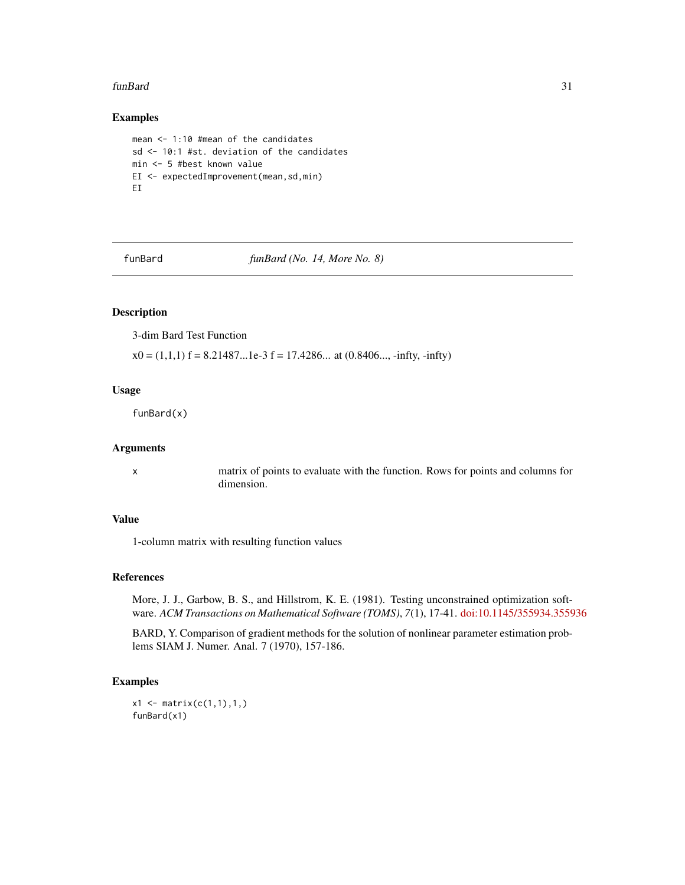#### <span id="page-30-0"></span>funBard 31 31 32 32 33 33 34 35 36 37 38 37 38 37 38 37 38 38 39 38 39 39 30 31 32 33 39 30 31 32 33 34 35 37 38 39 30 31 32 33 33 34 35 36 37 38 39 30 31 32 33 39 30 31 32 33 34 35 36 37 38 39 30 31 32 33 34 35 36 37 38 3

# Examples

```
mean <- 1:10 #mean of the candidates
sd <- 10:1 #st. deviation of the candidates
min <- 5 #best known value
EI <- expectedImprovement(mean,sd,min)
EI
```
funBard *funBard (No. 14, More No. 8)*

# Description

3-dim Bard Test Function

 $x0 = (1,1,1)$  f = 8.21487...1e-3 f = 17.4286... at  $(0.8406...$ , -infty, -infty)

## Usage

funBard(x)

# Arguments

x matrix of points to evaluate with the function. Rows for points and columns for dimension.

#### Value

1-column matrix with resulting function values

# References

More, J. J., Garbow, B. S., and Hillstrom, K. E. (1981). Testing unconstrained optimization software. *ACM Transactions on Mathematical Software (TOMS)*, *7*(1), 17-41. [doi:10.1145/355934.355936](https://doi.org/10.1145/355934.355936)

BARD, Y. Comparison of gradient methods for the solution of nonlinear parameter estimation problems SIAM J. Numer. Anal. 7 (1970), 157-186.

# Examples

```
x1 \leftarrow matrix(c(1,1),1,1)funBard(x1)
```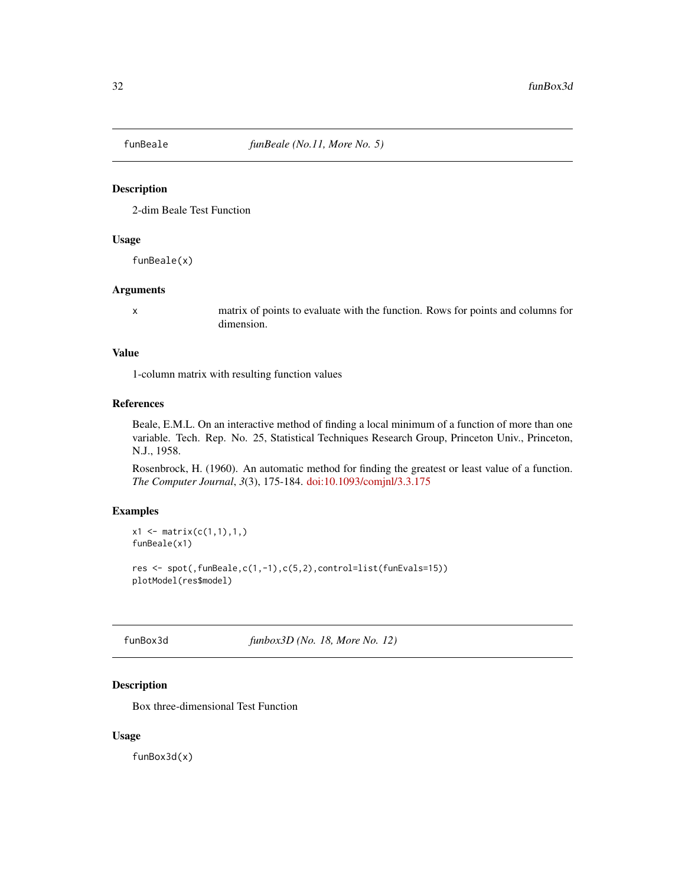<span id="page-31-0"></span>

2-dim Beale Test Function

# Usage

funBeale(x)

# Arguments

x matrix of points to evaluate with the function. Rows for points and columns for dimension.

#### Value

1-column matrix with resulting function values

#### References

Beale, E.M.L. On an interactive method of finding a local minimum of a function of more than one variable. Tech. Rep. No. 25, Statistical Techniques Research Group, Princeton Univ., Princeton, N.J., 1958.

Rosenbrock, H. (1960). An automatic method for finding the greatest or least value of a function. *The Computer Journal*, *3*(3), 175-184. [doi:10.1093/comjnl/3.3.175](https://doi.org/10.1093/comjnl/3.3.175)

#### Examples

```
x1 \le matrix(c(1,1),1,)
funBeale(x1)
res \leq spot(, funBeale, c(1,-1), c(5,2), control=list(funEvals=15))
plotModel(res$model)
```
funBox3d *funbox3D (No. 18, More No. 12)*

# Description

Box three-dimensional Test Function

#### Usage

funBox3d(x)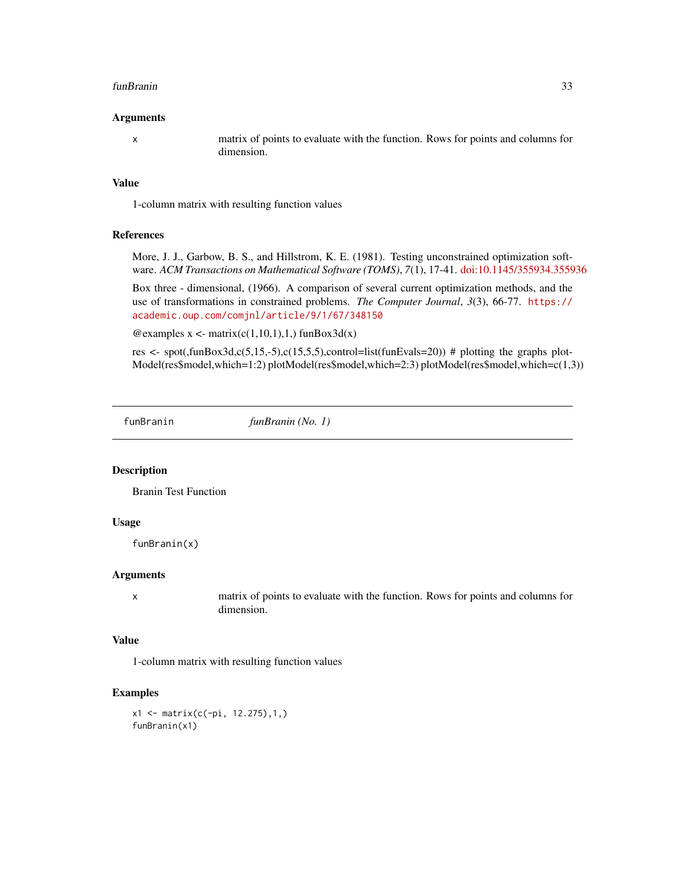#### <span id="page-32-0"></span>funBranin 33

#### Arguments

x matrix of points to evaluate with the function. Rows for points and columns for dimension.

# Value

1-column matrix with resulting function values

#### References

More, J. J., Garbow, B. S., and Hillstrom, K. E. (1981). Testing unconstrained optimization software. *ACM Transactions on Mathematical Software (TOMS)*, *7*(1), 17-41. [doi:10.1145/355934.355936](https://doi.org/10.1145/355934.355936)

Box three - dimensional, (1966). A comparison of several current optimization methods, and the use of transformations in constrained problems. *The Computer Journal*, *3*(3), 66-77. [https://](https://academic.oup.com/comjnl/article/9/1/67/348150) [academic.oup.com/comjnl/article/9/1/67/348150](https://academic.oup.com/comjnl/article/9/1/67/348150)

 $@$ examples x <- matrix(c(1,10,1),1,) funBox3d(x)

res <- spot(,funBox3d,c(5,15,-5),c(15,5,5),control=list(funEvals=20)) # plotting the graphs plot-Model(res\$model,which=1:2) plotModel(res\$model,which=2:3) plotModel(res\$model,which=c(1,3))

funBranin *funBranin (No. 1)*

#### Description

Branin Test Function

#### Usage

funBranin(x)

#### **Arguments**

x matrix of points to evaluate with the function. Rows for points and columns for dimension.

#### Value

1-column matrix with resulting function values

# Examples

x1 <- matrix(c(-pi, 12.275),1,) funBranin(x1)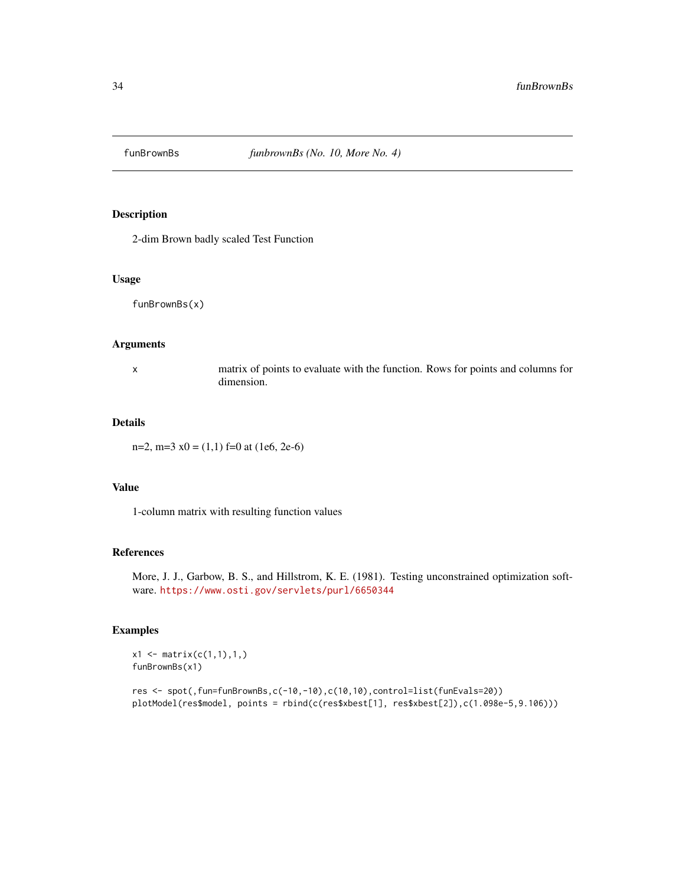<span id="page-33-0"></span>

2-dim Brown badly scaled Test Function

#### Usage

funBrownBs(x)

# Arguments

x matrix of points to evaluate with the function. Rows for points and columns for dimension.

#### Details

n=2, m=3  $x0 = (1,1)$  f=0 at (1e6, 2e-6)

## Value

1-column matrix with resulting function values

#### References

More, J. J., Garbow, B. S., and Hillstrom, K. E. (1981). Testing unconstrained optimization software. <https://www.osti.gov/servlets/purl/6650344>

# Examples

 $x1 \le$  matrix( $c(1,1),1,$ ) funBrownBs(x1)

```
res <- spot(,fun=funBrownBs,c(-10,-10),c(10,10),control=list(funEvals=20))
plotModel(res$model, points = rbind(c(res$xbest[1], res$xbest[2]),c(1.098e-5,9.106)))
```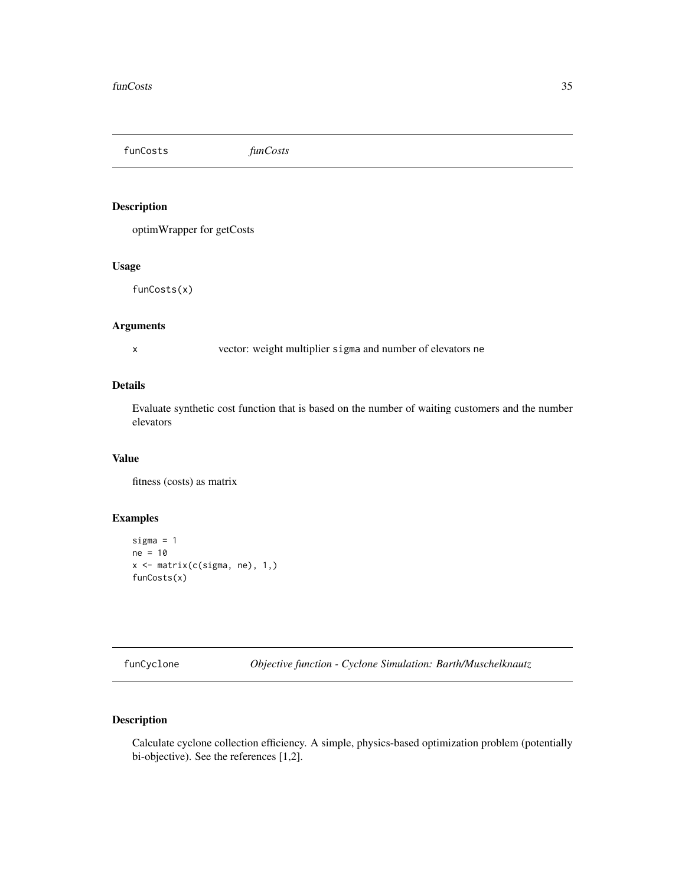<span id="page-34-0"></span>funCosts *funCosts*

# Description

optimWrapper for getCosts

# Usage

funCosts(x)

# Arguments

x vector: weight multiplier sigma and number of elevators ne

# Details

Evaluate synthetic cost function that is based on the number of waiting customers and the number elevators

### Value

fitness (costs) as matrix

# Examples

```
sigma = 1
ne = 10
x <- matrix(c(sigma, ne), 1,)
funCosts(x)
```
funCyclone *Objective function - Cyclone Simulation: Barth/Muschelknautz*

# Description

Calculate cyclone collection efficiency. A simple, physics-based optimization problem (potentially bi-objective). See the references [1,2].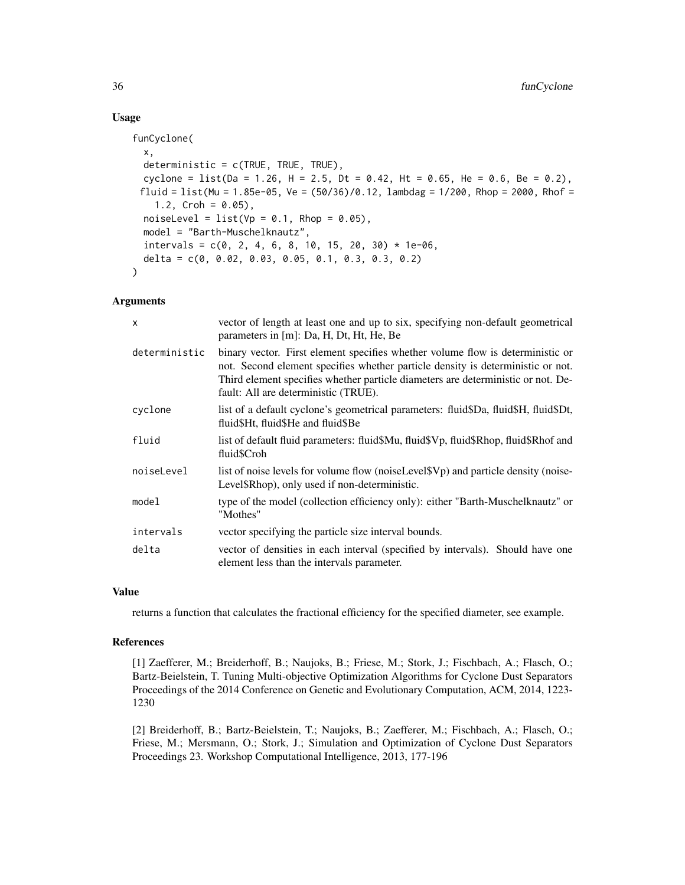## Usage

```
funCyclone(
  x,
  deterministic = c(TRUE, TRUE, TRUE),
  cyclone = list(Da = 1.26, H = 2.5, Dt = 0.42, Ht = 0.65, He = 0.6, Be = 0.2),
 fluid = list(Mu = 1.85e-05, Ve = (50/36)/0.12, lambdag = 1/200, Rhop = 2000, Rhof =
    1.2, Croh = 0.05),
  noiseLevel = list(Vp = 0.1, Rhop = 0.05),
 model = "Barth-Muschelknautz",
  intervals = c(0, 2, 4, 6, 8, 10, 15, 20, 30) * 1e-06,
  delta = c(0, 0.02, 0.03, 0.05, 0.1, 0.3, 0.3, 0.2)
```
#### Arguments

)

| vector of length at least one and up to six, specifying non-default geometrical<br>parameters in [m]: Da, H, Dt, Ht, He, Be                                                                                                                                                                   |
|-----------------------------------------------------------------------------------------------------------------------------------------------------------------------------------------------------------------------------------------------------------------------------------------------|
| binary vector. First element specifies whether volume flow is deterministic or<br>not. Second element specifies whether particle density is deterministic or not.<br>Third element specifies whether particle diameters are deterministic or not. De-<br>fault: All are deterministic (TRUE). |
| list of a default cyclone's geometrical parameters: fluid\$Da, fluid\$H, fluid\$Dt,<br>fluid\$Ht, fluid\$He and fluid\$Be                                                                                                                                                                     |
| list of default fluid parameters: fluid\$Mu, fluid\$Vp, fluid\$Rhop, fluid\$Rhof and<br>fluid\$Croh                                                                                                                                                                                           |
| list of noise levels for volume flow (noise Level SV <sub>p</sub> ) and particle density (noise-<br>Level\$Rhop), only used if non-deterministic.                                                                                                                                             |
| type of the model (collection efficiency only): either "Barth-Muschelknautz" or<br>"Mothes"                                                                                                                                                                                                   |
| vector specifying the particle size interval bounds.                                                                                                                                                                                                                                          |
| vector of densities in each interval (specified by intervals). Should have one<br>element less than the intervals parameter.                                                                                                                                                                  |
|                                                                                                                                                                                                                                                                                               |

#### Value

returns a function that calculates the fractional efficiency for the specified diameter, see example.

#### References

[1] Zaefferer, M.; Breiderhoff, B.; Naujoks, B.; Friese, M.; Stork, J.; Fischbach, A.; Flasch, O.; Bartz-Beielstein, T. Tuning Multi-objective Optimization Algorithms for Cyclone Dust Separators Proceedings of the 2014 Conference on Genetic and Evolutionary Computation, ACM, 2014, 1223- 1230

[2] Breiderhoff, B.; Bartz-Beielstein, T.; Naujoks, B.; Zaefferer, M.; Fischbach, A.; Flasch, O.; Friese, M.; Mersmann, O.; Stork, J.; Simulation and Optimization of Cyclone Dust Separators Proceedings 23. Workshop Computational Intelligence, 2013, 177-196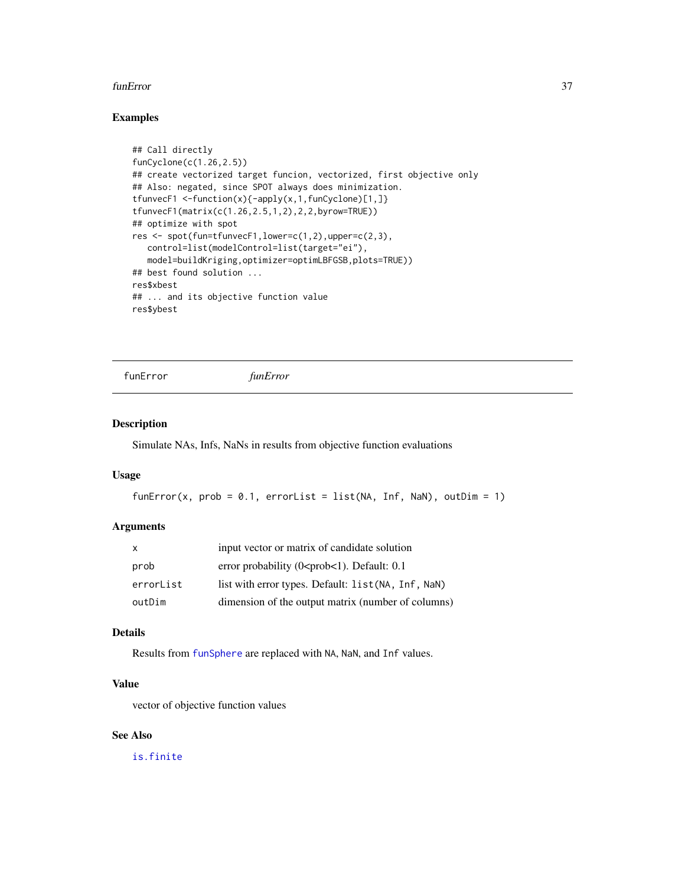#### funError 37

## Examples

```
## Call directly
funCyclone(c(1.26,2.5))
## create vectorized target funcion, vectorized, first objective only
## Also: negated, since SPOT always does minimization.
tfunvecF1 <-function(x){-apply(x,1,funCyclone)[1,]}
tfunvecF1(matrix(c(1.26,2.5,1,2),2,2,byrow=TRUE))
## optimize with spot
res \leq spot(fun=tfunvecF1, lower=c(1,2), upper=c(2,3),
   control=list(modelControl=list(target="ei"),
   model=buildKriging,optimizer=optimLBFGSB,plots=TRUE))
## best found solution ...
res$xbest
## ... and its objective function value
res$ybest
```
funError *funError*

#### Description

Simulate NAs, Infs, NaNs in results from objective function evaluations

#### Usage

```
funError(x, prob = 0.1, errorList = list(NA, Inf, NaN), outDim = 1)
```
#### Arguments

| $\mathsf{x}$ | input vector or matrix of candidate solution                         |
|--------------|----------------------------------------------------------------------|
| prob         | error probability (0 <prob<1). 0.1<="" default:="" td=""></prob<1).> |
| errorList    | list with error types. Default: list (NA, Inf, NaN)                  |
| outDim       | dimension of the output matrix (number of columns)                   |

# Details

Results from [funSphere](#page-50-0) are replaced with NA, NaN, and Inf values.

## Value

vector of objective function values

# See Also

[is.finite](#page-0-0)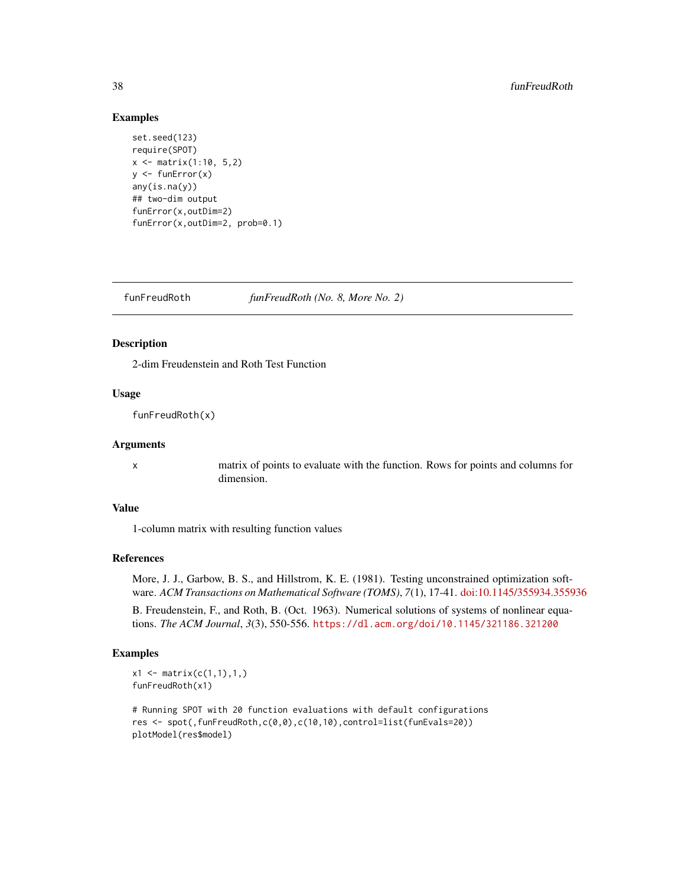#### Examples

```
set.seed(123)
require(SPOT)
x <- matrix(1:10, 5,2)
y \leftarrow funError(x)any(is.na(y))
## two-dim output
funError(x,outDim=2)
funError(x,outDim=2, prob=0.1)
```
funFreudRoth *funFreudRoth (No. 8, More No. 2)*

## Description

2-dim Freudenstein and Roth Test Function

#### Usage

funFreudRoth(x)

#### **Arguments**

x matrix of points to evaluate with the function. Rows for points and columns for dimension.

#### Value

1-column matrix with resulting function values

## References

More, J. J., Garbow, B. S., and Hillstrom, K. E. (1981). Testing unconstrained optimization software. *ACM Transactions on Mathematical Software (TOMS)*, *7*(1), 17-41. [doi:10.1145/355934.355936](https://doi.org/10.1145/355934.355936)

B. Freudenstein, F., and Roth, B. (Oct. 1963). Numerical solutions of systems of nonlinear equations. *The ACM Journal*, *3*(3), 550-556. <https://dl.acm.org/doi/10.1145/321186.321200>

```
x1 \leftarrow matrix(c(1,1),1,1)funFreudRoth(x1)
```

```
# Running SPOT with 20 function evaluations with default configurations
res <- spot(,funFreudRoth,c(0,0),c(10,10),control=list(funEvals=20))
plotModel(res$model)
```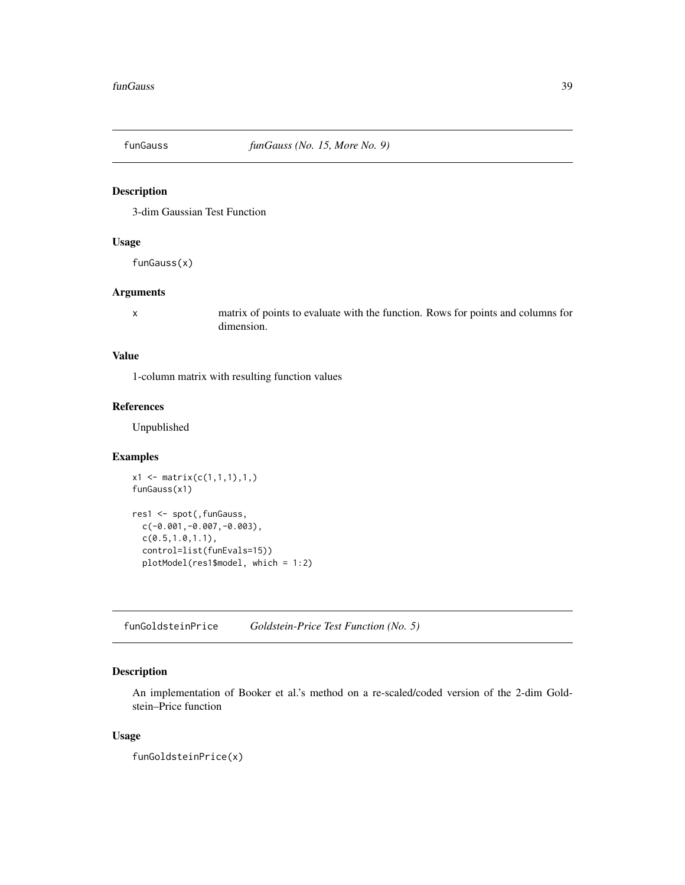## Description

3-dim Gaussian Test Function

### Usage

funGauss(x)

#### Arguments

x matrix of points to evaluate with the function. Rows for points and columns for dimension.

# Value

1-column matrix with resulting function values

## References

Unpublished

## Examples

```
x1 \le matrix(c(1,1,1),1,)
funGauss(x1)
res1 <- spot(,funGauss,
 c(-0.001,-0.007,-0.003),
 c(0.5,1.0,1.1),
 control=list(funEvals=15))
 plotModel(res1$model, which = 1:2)
```
funGoldsteinPrice *Goldstein-Price Test Function (No. 5)*

## Description

An implementation of Booker et al.'s method on a re-scaled/coded version of the 2-dim Goldstein–Price function

#### Usage

funGoldsteinPrice(x)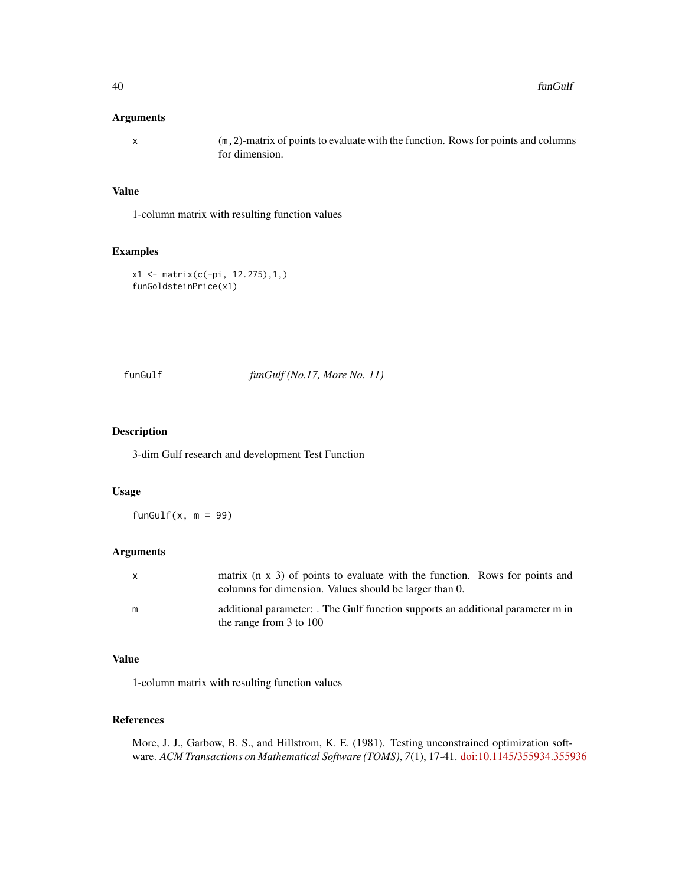#### Arguments

x (m,2)-matrix of points to evaluate with the function. Rows for points and columns for dimension.

## Value

1-column matrix with resulting function values

## Examples

```
x1 <- matrix(c(-pi, 12.275),1,)
funGoldsteinPrice(x1)
```
funGulf *funGulf (No.17, More No. 11)*

#### Description

3-dim Gulf research and development Test Function

## Usage

funGulf $(x, m = 99)$ 

## Arguments

| $\mathsf{X}$ | matrix $(n \times 3)$ of points to evaluate with the function. Rows for points and<br>columns for dimension. Values should be larger than 0. |
|--------------|----------------------------------------------------------------------------------------------------------------------------------------------|
| m            | additional parameter: The Gulf function supports an additional parameter m in<br>the range from $3$ to $100$                                 |

# Value

1-column matrix with resulting function values

### References

More, J. J., Garbow, B. S., and Hillstrom, K. E. (1981). Testing unconstrained optimization software. *ACM Transactions on Mathematical Software (TOMS)*, *7*(1), 17-41. [doi:10.1145/355934.355936](https://doi.org/10.1145/355934.355936)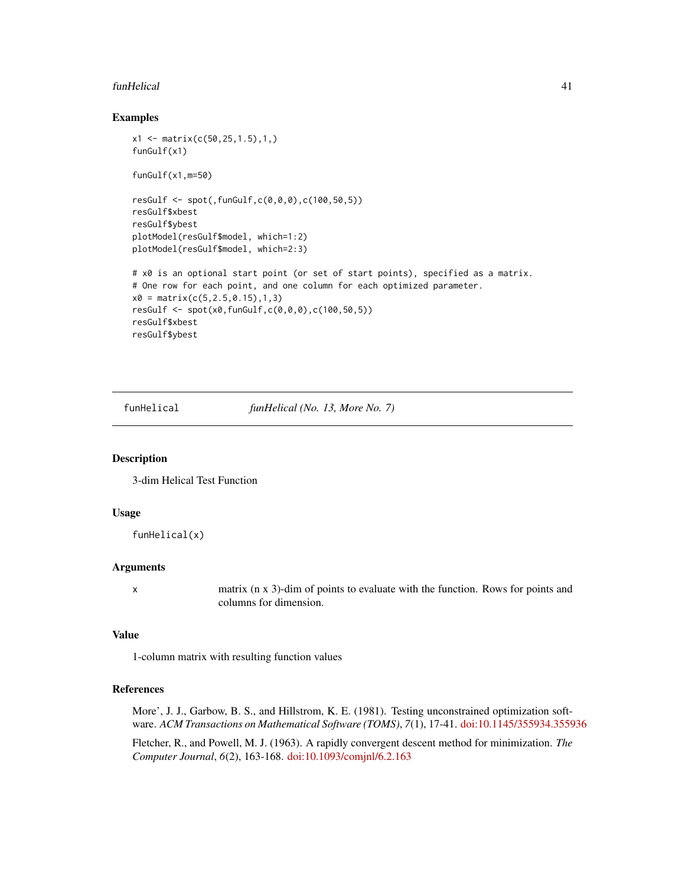#### funHelical 41

#### Examples

```
x1 \leq - matrix(c(50, 25, 1.5), 1,)
funGulf(x1)
funGulf(x1,m=50)
resGulf <- spot(,funGulf,c(0,0,0),c(100,50,5))
resGulf$xbest
resGulf$ybest
plotModel(resGulf$model, which=1:2)
plotModel(resGulf$model, which=2:3)
# x0 is an optional start point (or set of start points), specified as a matrix.
# One row for each point, and one column for each optimized parameter.
x0 = matrix(c(5, 2.5, 0.15), 1, 3)resGulf <- spot(x0,funGulf,c(0,0,0),c(100,50,5))
resGulf$xbest
resGulf$ybest
```
funHelical *funHelical (No. 13, More No. 7)*

#### Description

3-dim Helical Test Function

#### Usage

funHelical(x)

#### Arguments

x matrix (n x 3)-dim of points to evaluate with the function. Rows for points and columns for dimension.

# Value

1-column matrix with resulting function values

## References

More', J. J., Garbow, B. S., and Hillstrom, K. E. (1981). Testing unconstrained optimization software. *ACM Transactions on Mathematical Software (TOMS)*, *7*(1), 17-41. [doi:10.1145/355934.355936](https://doi.org/10.1145/355934.355936)

Fletcher, R., and Powell, M. J. (1963). A rapidly convergent descent method for minimization. *The Computer Journal*, *6*(2), 163-168. [doi:10.1093/comjnl/6.2.163](https://doi.org/10.1093/comjnl/6.2.163)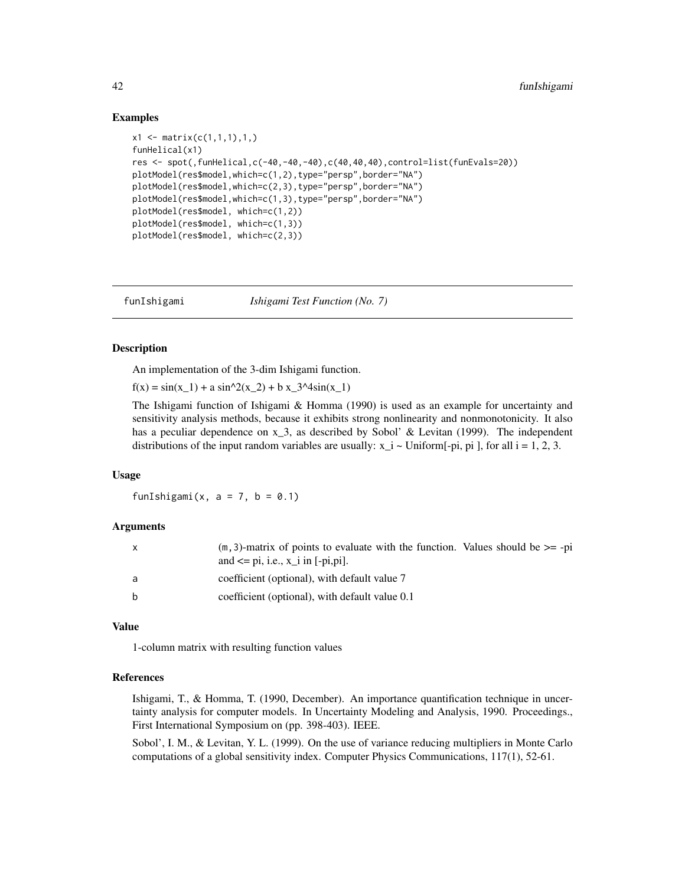## Examples

```
x1 \leftarrow matrix(c(1,1,1),1,1)funHelical(x1)
res <- spot(,funHelical,c(-40,-40,-40),c(40,40,40),control=list(funEvals=20))
plotModel(res$model,which=c(1,2),type="persp",border="NA")
plotModel(res$model,which=c(2,3),type="persp",border="NA")
plotModel(res$model,which=c(1,3),type="persp",border="NA")
plotModel(res$model, which=c(1,2))
plotModel(res$model, which=c(1,3))
plotModel(res$model, which=c(2,3))
```
funIshigami *Ishigami Test Function (No. 7)*

#### **Description**

An implementation of the 3-dim Ishigami function.

 $f(x) = \sin(x_1) + a \sin^2(x_2) + b x_3^2 + 4 \sin(x_1)$ 

The Ishigami function of Ishigami & Homma (1990) is used as an example for uncertainty and sensitivity analysis methods, because it exhibits strong nonlinearity and nonmonotonicity. It also has a peculiar dependence on x<sub>1</sub>3, as described by Sobol' & Levitan (1999). The independent distributions of the input random variables are usually:  $x_i =$  Uniform[-pi, pi], for all  $i = 1, 2, 3$ .

#### Usage

funIshigami(x,  $a = 7$ ,  $b = 0.1$ )

#### Arguments

| X            | $(m, 3)$ -matrix of points to evaluate with the function. Values should be $>=$ -pi<br>and $\leq$ pi, i.e., $x_i$ in [-pi,pi]. |
|--------------|--------------------------------------------------------------------------------------------------------------------------------|
| a            | coefficient (optional), with default value 7                                                                                   |
| <sub>b</sub> | coefficient (optional), with default value 0.1                                                                                 |

## Value

1-column matrix with resulting function values

#### References

Ishigami, T., & Homma, T. (1990, December). An importance quantification technique in uncertainty analysis for computer models. In Uncertainty Modeling and Analysis, 1990. Proceedings., First International Symposium on (pp. 398-403). IEEE.

Sobol', I. M., & Levitan, Y. L. (1999). On the use of variance reducing multipliers in Monte Carlo computations of a global sensitivity index. Computer Physics Communications, 117(1), 52-61.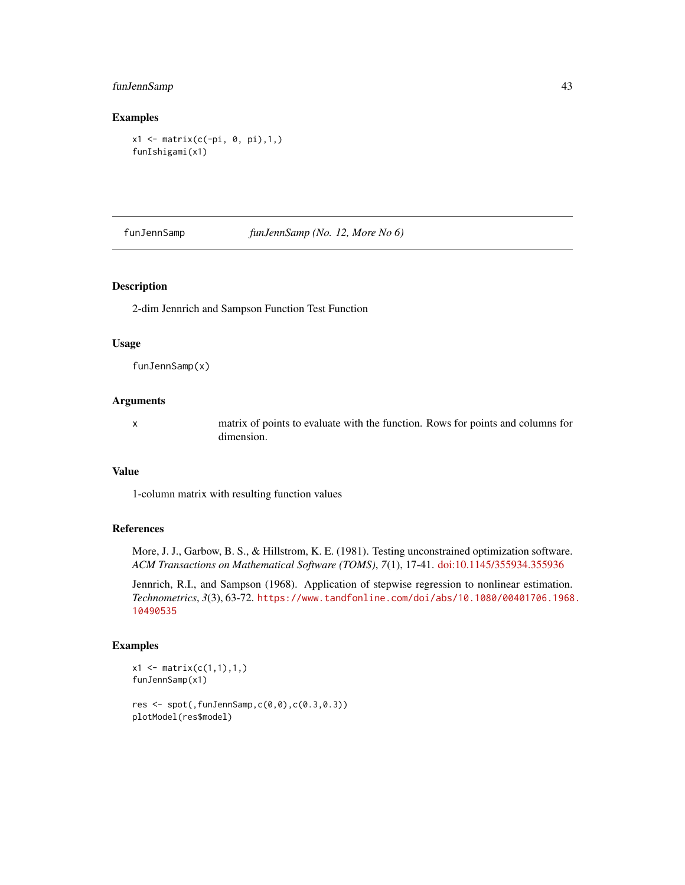## funJennSamp 43

## Examples

x1 <- matrix(c(-pi, 0, pi),1,) funIshigami(x1)

funJennSamp *funJennSamp (No. 12, More No 6)*

#### Description

2-dim Jennrich and Sampson Function Test Function

#### Usage

funJennSamp(x)

#### Arguments

x matrix of points to evaluate with the function. Rows for points and columns for dimension.

#### Value

1-column matrix with resulting function values

## References

More, J. J., Garbow, B. S., & Hillstrom, K. E. (1981). Testing unconstrained optimization software. *ACM Transactions on Mathematical Software (TOMS)*, *7*(1), 17-41. [doi:10.1145/355934.355936](https://doi.org/10.1145/355934.355936)

Jennrich, R.I., and Sampson (1968). Application of stepwise regression to nonlinear estimation. *Technometrics*, *3*(3), 63-72. [https://www.tandfonline.com/doi/abs/10.1080/00401706.1968](https://www.tandfonline.com/doi/abs/10.1080/00401706.1968.10490535). [10490535](https://www.tandfonline.com/doi/abs/10.1080/00401706.1968.10490535)

```
x1 <- matrix(c(1,1),1,)
funJennSamp(x1)
res \leq spot(, funJennSamp, c(0,0), c(0.3,0.3)plotModel(res$model)
```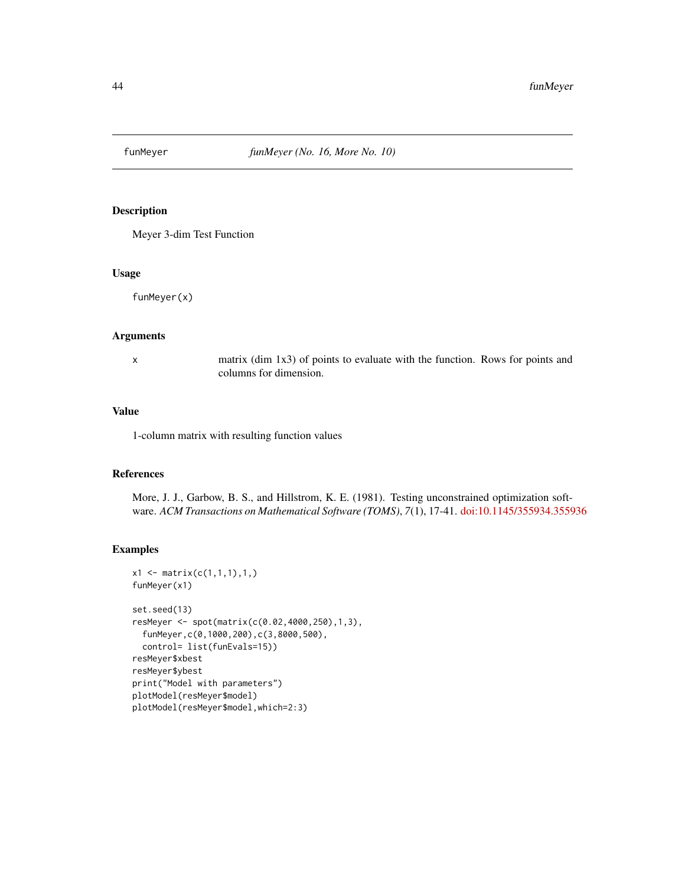## Description

Meyer 3-dim Test Function

#### Usage

funMeyer(x)

#### Arguments

x matrix (dim 1x3) of points to evaluate with the function. Rows for points and columns for dimension.

## Value

1-column matrix with resulting function values

## References

More, J. J., Garbow, B. S., and Hillstrom, K. E. (1981). Testing unconstrained optimization software. *ACM Transactions on Mathematical Software (TOMS)*, *7*(1), 17-41. [doi:10.1145/355934.355936](https://doi.org/10.1145/355934.355936)

```
x1 \leftarrow matrix(c(1,1,1),1,1)funMeyer(x1)
set.seed(13)
resMeyer <- spot(matrix(c(0.02,4000,250),1,3),
 funMeyer,c(0,1000,200),c(3,8000,500),
 control= list(funEvals=15))
resMeyer$xbest
resMeyer$ybest
print("Model with parameters")
plotModel(resMeyer$model)
plotModel(resMeyer$model,which=2:3)
```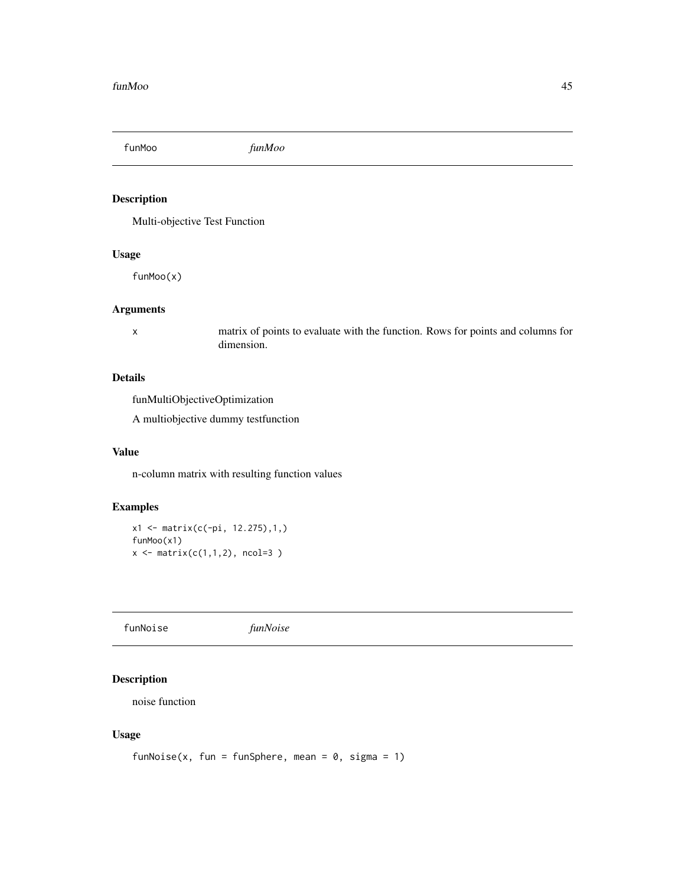funMoo *funMoo*

## Description

Multi-objective Test Function

# Usage

funMoo(x)

# Arguments

x matrix of points to evaluate with the function. Rows for points and columns for dimension.

# Details

funMultiObjectiveOptimization

A multiobjective dummy testfunction

## Value

n-column matrix with resulting function values

# Examples

x1 <- matrix(c(-pi, 12.275),1,) funMoo(x1)  $x \leftarrow \text{matrix}(c(1,1,2), \text{ ncol=3 })$ 

funNoise *funNoise*

## Description

noise function

#### Usage

```
funNoise(x, fun = funSphere, mean = 0, sigma = 1)
```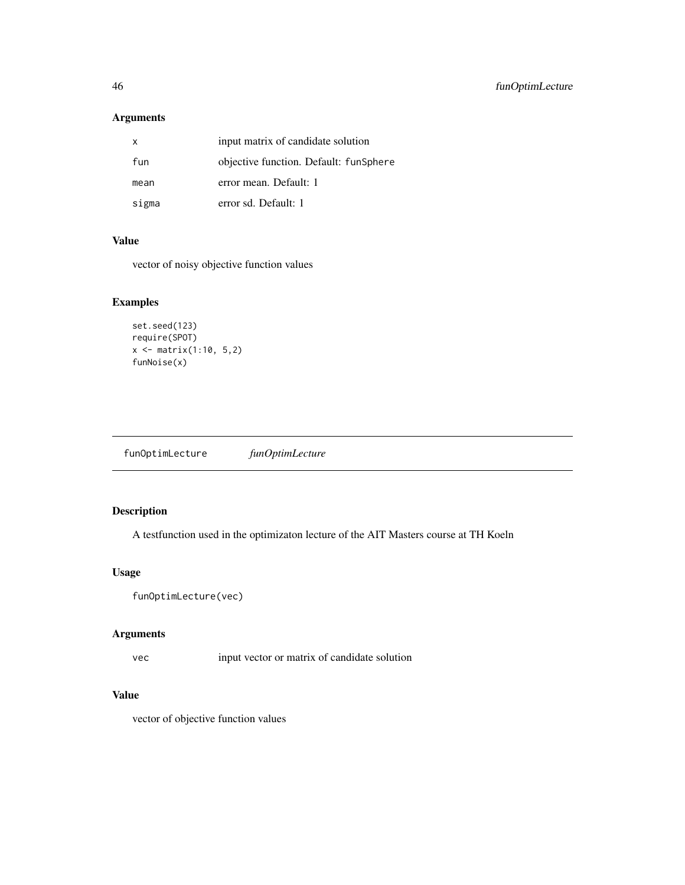# Arguments

| X     | input matrix of candidate solution     |
|-------|----------------------------------------|
| fun   | objective function. Default: funSphere |
| mean  | error mean. Default: 1                 |
| sigma | error sd. Default: 1                   |

# Value

vector of noisy objective function values

# Examples

```
set.seed(123)
require(SPOT)
x \leftarrow \text{matrix}(1:10, 5, 2)funNoise(x)
```
funOptimLecture *funOptimLecture*

# Description

A testfunction used in the optimizaton lecture of the AIT Masters course at TH Koeln

# Usage

funOptimLecture(vec)

## Arguments

vec input vector or matrix of candidate solution

# Value

vector of objective function values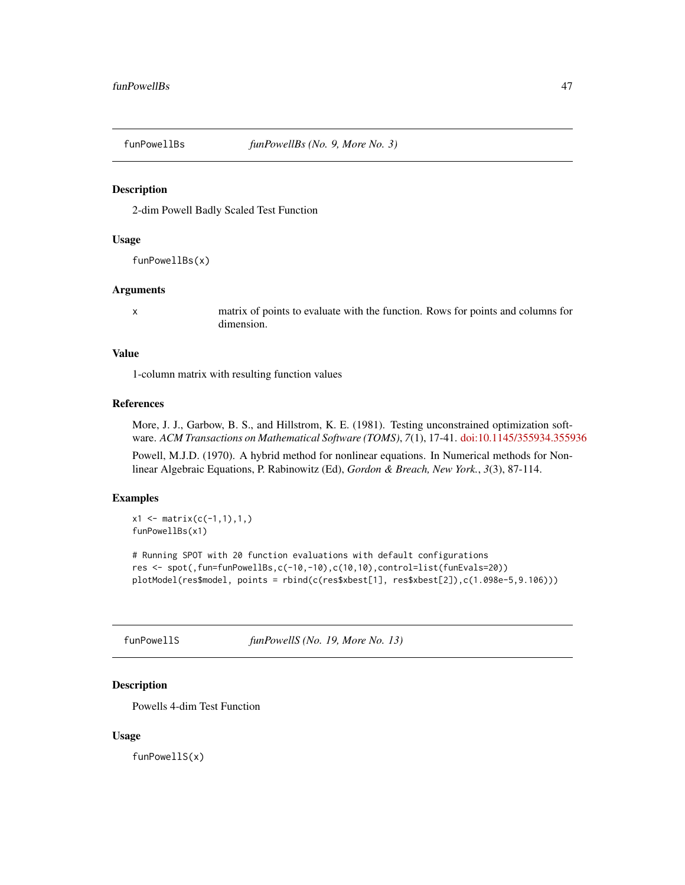## Description

2-dim Powell Badly Scaled Test Function

#### Usage

funPowellBs(x)

## Arguments

x matrix of points to evaluate with the function. Rows for points and columns for dimension.

#### Value

1-column matrix with resulting function values

#### References

More, J. J., Garbow, B. S., and Hillstrom, K. E. (1981). Testing unconstrained optimization software. *ACM Transactions on Mathematical Software (TOMS)*, *7*(1), 17-41. [doi:10.1145/355934.355936](https://doi.org/10.1145/355934.355936)

Powell, M.J.D. (1970). A hybrid method for nonlinear equations. In Numerical methods for Nonlinear Algebraic Equations, P. Rabinowitz (Ed), *Gordon & Breach, New York.*, *3*(3), 87-114.

## Examples

```
x1 \leftarrow \text{matrix}(c(-1,1),1,1)funPowellBs(x1)
# Running SPOT with 20 function evaluations with default configurations
res <- spot(,fun=funPowellBs,c(-10,-10),c(10,10),control=list(funEvals=20))
plotModel(res$model, points = rbind(c(res$xbest[1], res$xbest[2]),c(1.098e-5,9.106)))
```
funPowellS *funPowellS (No. 19, More No. 13)*

#### Description

Powells 4-dim Test Function

#### Usage

funPowellS(x)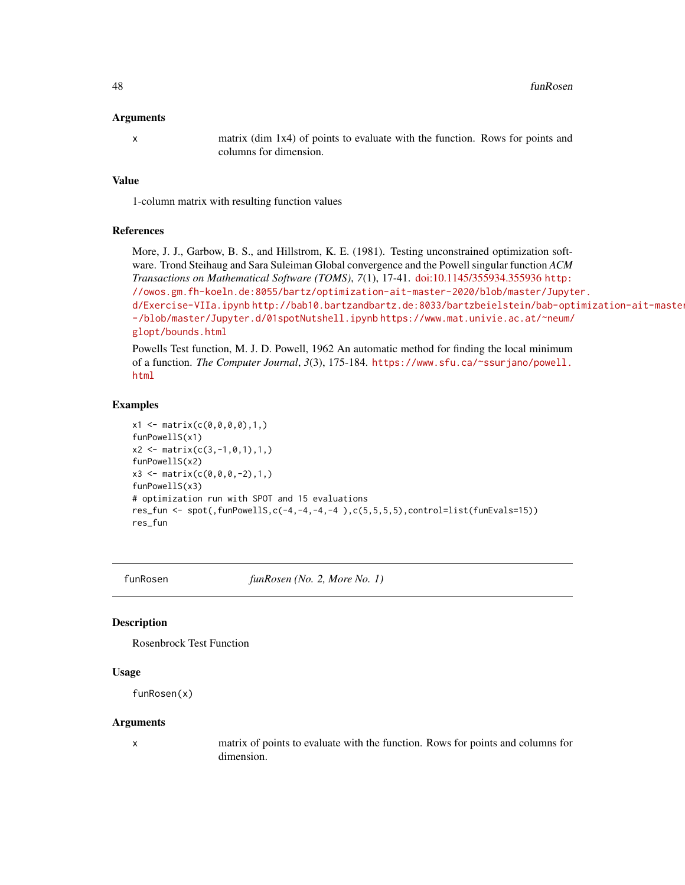#### Arguments

x matrix (dim 1x4) of points to evaluate with the function. Rows for points and columns for dimension.

## Value

1-column matrix with resulting function values

#### References

More, J. J., Garbow, B. S., and Hillstrom, K. E. (1981). Testing unconstrained optimization software. Trond Steihaug and Sara Suleiman Global convergence and the Powell singular function *ACM Transactions on Mathematical Software (TOMS)*, *7*(1), 17-41. [doi:10.1145/355934.355936](https://doi.org/10.1145/355934.355936) [http:](http://owos.gm.fh-koeln.de:8055/bartz/optimization-ait-master-2020/blob/master/Jupyter.d/Exercise-VIIa.ipynb) [//owos.gm.fh-koeln.de:8055/bartz/optimization-ait-master-2020/blob/master/Jupyt](http://owos.gm.fh-koeln.de:8055/bartz/optimization-ait-master-2020/blob/master/Jupyter.d/Exercise-VIIa.ipynb)er. [d/Exercise-VIIa.ipynb](http://owos.gm.fh-koeln.de:8055/bartz/optimization-ait-master-2020/blob/master/Jupyter.d/Exercise-VIIa.ipynb) [http://bab10.bartzandbartz.de:8033/bartzbeielstein/bab-opt](http://bab10.bartzandbartz.de:8033/bartzbeielstein/bab-optimization-ait-master-2020/-/blob/master/Jupyter.d/01spotNutshell.ipynb)imization-ait-maste [-/blob/master/Jupyter.d/01spotNutshell.ipynb](http://bab10.bartzandbartz.de:8033/bartzbeielstein/bab-optimization-ait-master-2020/-/blob/master/Jupyter.d/01spotNutshell.ipynb) [https://www.mat.univie.ac.at/~neum/](https://www.mat.univie.ac.at/~neum/glopt/bounds.html) [glopt/bounds.html](https://www.mat.univie.ac.at/~neum/glopt/bounds.html)

Powells Test function, M. J. D. Powell, 1962 An automatic method for finding the local minimum of a function. *The Computer Journal*, *3*(3), 175-184. [https://www.sfu.ca/~ssurjano/powell.](https://www.sfu.ca/~ssurjano/powell.html) [html](https://www.sfu.ca/~ssurjano/powell.html)

#### Examples

```
x1 \leq - matrix(c(0, 0, 0, 0), 1,)
funPowellS(x1)
x2 \leq - matrix(c(3,-1,0,1),1,)
funPowellS(x2)
x3 \le matrix(c(0,0,0,-2),1,)
funPowellS(x3)
# optimization run with SPOT and 15 evaluations
res_fun <- spot(,funPowellS,c(-4,-4,-4,-4),c(5,5,5,5),control=list(funEvals=15))
res_fun
```
funRosen *funRosen (No. 2, More No. 1)*

#### **Description**

Rosenbrock Test Function

#### Usage

```
funRosen(x)
```
#### Arguments

x matrix of points to evaluate with the function. Rows for points and columns for dimension.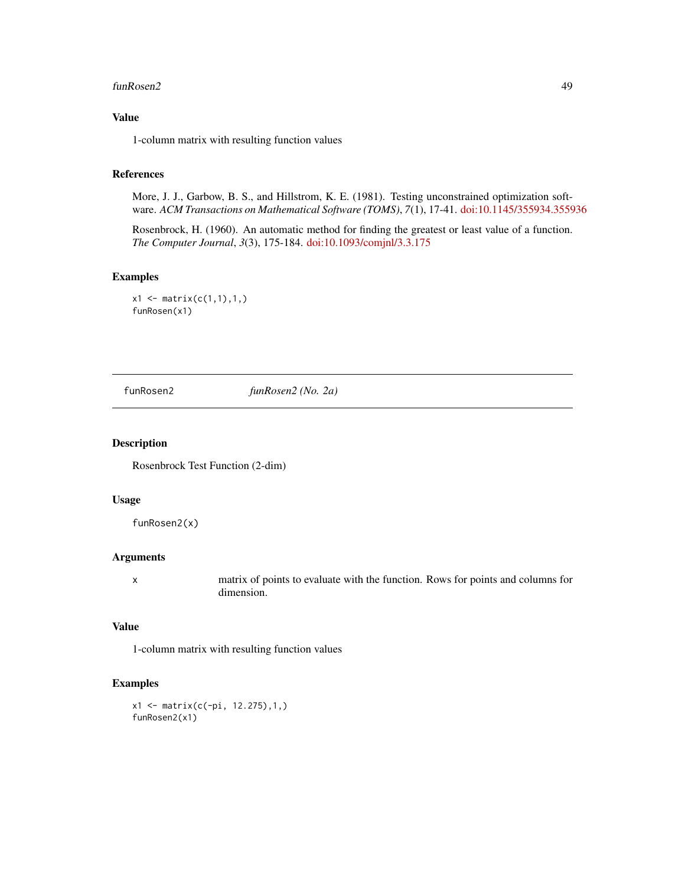#### funRosen2 49

# Value

1-column matrix with resulting function values

#### References

More, J. J., Garbow, B. S., and Hillstrom, K. E. (1981). Testing unconstrained optimization software. *ACM Transactions on Mathematical Software (TOMS)*, *7*(1), 17-41. [doi:10.1145/355934.355936](https://doi.org/10.1145/355934.355936)

Rosenbrock, H. (1960). An automatic method for finding the greatest or least value of a function. *The Computer Journal*, *3*(3), 175-184. [doi:10.1093/comjnl/3.3.175](https://doi.org/10.1093/comjnl/3.3.175)

## Examples

```
x1 \leftarrow matrix(c(1,1),1,1)funRosen(x1)
```
funRosen2 *funRosen2 (No. 2a)*

#### Description

Rosenbrock Test Function (2-dim)

#### Usage

funRosen2(x)

#### Arguments

x matrix of points to evaluate with the function. Rows for points and columns for dimension.

# Value

1-column matrix with resulting function values

```
x1 <- matrix(c(-pi, 12.275),1,)
funRosen2(x1)
```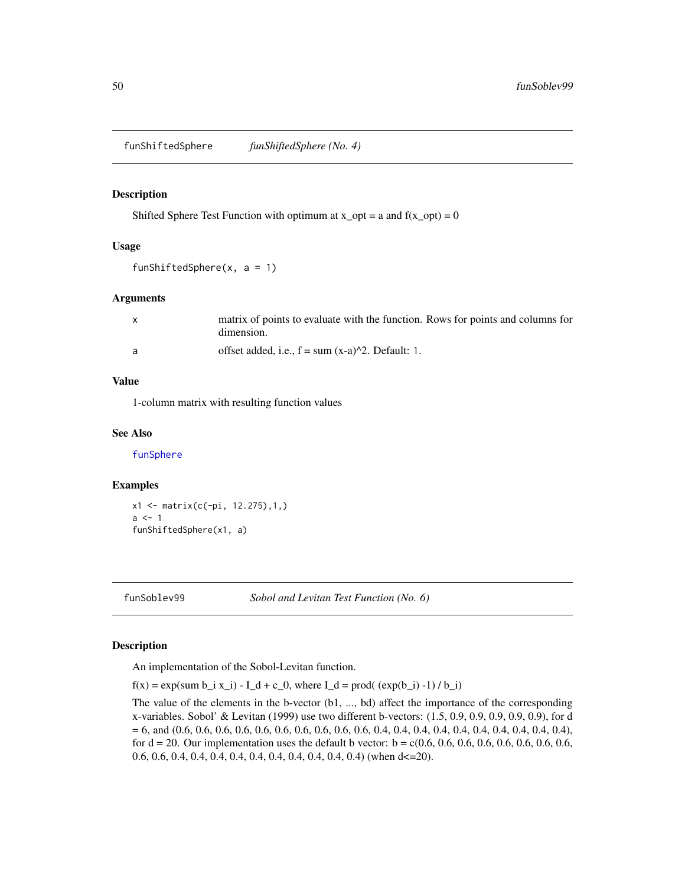<span id="page-49-0"></span>funShiftedSphere *funShiftedSphere (No. 4)*

#### Description

Shifted Sphere Test Function with optimum at  $x\_opt = a$  and  $f(x\_opt) = 0$ 

# Usage

funShiftedSphere $(x, a = 1)$ 

#### Arguments

| matrix of points to evaluate with the function. Rows for points and columns for<br>dimension. |
|-----------------------------------------------------------------------------------------------|
| offset added, i.e., $f = sum(x-a)^2$ . Default: 1.                                            |

# Value

1-column matrix with resulting function values

#### See Also

[funSphere](#page-50-0)

## Examples

x1 <- matrix(c(-pi, 12.275),1,)  $a < -1$ funShiftedSphere(x1, a)

funSoblev99 *Sobol and Levitan Test Function (No. 6)*

# Description

An implementation of the Sobol-Levitan function.

 $f(x) = exp(sum b_i x_i) - I_d + c_0$ , where  $I_d = prod((exp(b_i) - 1) / b_i)$ 

The value of the elements in the b-vector (b1, ..., bd) affect the importance of the corresponding x-variables. Sobol' & Levitan (1999) use two different b-vectors: (1.5, 0.9, 0.9, 0.9, 0.9, 0.9), for d = 6, and (0.6, 0.6, 0.6, 0.6, 0.6, 0.6, 0.6, 0.6, 0.6, 0.6, 0.4, 0.4, 0.4, 0.4, 0.4, 0.4, 0.4, 0.4, 0.4, 0.4), for d = 20. Our implementation uses the default b vector: b = c(0.6, 0.6, 0.6, 0.6, 0.6, 0.6, 0.6, 0.6, 0.6, 0.6, 0.4, 0.4, 0.4, 0.4, 0.4, 0.4, 0.4, 0.4, 0.4, 0.4) (when d<=20).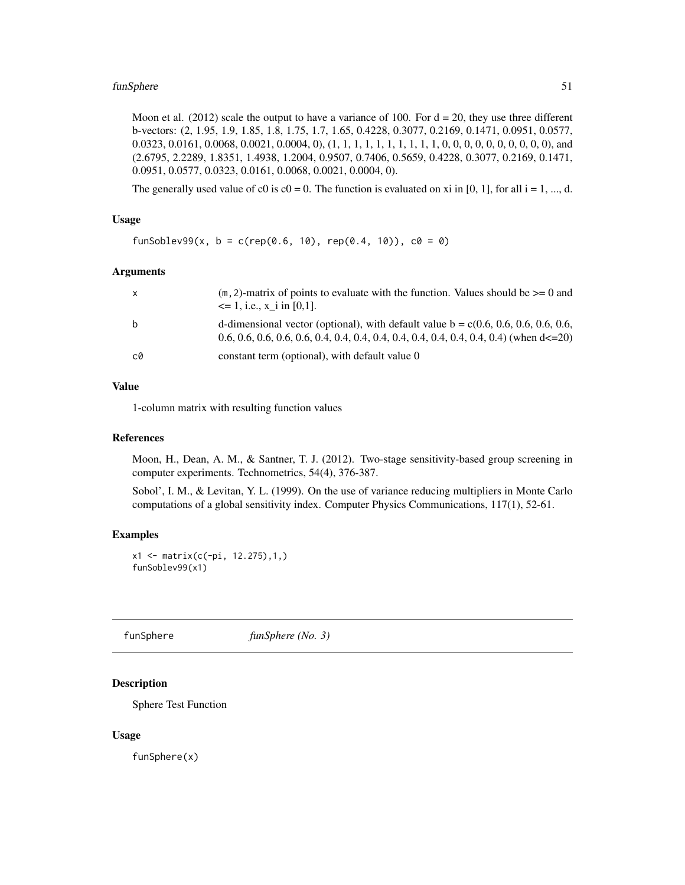## funSphere 51

Moon et al. (2012) scale the output to have a variance of 100. For  $d = 20$ , they use three different b-vectors: (2, 1.95, 1.9, 1.85, 1.8, 1.75, 1.7, 1.65, 0.4228, 0.3077, 0.2169, 0.1471, 0.0951, 0.0577, 0.0323, 0.0161, 0.0068, 0.0021, 0.0004, 0), (1, 1, 1, 1, 1, 1, 1, 1, 1, 1, 0, 0, 0, 0, 0, 0, 0, 0, 0, 0), and (2.6795, 2.2289, 1.8351, 1.4938, 1.2004, 0.9507, 0.7406, 0.5659, 0.4228, 0.3077, 0.2169, 0.1471, 0.0951, 0.0577, 0.0323, 0.0161, 0.0068, 0.0021, 0.0004, 0).

The generally used value of c0 is  $c0 = 0$ . The function is evaluated on xi in [0, 1], for all  $i = 1, ..., d$ .

#### Usage

```
funSoblev99(x, b = c(rep(0.6, 10), rep(0.4, 10)), c0 = 0)
```
#### Arguments

| $\mathsf{x}$ | $(m, 2)$ -matrix of points to evaluate with the function. Values should be $\geq 0$ and<br>$\leq$ 1, i.e., x i in [0,1]. |
|--------------|--------------------------------------------------------------------------------------------------------------------------|
| b            | d-dimensional vector (optional), with default value $b = c(0.6, 0.6, 0.6, 0.6, 0.6, 0.6)$                                |
| c0           | constant term (optional), with default value 0                                                                           |

## Value

1-column matrix with resulting function values

#### References

Moon, H., Dean, A. M., & Santner, T. J. (2012). Two-stage sensitivity-based group screening in computer experiments. Technometrics, 54(4), 376-387.

Sobol', I. M., & Levitan, Y. L. (1999). On the use of variance reducing multipliers in Monte Carlo computations of a global sensitivity index. Computer Physics Communications, 117(1), 52-61.

#### Examples

```
x1 <- matrix(c(-pi, 12.275),1,)
funSoblev99(x1)
```
<span id="page-50-0"></span>funSphere *funSphere (No. 3)*

## **Description**

Sphere Test Function

#### Usage

funSphere(x)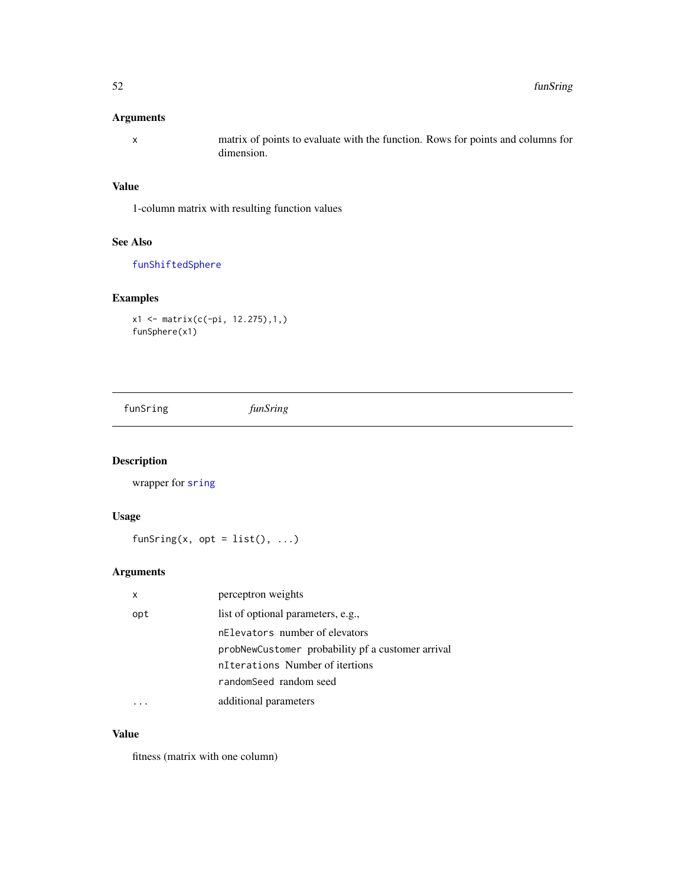## Arguments

x matrix of points to evaluate with the function. Rows for points and columns for dimension.

# Value

1-column matrix with resulting function values

#### See Also

[funShiftedSphere](#page-49-0)

## Examples

x1 <- matrix(c(-pi, 12.275),1,) funSphere(x1)

funSring *funSring*

# Description

wrapper for [sring](#page-115-0)

## Usage

funSring(x, opt =  $list()$ , ...)

## Arguments

| x   | perceptron weights                                |
|-----|---------------------------------------------------|
| opt | list of optional parameters, e.g.,                |
|     | nElevators number of elevators                    |
|     | probNewCustomer probability pf a customer arrival |
|     | nIterations Number of itertions                   |
|     | randomSeed random seed                            |
|     | additional parameters                             |

## Value

fitness (matrix with one column)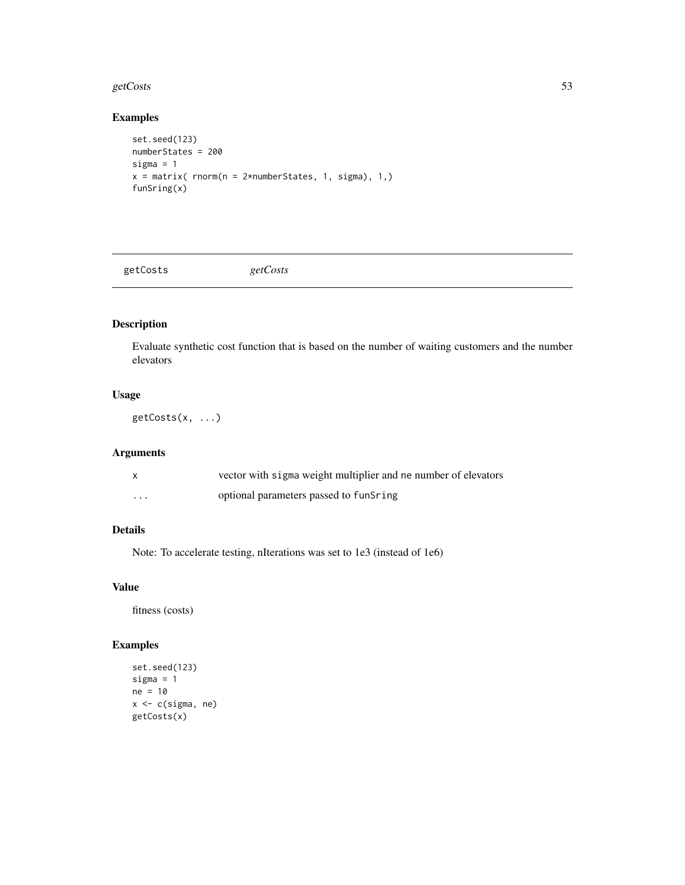#### getCosts 53

## Examples

```
set.seed(123)
numberStates = 200
sigma = 1
x = matrix( rnorm(n = 2*numberStates, 1, sigma), 1,)
funSring(x)
```
getCosts *getCosts*

# Description

Evaluate synthetic cost function that is based on the number of waiting customers and the number elevators

## Usage

getCosts(x, ...)

# Arguments

|                         | vector with sigma weight multiplier and ne number of elevators |
|-------------------------|----------------------------------------------------------------|
| $\cdot$ $\cdot$ $\cdot$ | optional parameters passed to funSring                         |

# Details

Note: To accelerate testing, nIterations was set to 1e3 (instead of 1e6)

## Value

fitness (costs)

```
set.seed(123)
sigma = 1ne = 10
x <- c(sigma, ne)
getCosts(x)
```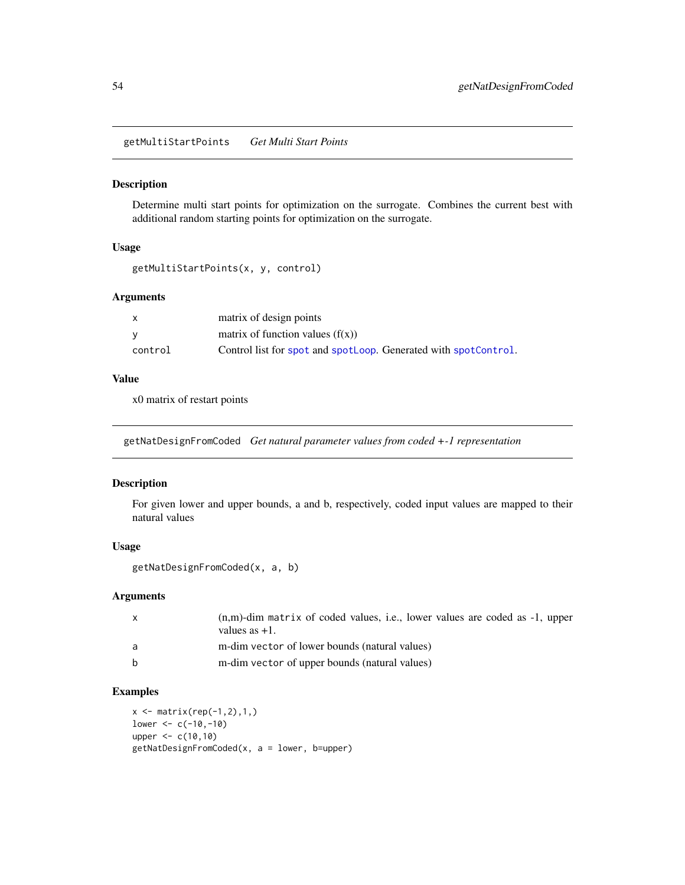getMultiStartPoints *Get Multi Start Points*

# Description

Determine multi start points for optimization on the surrogate. Combines the current best with additional random starting points for optimization on the surrogate.

## Usage

```
getMultiStartPoints(x, y, control)
```
#### Arguments

| X       | matrix of design points                                         |
|---------|-----------------------------------------------------------------|
| v       | matrix of function values $(f(x))$                              |
| control | Control list for spot and spotLoop. Generated with spotControl. |

## Value

x0 matrix of restart points

getNatDesignFromCoded *Get natural parameter values from coded +-1 representation*

#### Description

For given lower and upper bounds, a and b, respectively, coded input values are mapped to their natural values

# Usage

```
getNatDesignFromCoded(x, a, b)
```
## Arguments

| $\mathsf{x}$ | $(n,m)$ -dim matrix of coded values, i.e., lower values are coded as $-1$ , upper<br>values as $+1$ . |
|--------------|-------------------------------------------------------------------------------------------------------|
| a            | m-dim vector of lower bounds (natural values)                                                         |
| <sub>b</sub> | m-dim vector of upper bounds (natural values)                                                         |

## Examples

 $x \leftarrow \text{matrix}(rep(-1, 2), 1, )$  $lower < -c(-10,-10)$ upper <- c(10,10) getNatDesignFromCoded(x, a = lower, b=upper)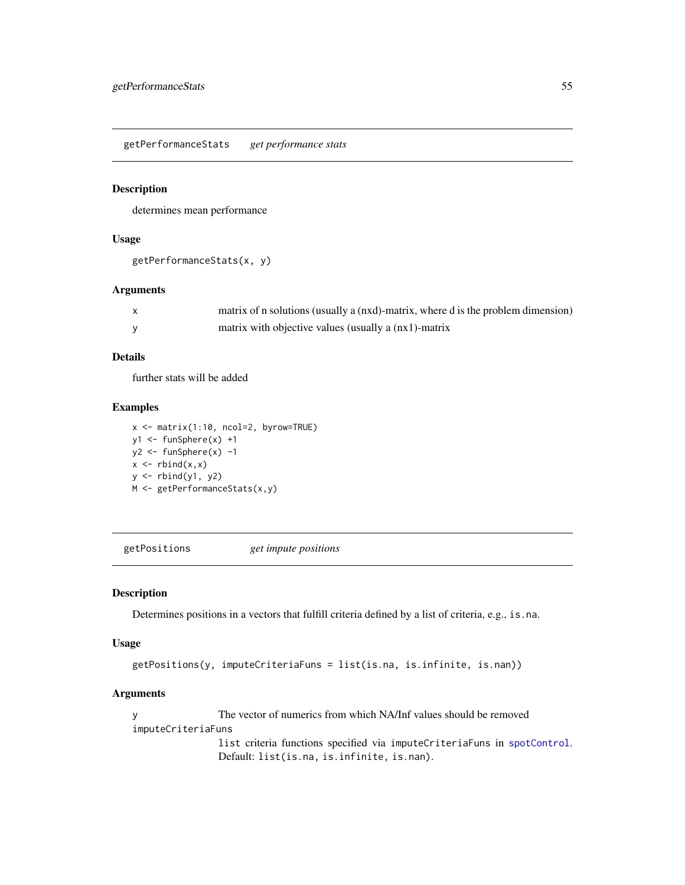getPerformanceStats *get performance stats*

#### Description

determines mean performance

## Usage

```
getPerformanceStats(x, y)
```
## Arguments

| matrix of n solutions (usually a (nxd)-matrix, where d is the problem dimension) |
|----------------------------------------------------------------------------------|
| matrix with objective values (usually a (nx1)-matrix                             |

## Details

further stats will be added

# Examples

x <- matrix(1:10, ncol=2, byrow=TRUE) y1 <- funSphere(x) +1 y2 <- funSphere(x) -1  $x \leftarrow \text{rbind}(x, x)$ y <- rbind(y1, y2) M <- getPerformanceStats(x,y)

getPositions *get impute positions*

#### Description

Determines positions in a vectors that fulfill criteria defined by a list of criteria, e.g., is.na.

#### Usage

```
getPositions(y, imputeCriteriaFuns = list(is.na, is.infinite, is.nan))
```
# Arguments

y The vector of numerics from which NA/Inf values should be removed imputeCriteriaFuns list criteria functions specified via imputeCriteriaFuns in [spotControl](#page-105-0). Default: list(is.na, is.infinite, is.nan).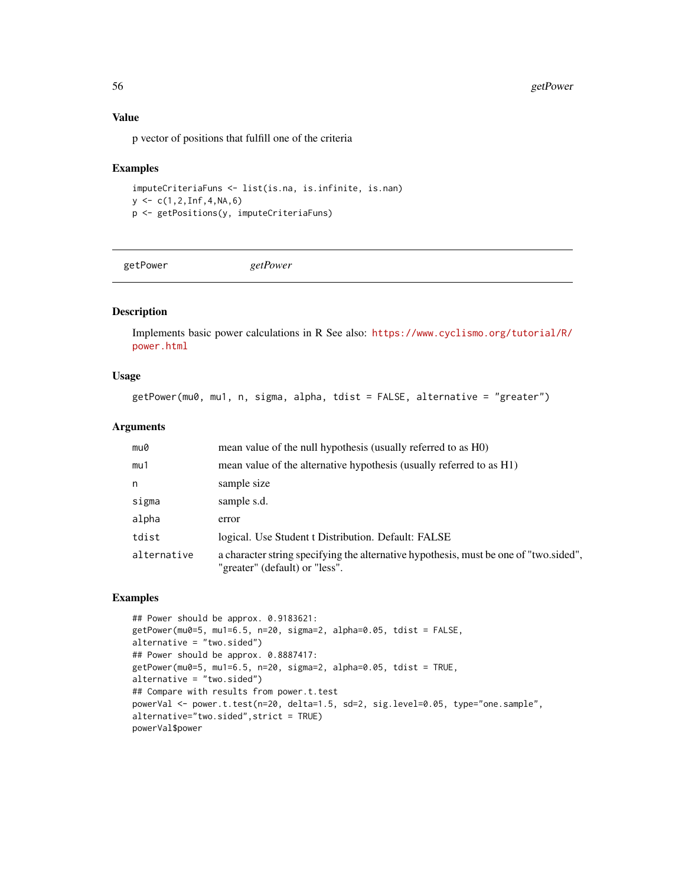## Value

p vector of positions that fulfill one of the criteria

#### Examples

```
imputeCriteriaFuns <- list(is.na, is.infinite, is.nan)
y \leq -c(1, 2, \text{Inf}, 4, \text{NA}, 6)p <- getPositions(y, imputeCriteriaFuns)
```
getPower *getPower*

## Description

Implements basic power calculations in R See also: [https://www.cyclismo.org/tutorial/R/](https://www.cyclismo.org/tutorial/R/power.html) [power.html](https://www.cyclismo.org/tutorial/R/power.html)

## Usage

getPower(mu0, mu1, n, sigma, alpha, tdist = FALSE, alternative = "greater")

#### Arguments

| mu0         | mean value of the null hypothesis (usually referred to as H0)                                                           |
|-------------|-------------------------------------------------------------------------------------------------------------------------|
| mu1         | mean value of the alternative hypothesis (usually referred to as H1)                                                    |
| n           | sample size                                                                                                             |
| sigma       | sample s.d.                                                                                                             |
| alpha       | error                                                                                                                   |
| tdist       | logical. Use Student t Distribution. Default: FALSE                                                                     |
| alternative | a character string specifying the alternative hypothesis, must be one of "two sided",<br>"greater" (default) or "less". |

```
## Power should be approx. 0.9183621:
getPower(mu0=5, mu1=6.5, n=20, sigma=2, alpha=0.05, tdist = FALSE,
alternative = "two.sided")
## Power should be approx. 0.8887417:
getPower(mu0=5, mu1=6.5, n=20, sigma=2, alpha=0.05, tdist = TRUE,
alternative = "two.sided")
## Compare with results from power.t.test
powerVal <- power.t.test(n=20, delta=1.5, sd=2, sig.level=0.05, type="one.sample",
alternative="two.sided",strict = TRUE)
powerVal$power
```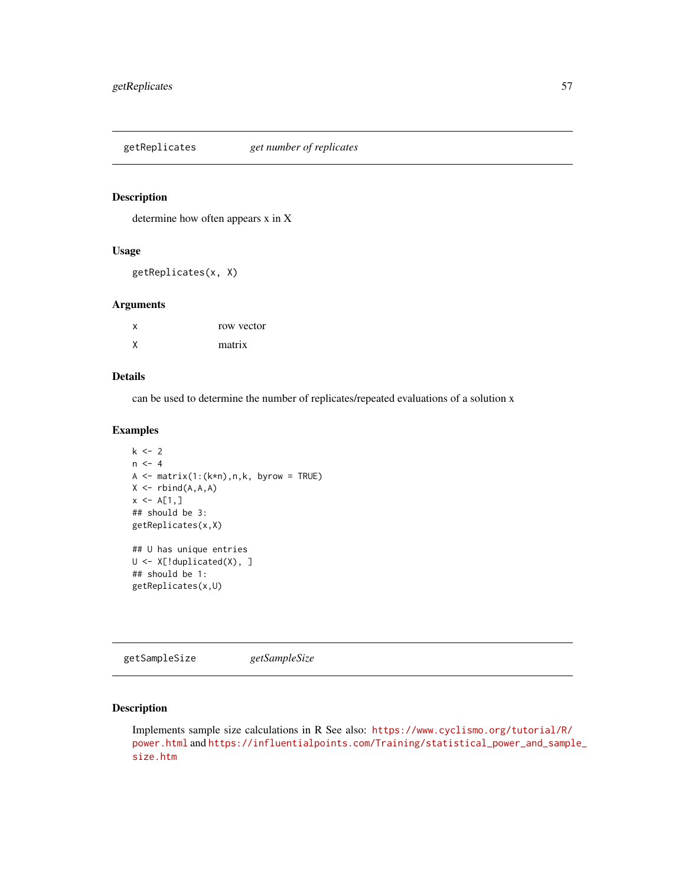getReplicates *get number of replicates*

## Description

determine how often appears x in X

## Usage

getReplicates(x, X)

## Arguments

| x | row vector |
|---|------------|
| X | matrix     |

## Details

can be used to determine the number of replicates/repeated evaluations of a solution x

# Examples

```
k < -2n < -4A \leq - matrix(1:(k*n),n,k, byrow = TRUE)
X \leftarrow \text{rbind}(A, A, A)x \leq A[1,]## should be 3:
getReplicates(x,X)
## U has unique entries
U <- X[!duplicated(X), ]
## should be 1:
getReplicates(x,U)
```
getSampleSize *getSampleSize*

## Description

Implements sample size calculations in R See also: [https://www.cyclismo.org/tutorial/R/](https://www.cyclismo.org/tutorial/R/power.html) [power.html](https://www.cyclismo.org/tutorial/R/power.html) and [https://influentialpoints.com/Training/statistical\\_power\\_and\\_sampl](https://influentialpoints.com/Training/statistical_power_and_sample_size.htm)e\_ [size.htm](https://influentialpoints.com/Training/statistical_power_and_sample_size.htm)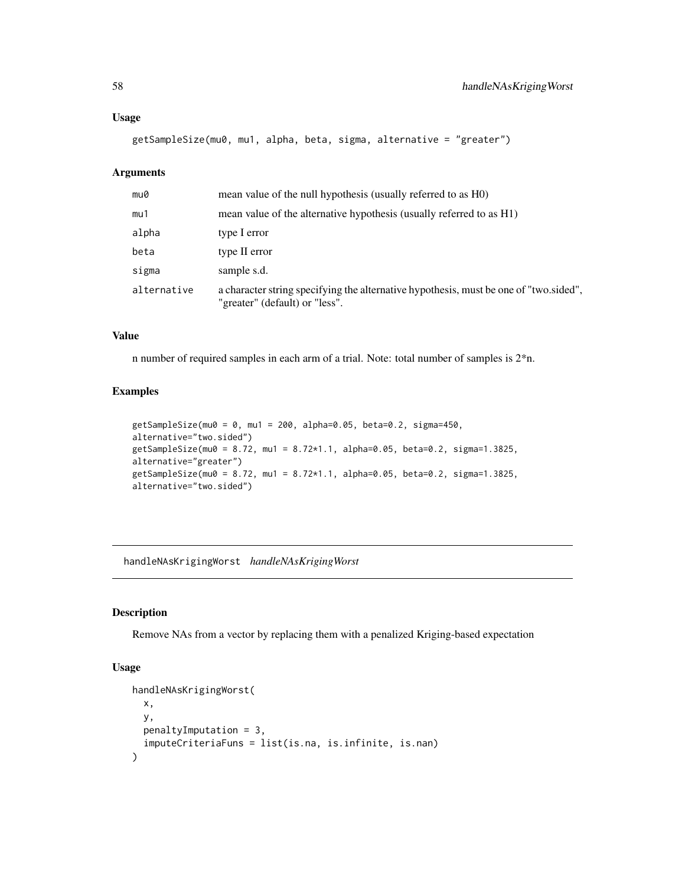#### Usage

getSampleSize(mu0, mu1, alpha, beta, sigma, alternative = "greater")

## Arguments

| mu0         | mean value of the null hypothesis (usually referred to as H0)                                                           |
|-------------|-------------------------------------------------------------------------------------------------------------------------|
| mu1         | mean value of the alternative hypothesis (usually referred to as H1)                                                    |
| alpha       | type I error                                                                                                            |
| beta        | type II error                                                                                                           |
| sigma       | sample s.d.                                                                                                             |
| alternative | a character string specifying the alternative hypothesis, must be one of "two sided",<br>"greater" (default) or "less". |

#### Value

n number of required samples in each arm of a trial. Note: total number of samples is 2\*n.

#### Examples

```
getSampleSize(mu0 = 0, mu1 = 200, alpha=0.05, beta=0.2, sigma=450,
alternative="two.sided")
getSampleSize(mu0 = 8.72, mu1 = 8.72*1.1, alpha=0.05, beta=0.2, sigma=1.3825,
alternative="greater")
getSampleSize(mu0 = 8.72, mu1 = 8.72*1.1, alpha=0.05, beta=0.2, sigma=1.3825,
alternative="two.sided")
```
handleNAsKrigingWorst *handleNAsKrigingWorst*

#### Description

Remove NAs from a vector by replacing them with a penalized Kriging-based expectation

## Usage

```
handleNAsKrigingWorst(
  x,
  y,
  penaltyImputation = 3,
  imputeCriteriaFuns = list(is.na, is.infinite, is.nan)
\mathcal{E}
```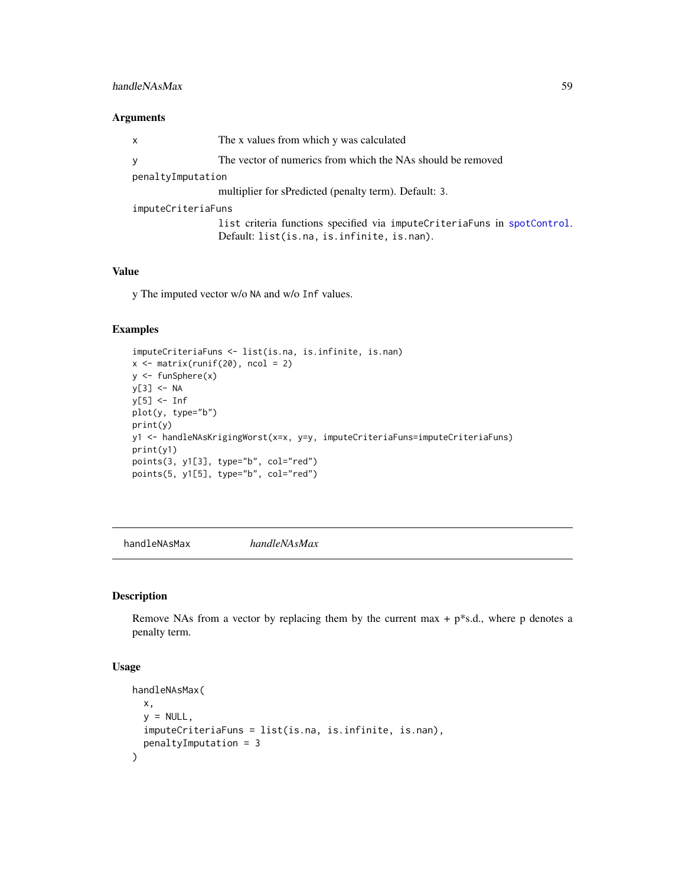## handleNAsMax 59

## Arguments

| $\mathsf{x}$       | The x values from which y was calculated                                    |
|--------------------|-----------------------------------------------------------------------------|
| y                  | The vector of numerics from which the NAs should be removed                 |
| penaltyImputation  |                                                                             |
|                    | multiplier for sPredicted (penalty term). Default: 3.                       |
| imputeCriteriaFuns |                                                                             |
|                    | list criteria functions specified via impute Criteria Funs in spot Control. |
|                    | Default: list(is.na, is.infinite, is.nan).                                  |
|                    |                                                                             |

# Value

y The imputed vector w/o NA and w/o Inf values.

# Examples

```
imputeCriteriaFuns <- list(is.na, is.infinite, is.nan)
x \leftarrow \text{matrix}(\text{runif}(20), \text{ncol} = 2)y <- funSphere(x)
y[3] <- NA
y[5] <- Inf
plot(y, type="b")
print(y)
y1 <- handleNAsKrigingWorst(x=x, y=y, imputeCriteriaFuns=imputeCriteriaFuns)
print(y1)
points(3, y1[3], type="b", col="red")
points(5, y1[5], type="b", col="red")
```
handleNAsMax *handleNAsMax*

# Description

Remove NAs from a vector by replacing them by the current max  $+ p^*s.d.,$  where p denotes a penalty term.

## Usage

```
handleNAsMax(
  x,
  y = NULL,
  imputeCriteriaFuns = list(is.na, is.infinite, is.nan),
  penaltyImputation = 3
\mathcal{E}
```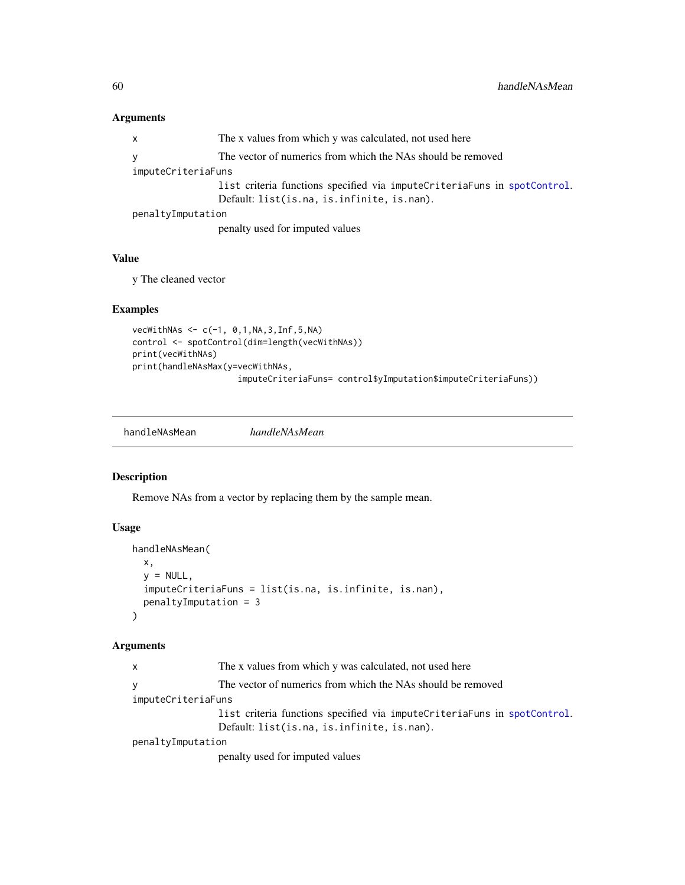## Arguments

| X                  | The x values from which y was calculated, not used here                     |  |
|--------------------|-----------------------------------------------------------------------------|--|
| V                  | The vector of numerics from which the NAs should be removed                 |  |
| imputeCriteriaFuns |                                                                             |  |
|                    | list criteria functions specified via impute Criteria Funs in spot Control. |  |
|                    | Default: list(is.na, is.infinite, is.nan).                                  |  |
| penaltyImputation  |                                                                             |  |
|                    | penalty used for imputed values                                             |  |

# Value

y The cleaned vector

## Examples

```
vecWithNAS < -c(-1, 0, 1, NA, 3, Inf, 5, NA)control <- spotControl(dim=length(vecWithNAs))
print(vecWithNAs)
print(handleNAsMax(y=vecWithNAs,
                     imputeCriteriaFuns= control$yImputation$imputeCriteriaFuns))
```
handleNAsMean *handleNAsMean*

## Description

Remove NAs from a vector by replacing them by the sample mean.

## Usage

```
handleNAsMean(
 x,
 y = NULL,imputeCriteriaFuns = list(is.na, is.infinite, is.nan),
 penaltyImputation = 3
)
```
# Arguments

| $\mathsf{x}$       | The x values from which y was calculated, not used here                     |
|--------------------|-----------------------------------------------------------------------------|
| <b>y</b>           | The vector of numerics from which the NAs should be removed                 |
| imputeCriteriaFuns |                                                                             |
|                    | list criteria functions specified via impute Criteria Funs in spot Control. |
|                    | Default: list(is.na, is.infinite, is.nan).                                  |
| penaltyImputation  |                                                                             |
|                    | penalty used for imputed values                                             |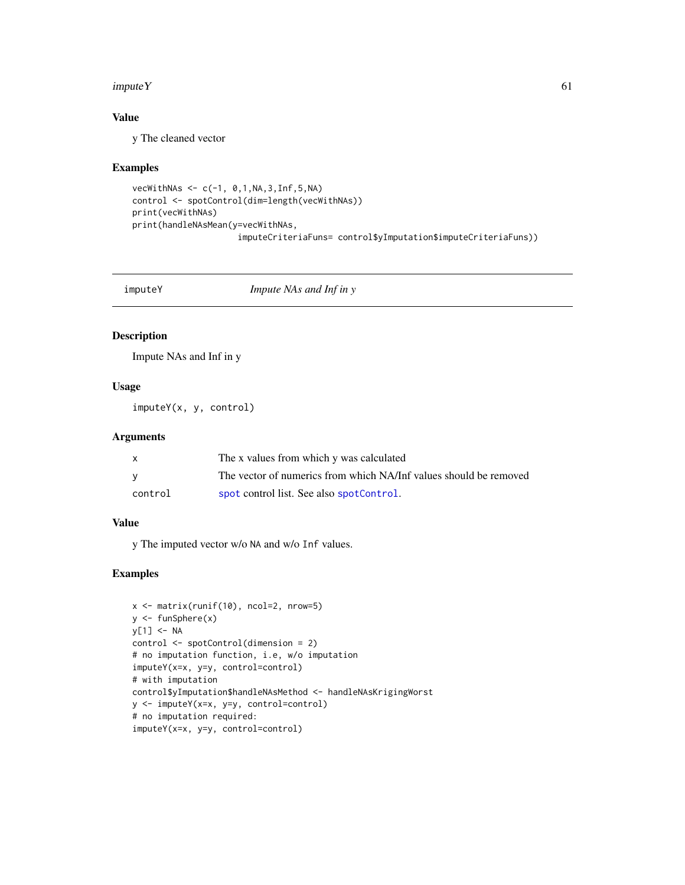#### $imputeY$  61

# Value

y The cleaned vector

#### Examples

```
vecWithNAS < -c(-1, 0, 1, NA, 3, Inf, 5, NA)control <- spotControl(dim=length(vecWithNAs))
print(vecWithNAs)
print(handleNAsMean(y=vecWithNAs,
                     imputeCriteriaFuns= control$yImputation$imputeCriteriaFuns))
```
imputeY *Impute NAs and Inf in y*

## Description

Impute NAs and Inf in y

# Usage

imputeY(x, y, control)

# Arguments

|         | The x values from which y was calculated                          |
|---------|-------------------------------------------------------------------|
|         | The vector of numerics from which NA/Inf values should be removed |
| control | spot control list. See also spotControl.                          |

## Value

y The imputed vector w/o NA and w/o Inf values.

```
x <- matrix(runif(10), ncol=2, nrow=5)
y <- funSphere(x)
y[1] <- NA
control <- spotControl(dimension = 2)
# no imputation function, i.e, w/o imputation
imputeY(x=x, y=y, control=control)
# with imputation
control$yImputation$handleNAsMethod <- handleNAsKrigingWorst
y <- imputeY(x=x, y=y, control=control)
# no imputation required:
imputeY(x=x, y=y, control=control)
```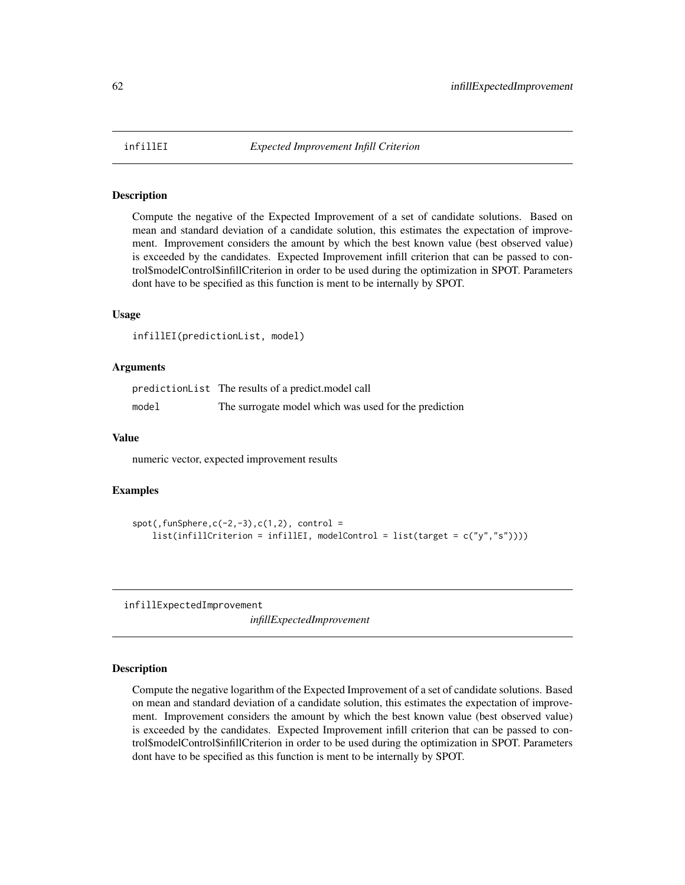#### Description

Compute the negative of the Expected Improvement of a set of candidate solutions. Based on mean and standard deviation of a candidate solution, this estimates the expectation of improvement. Improvement considers the amount by which the best known value (best observed value) is exceeded by the candidates. Expected Improvement infill criterion that can be passed to control\$modelControl\$infillCriterion in order to be used during the optimization in SPOT. Parameters dont have to be specified as this function is ment to be internally by SPOT.

#### Usage

infillEI(predictionList, model)

#### Arguments

predictionList The results of a predict.model call model The surrogate model which was used for the prediction

## Value

numeric vector, expected improvement results

#### Examples

```
spot(, funSphere, c(-2, -3), c(1,2), control =
    list(infillCriterion = infillEI, modelControl = list(target = c("y","s"))))
```
infillExpectedImprovement

*infillExpectedImprovement*

#### Description

Compute the negative logarithm of the Expected Improvement of a set of candidate solutions. Based on mean and standard deviation of a candidate solution, this estimates the expectation of improvement. Improvement considers the amount by which the best known value (best observed value) is exceeded by the candidates. Expected Improvement infill criterion that can be passed to control\$modelControl\$infillCriterion in order to be used during the optimization in SPOT. Parameters dont have to be specified as this function is ment to be internally by SPOT.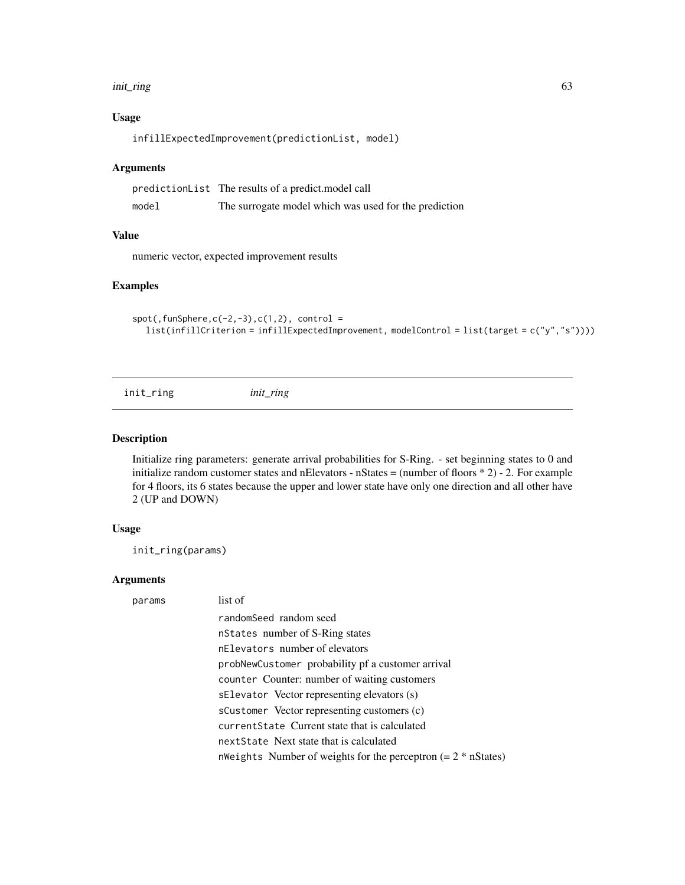#### init\_ring 63

# Usage

infillExpectedImprovement(predictionList, model)

#### Arguments

|       | predictionList The results of a predict. model call   |
|-------|-------------------------------------------------------|
| model | The surrogate model which was used for the prediction |

## Value

numeric vector, expected improvement results

#### Examples

```
spot(, funSphere, c(-2,-3), c(1,2), control =
  list(infillCriterion = infillExpectedImprovement, modelControl = list(target = c("y","s"))))
```
init\_ring *init\_ring*

#### Description

Initialize ring parameters: generate arrival probabilities for S-Ring. - set beginning states to 0 and initialize random customer states and nElevators - nStates = (number of floors \* 2) - 2. For example for 4 floors, its 6 states because the upper and lower state have only one direction and all other have 2 (UP and DOWN)

## Usage

init\_ring(params)

## Arguments

| params | list of                                                          |
|--------|------------------------------------------------------------------|
|        | randomSeed random seed                                           |
|        | nstates number of S-Ring states                                  |
|        | nElevators number of elevators                                   |
|        | probNewCustomer probability pf a customer arrival                |
|        | counter Counter: number of waiting customers                     |
|        | sElevator Vector representing elevators (s)                      |
|        | sCustomer Vector representing customers (c)                      |
|        | current State Current state that is calculated                   |
|        | nextState Next state that is calculated                          |
|        | n Weights Number of weights for the perceptron $(= 2 * nStates)$ |
|        |                                                                  |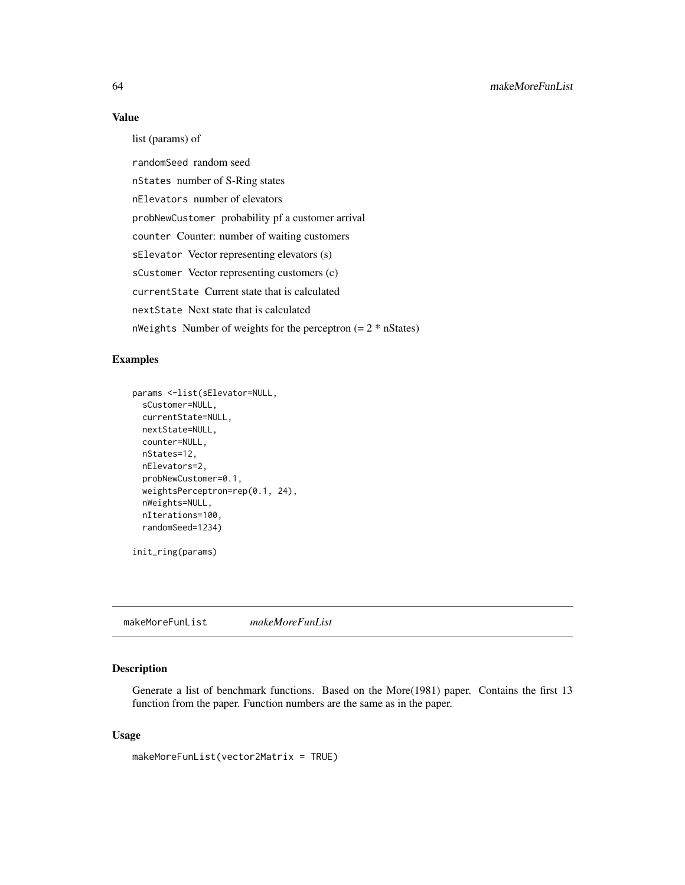#### Value

list (params) of

randomSeed random seed nStates number of S-Ring states nElevators number of elevators probNewCustomer probability pf a customer arrival counter Counter: number of waiting customers sElevator Vector representing elevators (s) sCustomer Vector representing customers (c) currentState Current state that is calculated nextState Next state that is calculated nWeights Number of weights for the perceptron  $(= 2 * nStates)$ 

## Examples

```
params <-list(sElevator=NULL,
 sCustomer=NULL,
 currentState=NULL,
 nextState=NULL,
 counter=NULL,
 nStates=12,
 nElevators=2,
 probNewCustomer=0.1,
 weightsPerceptron=rep(0.1, 24),
 nWeights=NULL,
 nIterations=100,
 randomSeed=1234)
```

```
init_ring(params)
```
makeMoreFunList *makeMoreFunList*

## Description

Generate a list of benchmark functions. Based on the More(1981) paper. Contains the first 13 function from the paper. Function numbers are the same as in the paper.

#### Usage

```
makeMoreFunList(vector2Matrix = TRUE)
```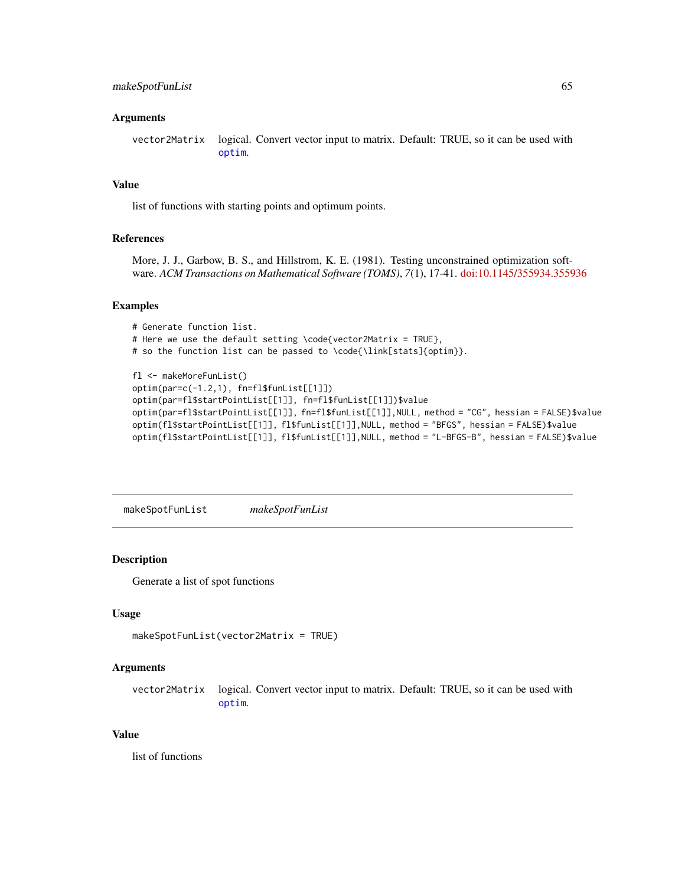## makeSpotFunList 65

#### Arguments

vector2Matrix logical. Convert vector input to matrix. Default: TRUE, so it can be used with [optim](#page-0-0).

## Value

list of functions with starting points and optimum points.

#### References

More, J. J., Garbow, B. S., and Hillstrom, K. E. (1981). Testing unconstrained optimization software. *ACM Transactions on Mathematical Software (TOMS)*, *7*(1), 17-41. [doi:10.1145/355934.355936](https://doi.org/10.1145/355934.355936)

#### Examples

```
# Generate function list.
# Here we use the default setting \code{vector2Matrix = TRUE},
# so the function list can be passed to \code{\link[stats]{optim}}.
fl <- makeMoreFunList()
optim(par=c(-1.2,1), fn=fl$funList[[1]])
optim(par=fl$startPointList[[1]], fn=fl$funList[[1]])$value
optim(par=fl$startPointList[[1]], fn=fl$funList[[1]],NULL, method = "CG", hessian = FALSE)$value
optim(fl$startPointList[[1]], fl$funList[[1]],NULL, method = "BFGS", hessian = FALSE)$value
optim(fl$startPointList[[1]], fl$funList[[1]],NULL, method = "L-BFGS-B", hessian = FALSE)$value
```
makeSpotFunList *makeSpotFunList*

#### Description

Generate a list of spot functions

#### Usage

```
makeSpotFunList(vector2Matrix = TRUE)
```
#### Arguments

vector2Matrix logical. Convert vector input to matrix. Default: TRUE, so it can be used with [optim](#page-0-0).

#### Value

list of functions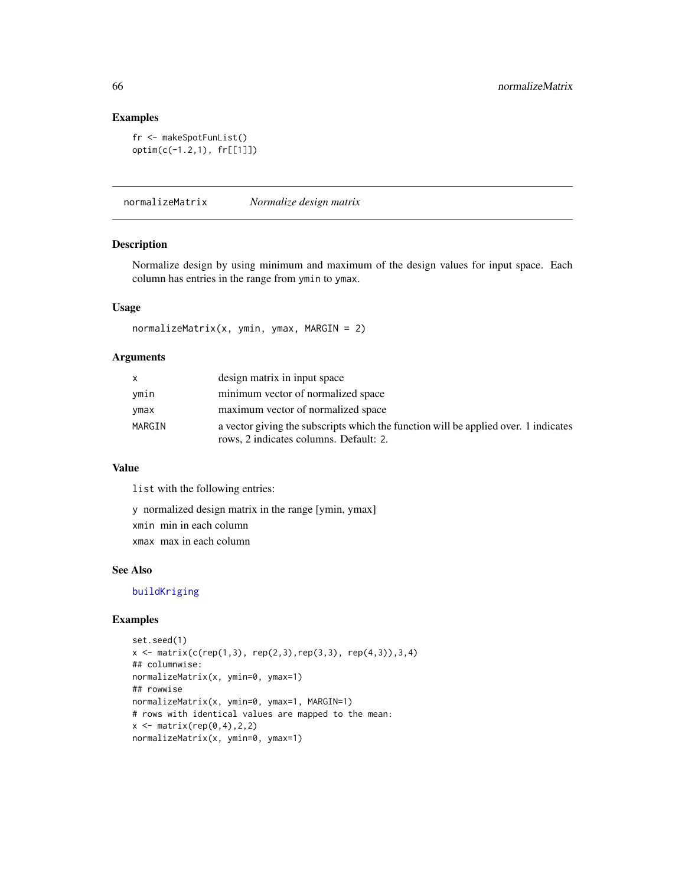## Examples

```
fr <- makeSpotFunList()
optim(c(-1.2,1), fr[[1]])
```
normalizeMatrix *Normalize design matrix*

#### Description

Normalize design by using minimum and maximum of the design values for input space. Each column has entries in the range from ymin to ymax.

## Usage

```
normalizeMatrix(x, ymin, ymax, MARGIN = 2)
```
## Arguments

| X      | design matrix in input space                                                                                                  |
|--------|-------------------------------------------------------------------------------------------------------------------------------|
| ymin   | minimum vector of normalized space                                                                                            |
| ymax   | maximum vector of normalized space                                                                                            |
| MARGIN | a vector giving the subscripts which the function will be applied over. 1 indicates<br>rows, 2 indicates columns. Default: 2. |

## Value

list with the following entries:

y normalized design matrix in the range [ymin, ymax] xmin min in each column xmax max in each column

#### See Also

[buildKriging](#page-9-0)

```
set.seed(1)
x \leq -\text{ matrix}(c(\text{rep}(1,3), \text{rep}(2,3), \text{rep}(3,3), \text{rep}(4,3)), 3, 4)## columnwise:
normalizeMatrix(x, ymin=0, ymax=1)
## rowwise
normalizeMatrix(x, ymin=0, ymax=1, MARGIN=1)
# rows with identical values are mapped to the mean:
x \leftarrow \text{matrix}(\text{rep}(0, 4), 2, 2)normalizeMatrix(x, ymin=0, ymax=1)
```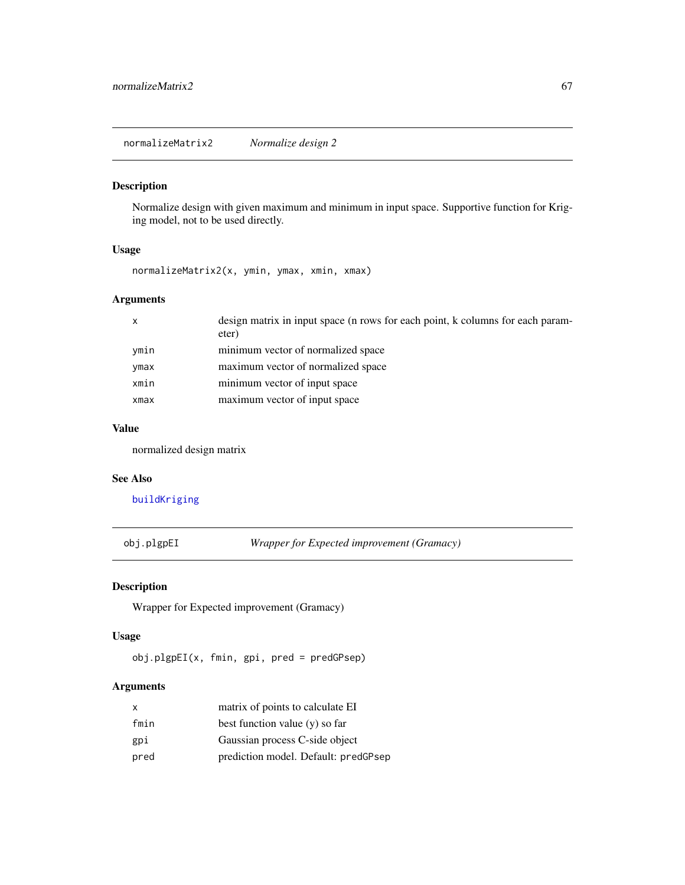normalizeMatrix2 *Normalize design 2*

#### Description

Normalize design with given maximum and minimum in input space. Supportive function for Kriging model, not to be used directly.

## Usage

normalizeMatrix2(x, ymin, ymax, xmin, xmax)

## Arguments

| $\mathsf{x}$ | design matrix in input space (n rows for each point, k columns for each param-<br>eter) |
|--------------|-----------------------------------------------------------------------------------------|
| ymin         | minimum vector of normalized space                                                      |
| ymax         | maximum vector of normalized space                                                      |
| xmin         | minimum vector of input space                                                           |
| xmax         | maximum vector of input space                                                           |

## Value

normalized design matrix

#### See Also

[buildKriging](#page-9-0)

obj.plgpEI *Wrapper for Expected improvement (Gramacy)*

## Description

Wrapper for Expected improvement (Gramacy)

#### Usage

obj.plgpEI(x, fmin, gpi, pred = predGPsep)

# Arguments

| $\mathsf{x}$ | matrix of points to calculate EI     |
|--------------|--------------------------------------|
| fmin         | best function value $(y)$ so far     |
| gpi          | Gaussian process C-side object       |
| pred         | prediction model. Default: predGPsep |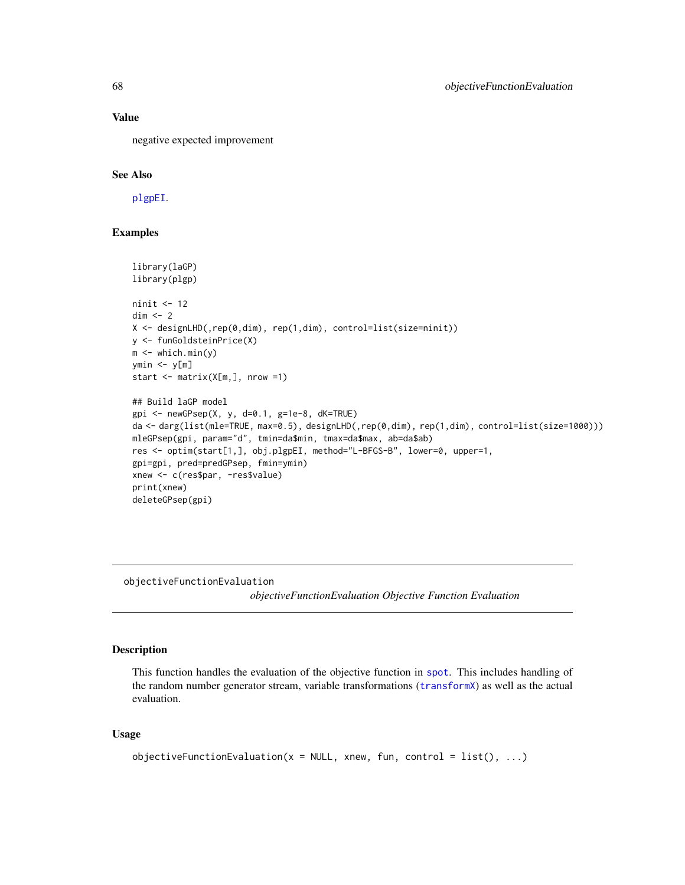## Value

negative expected improvement

## See Also

[plgpEI](#page-79-0).

#### Examples

```
library(laGP)
library(plgp)
ninit <- 12
dim < -2X <- designLHD(,rep(0,dim), rep(1,dim), control=list(size=ninit))
y <- funGoldsteinPrice(X)
m \leftarrow which.min(y)
ymin < -y[m]start \leq matrix(X[m, ], nrow =1)
## Build laGP model
gpi <- newGPsep(X, y, d=0.1, g=1e-8, dK=TRUE)
da <- darg(list(mle=TRUE, max=0.5), designLHD(,rep(0,dim), rep(1,dim), control=list(size=1000)))
mleGPsep(gpi, param="d", tmin=da$min, tmax=da$max, ab=da$ab)
res <- optim(start[1,], obj.plgpEI, method="L-BFGS-B", lower=0, upper=1,
gpi=gpi, pred=predGPsep, fmin=ymin)
xnew <- c(res$par, -res$value)
print(xnew)
deleteGPsep(gpi)
```
objectiveFunctionEvaluation

*objectiveFunctionEvaluation Objective Function Evaluation*

#### Description

This function handles the evaluation of the objective function in [spot](#page-101-0). This includes handling of the random number generator stream, variable transformations ([transformX](#page-118-0)) as well as the actual evaluation.

#### Usage

```
objectiveFunctionEvaluation(x = NULL, xnew, fun, control = list(), ...)
```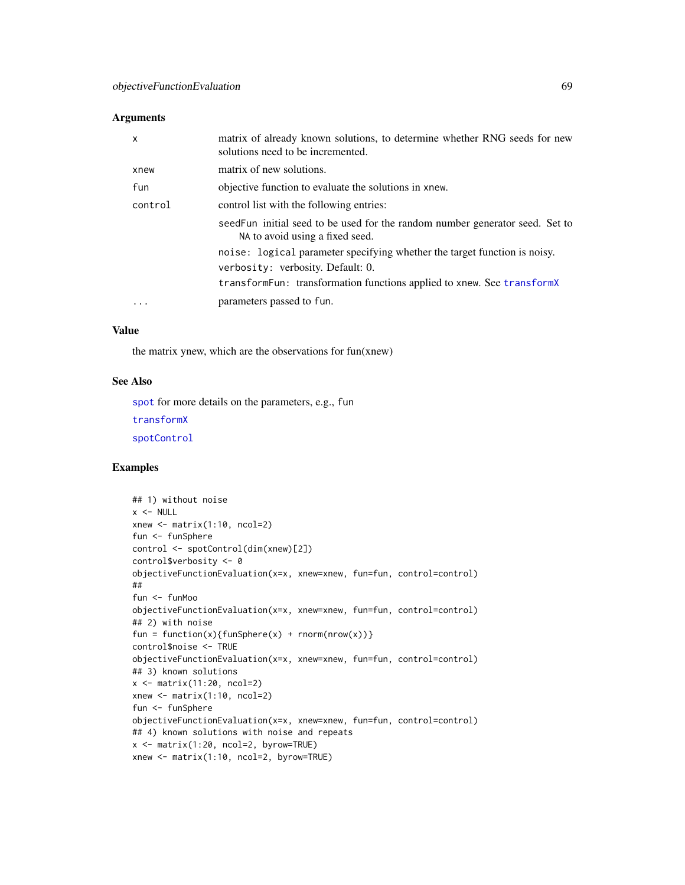#### **Arguments**

| x        | matrix of already known solutions, to determine whether RNG seeds for new<br>solutions need to be incremented.  |
|----------|-----------------------------------------------------------------------------------------------------------------|
| xnew     | matrix of new solutions.                                                                                        |
| fun      | objective function to evaluate the solutions in xnew.                                                           |
| control  | control list with the following entries:                                                                        |
|          | seedFun initial seed to be used for the random number generator seed. Set to<br>NA to avoid using a fixed seed. |
|          | noise: logical parameter specifying whether the target function is noisy.                                       |
|          | verbosity: verbosity. Default: 0.                                                                               |
|          | transform Fun: transformation functions applied to xnew. See transform X                                        |
| $\cdots$ | parameters passed to fun.                                                                                       |

## Value

the matrix ynew, which are the observations for fun(xnew)

## See Also

[spot](#page-101-0) for more details on the parameters, e.g., fun

[transformX](#page-118-0)

[spotControl](#page-105-0)

```
## 1) without noise
x < - NULL
xnew \leq matrix(1:10, ncol=2)
fun <- funSphere
control <- spotControl(dim(xnew)[2])
control$verbosity <- 0
objectiveFunctionEvaluation(x=x, xnew=xnew, fun=fun, control=control)
##
fun <- funMoo
objectiveFunctionEvaluation(x=x, xnew=xnew, fun=fun, control=control)
## 2) with noise
fun = function(x){funSphere(x) + rnorm(nrow(x))}
control$noise <- TRUE
objectiveFunctionEvaluation(x=x, xnew=xnew, fun=fun, control=control)
## 3) known solutions
x \leftarrow \text{matrix}(11:20, \text{ncol}=2)xnew \leq matrix(1:10, ncol=2)
fun <- funSphere
objectiveFunctionEvaluation(x=x, xnew=xnew, fun=fun, control=control)
## 4) known solutions with noise and repeats
x <- matrix(1:20, ncol=2, byrow=TRUE)
xnew <- matrix(1:10, ncol=2, byrow=TRUE)
```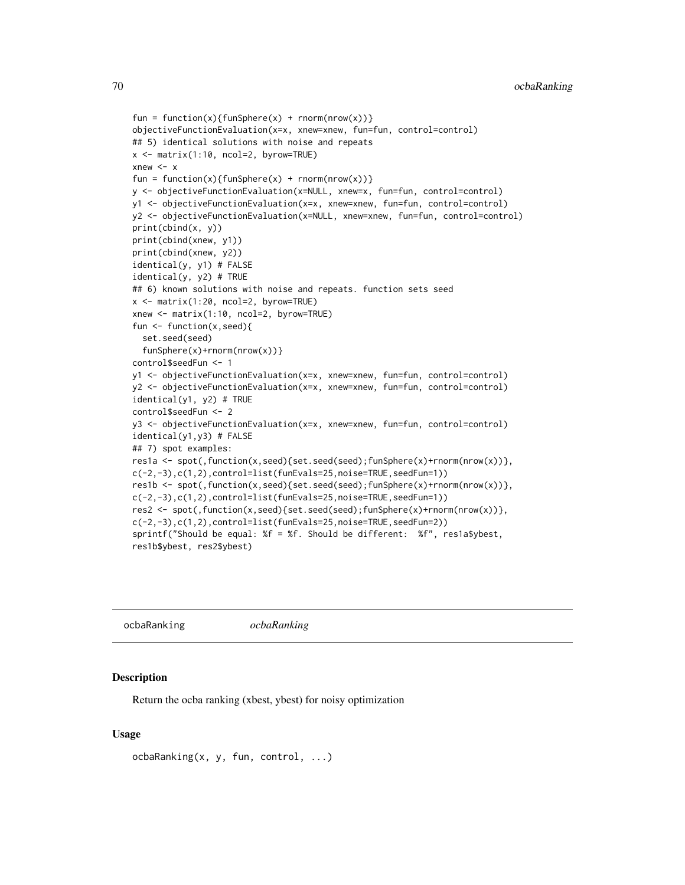```
fun = function(x){funSphere(x) + rnorm(nrow(x))}
objectiveFunctionEvaluation(x=x, xnew=xnew, fun=fun, control=control)
## 5) identical solutions with noise and repeats
x <- matrix(1:10, ncol=2, byrow=TRUE)
xnew <- x
fun = function(x){funSphere(x) + rnorm(nrow(x))}
y <- objectiveFunctionEvaluation(x=NULL, xnew=x, fun=fun, control=control)
y1 <- objectiveFunctionEvaluation(x=x, xnew=xnew, fun=fun, control=control)
y2 <- objectiveFunctionEvaluation(x=NULL, xnew=xnew, fun=fun, control=control)
print(cbind(x, y))
print(cbind(xnew, y1))
print(cbind(xnew, y2))
identical(y, y1) # FALSE
identical(y, y2) # TRUE
## 6) known solutions with noise and repeats. function sets seed
x <- matrix(1:20, ncol=2, byrow=TRUE)
xnew <- matrix(1:10, ncol=2, byrow=TRUE)
fun <- function(x,seed){
 set.seed(seed)
 funSphere(x)+rnorm(nrow(x))}
control$seedFun <- 1
y1 <- objectiveFunctionEvaluation(x=x, xnew=xnew, fun=fun, control=control)
y2 <- objectiveFunctionEvaluation(x=x, xnew=xnew, fun=fun, control=control)
identical(y1, y2) # TRUE
control$seedFun <- 2
y3 <- objectiveFunctionEvaluation(x=x, xnew=xnew, fun=fun, control=control)
identical(y1,y3) # FALSE
## 7) spot examples:
res1a <- spot(,function(x,seed){set.seed(seed);funSphere(x)+rnorm(nrow(x))},
c(-2,-3),c(1,2),control=list(funEvals=25,noise=TRUE,seedFun=1))
res1b <- spot(,function(x,seed){set.seed(seed);funSphere(x)+rnorm(nrow(x))},
c(-2,-3),c(1,2),control=list(funEvals=25,noise=TRUE,seedFun=1))
res2 <- spot(,function(x,seed){set.seed(seed);funSphere(x)+rnorm(nrow(x))},
c(-2,-3),c(1,2),control=list(funEvals=25,noise=TRUE,seedFun=2))
sprintf("Should be equal: %f = %f. Should be different: %f", res1a$ybest,
res1b$ybest, res2$ybest)
```
ocbaRanking *ocbaRanking*

#### **Description**

Return the ocba ranking (xbest, ybest) for noisy optimization

#### Usage

ocbaRanking(x, y, fun, control, ...)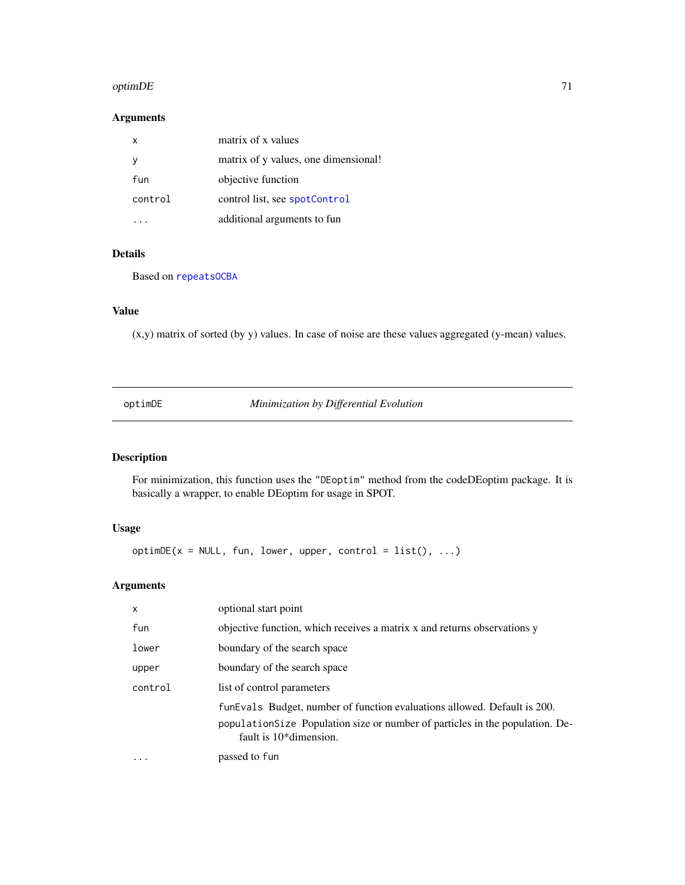#### $\sigma$ optim $DE$  71

## Arguments

| x       | matrix of x values                   |
|---------|--------------------------------------|
|         | matrix of y values, one dimensional! |
| fun     | objective function                   |
| control | control list, see spotControl        |
|         | additional arguments to fun          |

## Details

Based on [repeatsOCBA](#page-91-0)

## Value

(x,y) matrix of sorted (by y) values. In case of noise are these values aggregated (y-mean) values.

optimDE *Minimization by Differential Evolution*

## Description

For minimization, this function uses the "DEoptim" method from the codeDEoptim package. It is basically a wrapper, to enable DEoptim for usage in SPOT.

## Usage

 $optionDE(x = NULL, fun, lower, upper, control = list(), ...)$ 

# Arguments

| $\mathsf{x}$            | optional start point                                                                                                                                                                   |  |  |
|-------------------------|----------------------------------------------------------------------------------------------------------------------------------------------------------------------------------------|--|--|
| fun                     | objective function, which receives a matrix x and returns observations y                                                                                                               |  |  |
| lower                   | boundary of the search space                                                                                                                                                           |  |  |
| upper                   | boundary of the search space                                                                                                                                                           |  |  |
| control                 | list of control parameters                                                                                                                                                             |  |  |
|                         | funEvals Budget, number of function evaluations allowed. Default is 200.<br>population Size Population size or number of particles in the population. De-<br>fault is $10*$ dimension. |  |  |
| $\cdot$ $\cdot$ $\cdot$ | passed to fun                                                                                                                                                                          |  |  |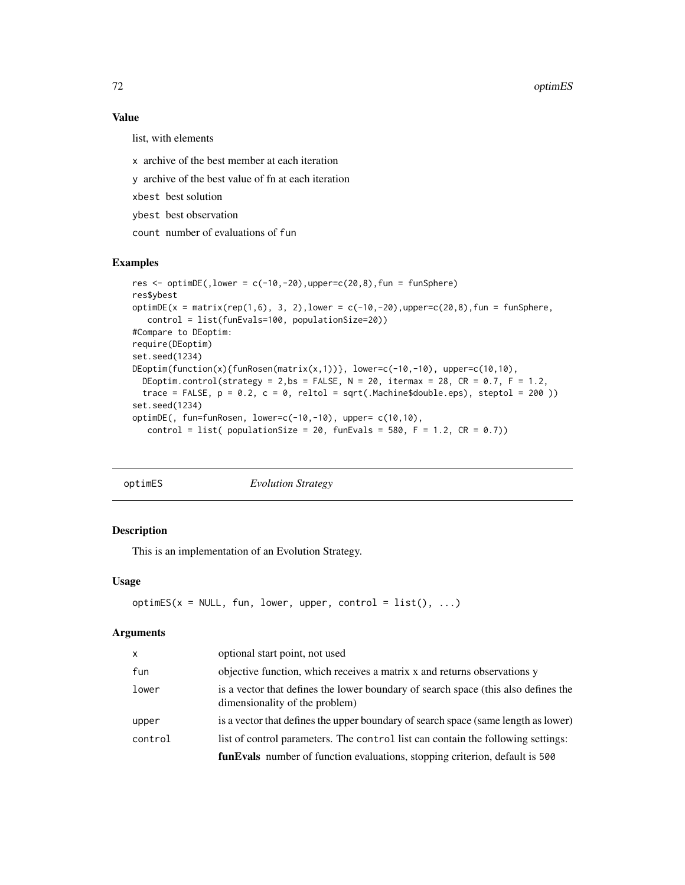## Value

list, with elements

- x archive of the best member at each iteration
- y archive of the best value of fn at each iteration
- xbest best solution
- ybest best observation
- count number of evaluations of fun

## Examples

```
res \le optimDE(, lower = c(-10,-20), upper=c(20,8), fun = funSphere)
res$ybest
optimDE(x = matrix(rep(1,6), 3, 2), lower = c(-10, -20), upper=c(20, 8), fun = funSphere,
  control = list(funEvals=100, populationSize=20))
#Compare to DEoptim:
require(DEoptim)
set.seed(1234)
DEoptim(function(x){funRosen(matrix(x,1))}, lower=c(-10,-10), upper=c(10,10),
  DEoptim.control(strategy = 2,bs = FALSE, N = 20, itermax = 28, CR = 0.7, F = 1.2,
  trace = FALSE, p = 0.2, c = 0, reltol = sqrt(.Machine$double.eps), steptol = 200 ))
set.seed(1234)
optimDE(, fun=funRosen, lower=c(-10,-10), upper= c(10,10),
   control = list( populationSize = 20, funEvals = 580, F = 1.2, CR = 0.7))
```

|  | optimES |  |
|--|---------|--|
|  |         |  |

**Evolution Strategy** 

#### Description

This is an implementation of an Evolution Strategy.

#### Usage

```
optimES(x = NULL, fun, lower, upper, control = list(), ...)
```
#### Arguments

| $\mathsf{x}$ | optional start point, not used                                                                                       |
|--------------|----------------------------------------------------------------------------------------------------------------------|
| fun          | objective function, which receives a matrix x and returns observations y                                             |
| lower        | is a vector that defines the lower boundary of search space (this also defines the<br>dimensionality of the problem) |
| upper        | is a vector that defines the upper boundary of search space (same length as lower)                                   |
| control      | list of control parameters. The control list can contain the following settings:                                     |
|              | funEvals number of function evaluations, stopping criterion, default is 500                                          |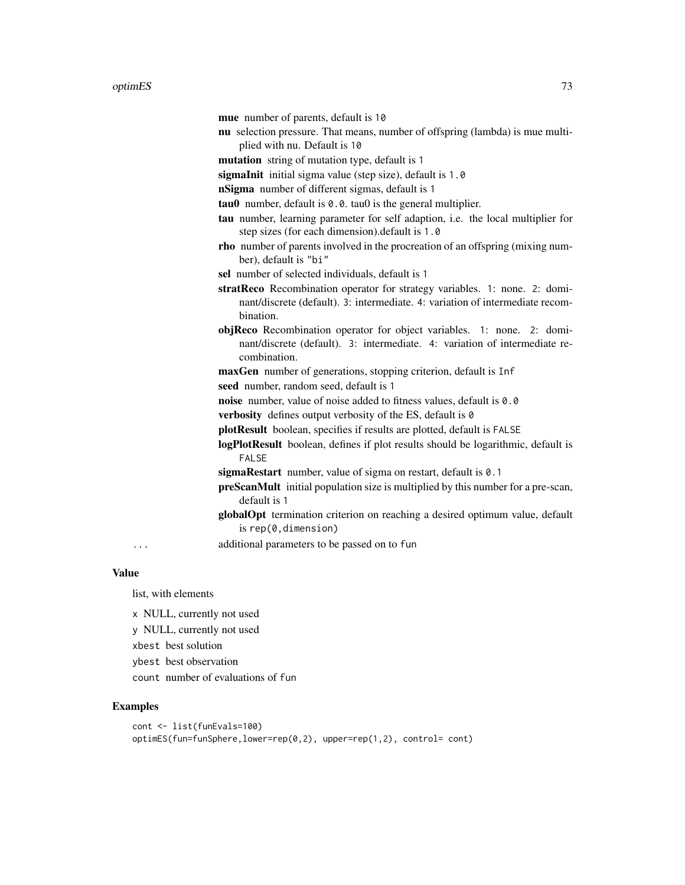|           | mue number of parents, default is 10                                                                                                                                     |
|-----------|--------------------------------------------------------------------------------------------------------------------------------------------------------------------------|
|           | nu selection pressure. That means, number of offspring (lambda) is mue multi-                                                                                            |
|           | plied with nu. Default is 10                                                                                                                                             |
|           | mutation string of mutation type, default is 1                                                                                                                           |
|           | sigmaInit initial sigma value (step size), default is 1.0                                                                                                                |
|           | nSigma number of different sigmas, default is 1                                                                                                                          |
|           | $tau$ number, default is $0.0$ . tau $0$ is the general multiplier.                                                                                                      |
|           | tau number, learning parameter for self adaption, i.e. the local multiplier for<br>step sizes (for each dimension). default is 1.0                                       |
|           | rho number of parents involved in the procreation of an offspring (mixing num-<br>ber), default is "bi"                                                                  |
|           | sel number of selected individuals, default is 1                                                                                                                         |
|           | stratReco Recombination operator for strategy variables. 1: none. 2: domi-<br>nant/discrete (default). 3: intermediate. 4: variation of intermediate recom-<br>bination. |
|           | objReco Recombination operator for object variables. 1: none. 2: domi-<br>nant/discrete (default). 3: intermediate. 4: variation of intermediate re-<br>combination.     |
|           | maxGen number of generations, stopping criterion, default is Inf                                                                                                         |
|           | seed number, random seed, default is 1                                                                                                                                   |
|           | noise number, value of noise added to fitness values, default is 0.0                                                                                                     |
|           | verbosity defines output verbosity of the ES, default is 0                                                                                                               |
|           | plotResult boolean, specifies if results are plotted, default is FALSE                                                                                                   |
|           | logPlotResult boolean, defines if plot results should be logarithmic, default is<br><b>FALSE</b>                                                                         |
|           | sigmaRestart number, value of sigma on restart, default is 0.1                                                                                                           |
|           | <b>preScanMult</b> initial population size is multiplied by this number for a pre-scan,<br>default is 1                                                                  |
|           | globalOpt termination criterion on reaching a desired optimum value, default<br>is $rep(0, dimension)$                                                                   |
| $\ddotsc$ | additional parameters to be passed on to fun                                                                                                                             |

Value

list, with elements

x NULL, currently not used

y NULL, currently not used

xbest best solution

ybest best observation

count number of evaluations of fun

```
cont <- list(funEvals=100)
optimES(fun=funSphere,lower=rep(0,2), upper=rep(1,2), control= cont)
```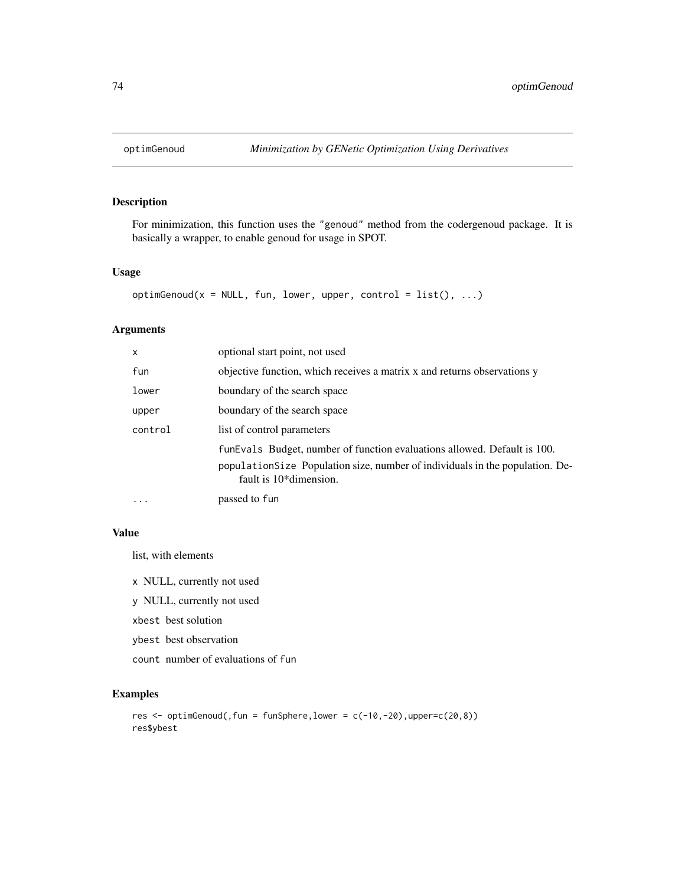For minimization, this function uses the "genoud" method from the codergenoud package. It is basically a wrapper, to enable genoud for usage in SPOT.

#### Usage

```
optimGenoud(x = NULL, fun, lower, upper, control = list(), ...)
```
#### Arguments

| $\mathsf{x}$ | optional start point, not used                                                                                                                                                         |
|--------------|----------------------------------------------------------------------------------------------------------------------------------------------------------------------------------------|
| fun          | objective function, which receives a matrix x and returns observations y                                                                                                               |
| lower        | boundary of the search space                                                                                                                                                           |
| upper        | boundary of the search space                                                                                                                                                           |
| control      | list of control parameters                                                                                                                                                             |
|              | funEvals Budget, number of function evaluations allowed. Default is 100.<br>population Size Population size, number of individuals in the population. De-<br>fault is $10*$ dimension. |
| $\cdots$     | passed to fun                                                                                                                                                                          |

#### Value

list, with elements

x NULL, currently not used

y NULL, currently not used

xbest best solution

ybest best observation

count number of evaluations of fun

```
res \le optimGenoud(, fun = funSphere, lower = c(-10,-20), upper=c(20,8))
res$ybest
```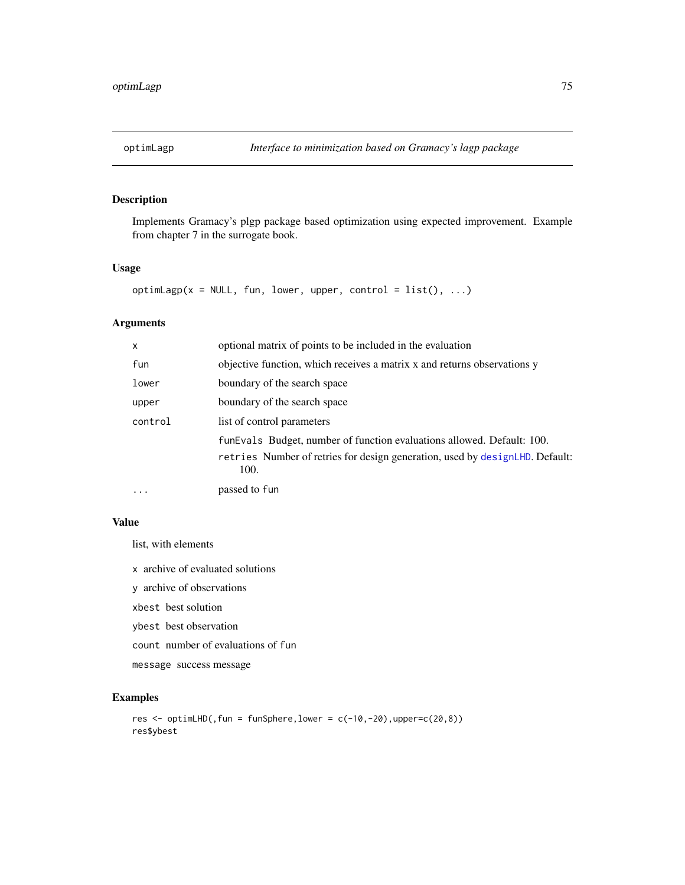Implements Gramacy's plgp package based optimization using expected improvement. Example from chapter 7 in the surrogate book.

#### Usage

optimLagp( $x = NULL$ , fun, lower, upper, control = list(), ...)

## Arguments

| $\times$ | optional matrix of points to be included in the evaluation                                                                                                     |
|----------|----------------------------------------------------------------------------------------------------------------------------------------------------------------|
| fun      | objective function, which receives a matrix x and returns observations y                                                                                       |
| lower    | boundary of the search space                                                                                                                                   |
| upper    | boundary of the search space                                                                                                                                   |
| control  | list of control parameters                                                                                                                                     |
|          | funEvals Budget, number of function evaluations allowed. Default: 100.<br>retries Number of retries for design generation, used by designLHD. Default:<br>100. |
| $\cdots$ | passed to fun                                                                                                                                                  |

## Value

list, with elements

x archive of evaluated solutions

y archive of observations

xbest best solution

ybest best observation

count number of evaluations of fun

message success message

```
res <- optimLHD(, fun = funSphere, lower = c(-10, -20), upper=c(20, 8))
res$ybest
```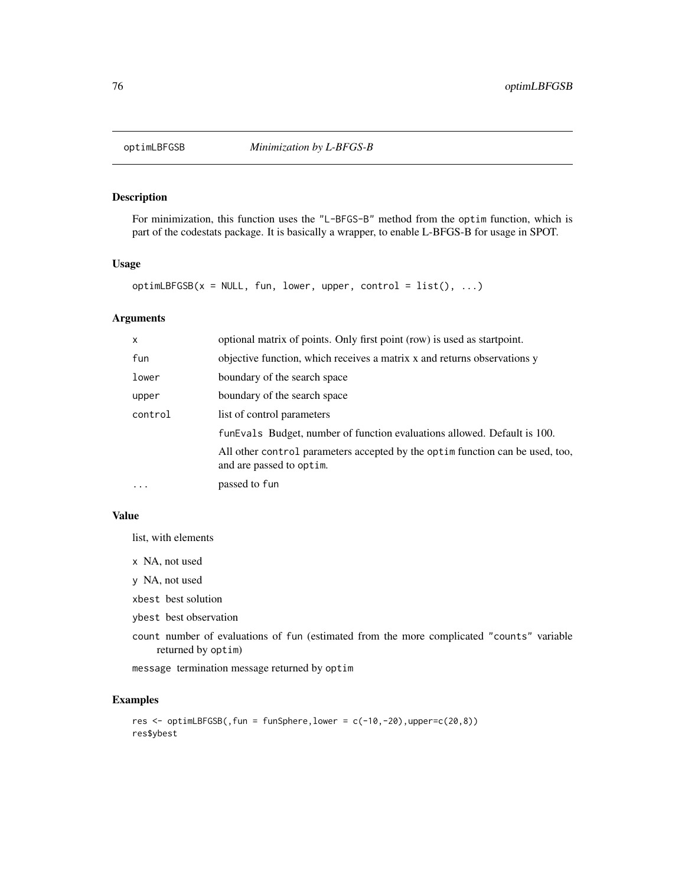For minimization, this function uses the "L-BFGS-B" method from the optim function, which is part of the codestats package. It is basically a wrapper, to enable L-BFGS-B for usage in SPOT.

## Usage

```
optimLBFGSB(x = NULL, fun, lower, upper, control = list(), ...)
```
#### Arguments

| $\mathsf{x}$ | optional matrix of points. Only first point (row) is used as startpoint.                                   |
|--------------|------------------------------------------------------------------------------------------------------------|
| fun          | objective function, which receives a matrix x and returns observations y                                   |
| lower        | boundary of the search space                                                                               |
| upper        | boundary of the search space                                                                               |
| control      | list of control parameters                                                                                 |
|              | funEvals Budget, number of function evaluations allowed. Default is 100.                                   |
|              | All other control parameters accepted by the optima function can be used, too,<br>and are passed to optim. |
| $\cdots$     | passed to fun                                                                                              |

## Value

list, with elements

- x NA, not used
- y NA, not used
- xbest best solution
- ybest best observation
- count number of evaluations of fun (estimated from the more complicated "counts" variable returned by optim)

message termination message returned by optim

```
res <- optimLBFGSB(, fun = funSphere, lower = c(-10, -20), upper=c(20, 8))
res$ybest
```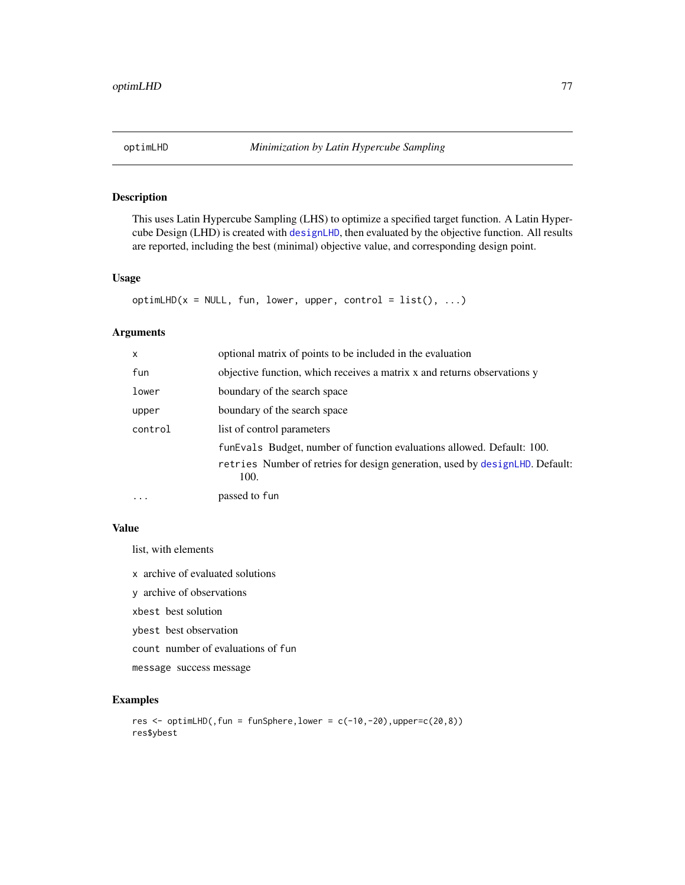<span id="page-76-0"></span>

This uses Latin Hypercube Sampling (LHS) to optimize a specified target function. A Latin Hypercube Design (LHD) is created with [designLHD](#page-26-0), then evaluated by the objective function. All results are reported, including the best (minimal) objective value, and corresponding design point.

## Usage

```
optimLHD(x = NULL, fun, lower, upper, control = list(), ...)
```
#### Arguments

| $\mathsf{x}$ | optional matrix of points to be included in the evaluation                                                                                                     |
|--------------|----------------------------------------------------------------------------------------------------------------------------------------------------------------|
| fun          | objective function, which receives a matrix x and returns observations y                                                                                       |
| lower        | boundary of the search space                                                                                                                                   |
| upper        | boundary of the search space                                                                                                                                   |
| control      | list of control parameters                                                                                                                                     |
|              | funEvals Budget, number of function evaluations allowed. Default: 100.<br>retries Number of retries for design generation, used by designLHD. Default:<br>100. |
| $\cdots$     | passed to fun                                                                                                                                                  |

#### Value

list, with elements

x archive of evaluated solutions

y archive of observations

xbest best solution

ybest best observation

count number of evaluations of fun

message success message

```
res <- optimLHD(, fun = funSphere, lower = c(-10, -20), upper=c(20, 8))
res$ybest
```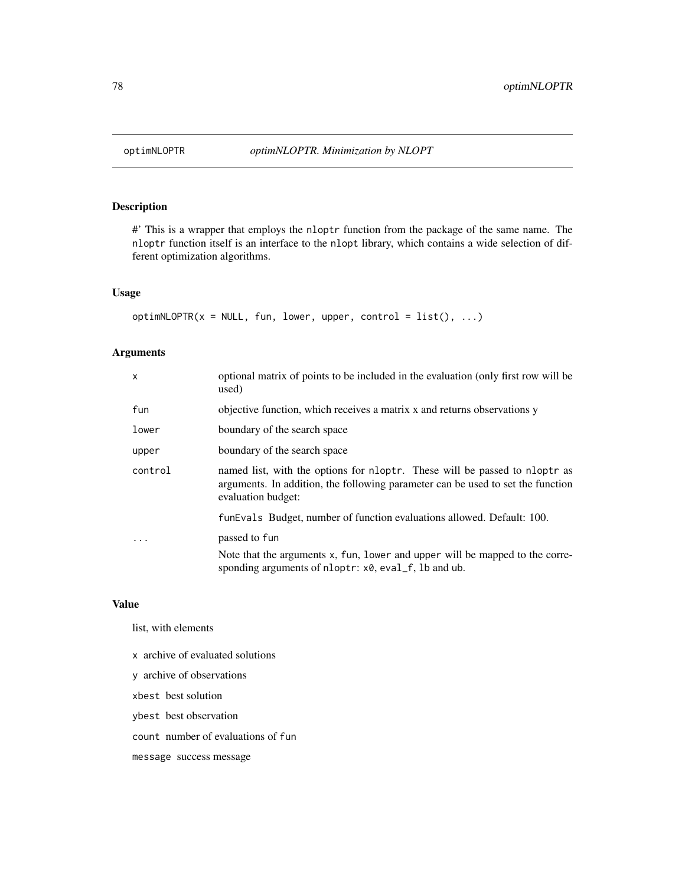#' This is a wrapper that employs the nloptr function from the package of the same name. The nloptr function itself is an interface to the nlopt library, which contains a wide selection of different optimization algorithms.

## Usage

```
optimNLOPTR(x = NULL, fun, lower, upper, control = list(), ...)
```
## Arguments

| $\mathsf{x}$ | optional matrix of points to be included in the evaluation (only first row will be<br>used)                                                                                         |
|--------------|-------------------------------------------------------------------------------------------------------------------------------------------------------------------------------------|
| fun          | objective function, which receives a matrix x and returns observations y                                                                                                            |
| lower        | boundary of the search space                                                                                                                                                        |
| upper        | boundary of the search space                                                                                                                                                        |
| control      | named list, with the options for nloptr. These will be passed to nloptr as<br>arguments. In addition, the following parameter can be used to set the function<br>evaluation budget: |
|              | funEvals Budget, number of function evaluations allowed. Default: 100.                                                                                                              |
|              | passed to fun                                                                                                                                                                       |
|              | Note that the arguments x, fun, lower and upper will be mapped to the corre-<br>sponding arguments of nloptr: x0, eval_f, lb and ub.                                                |

#### Value

list, with elements

x archive of evaluated solutions y archive of observations xbest best solution ybest best observation count number of evaluations of fun message success message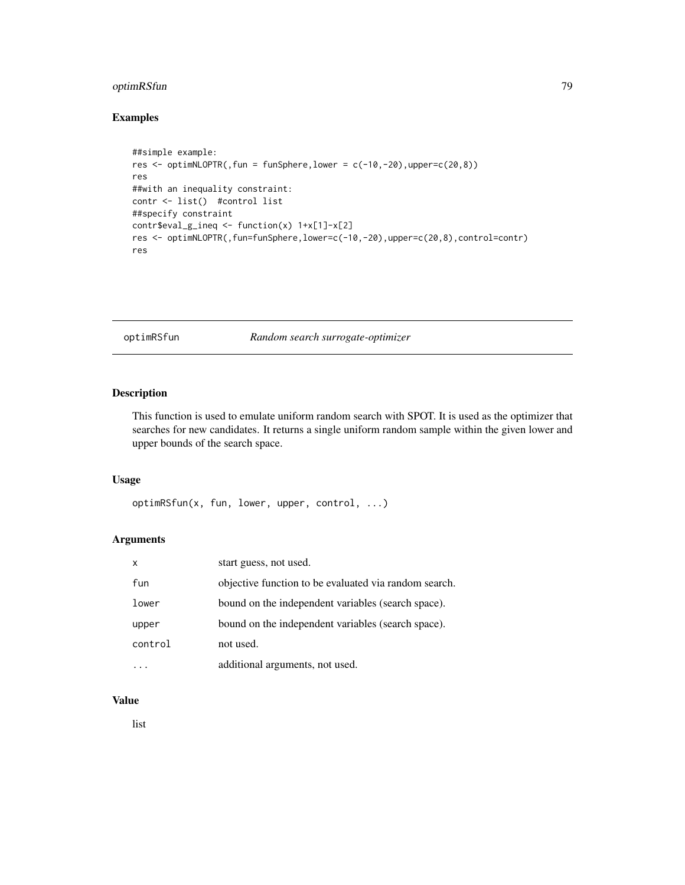## optimRSfun 79

## Examples

```
##simple example:
res \le optimNLOPTR(, fun = funSphere, lower = c(-10,-20), upper=c(20,8))
res
##with an inequality constraint:
contr <- list() #control list
##specify constraint
contr$eval_g_ineq <- function(x) 1+x[1]-x[2]
res <- optimNLOPTR(,fun=funSphere,lower=c(-10,-20),upper=c(20,8),control=contr)
res
```
optimRSfun *Random search surrogate-optimizer*

## Description

This function is used to emulate uniform random search with SPOT. It is used as the optimizer that searches for new candidates. It returns a single uniform random sample within the given lower and upper bounds of the search space.

#### Usage

optimRSfun(x, fun, lower, upper, control, ...)

#### Arguments

| X       | start guess, not used.                                |
|---------|-------------------------------------------------------|
| fun     | objective function to be evaluated via random search. |
| lower   | bound on the independent variables (search space).    |
| upper   | bound on the independent variables (search space).    |
| control | not used.                                             |
|         | additional arguments, not used.                       |

## Value

list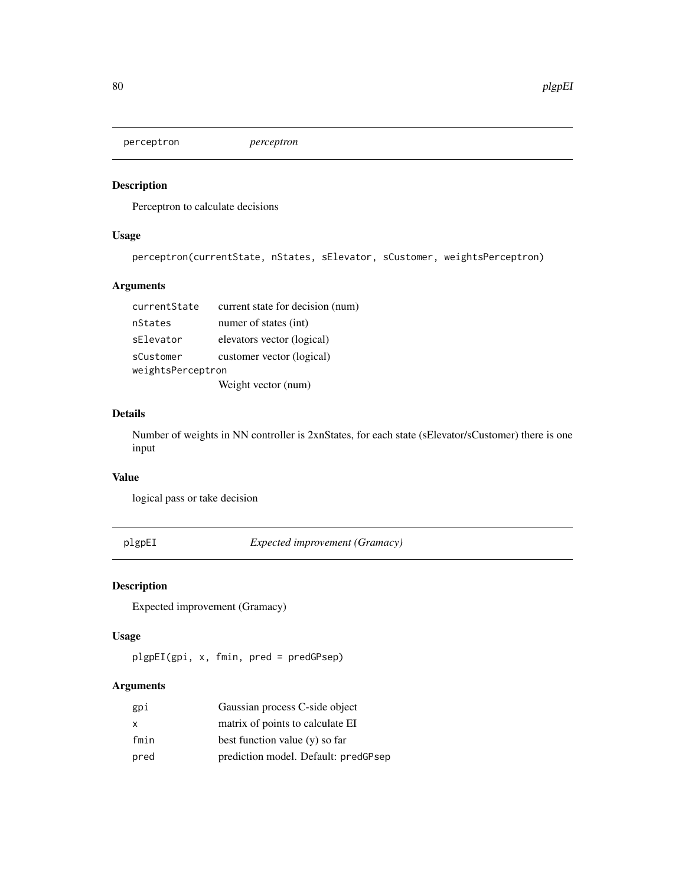perceptron *perceptron*

## Description

Perceptron to calculate decisions

## Usage

perceptron(currentState, nStates, sElevator, sCustomer, weightsPerceptron)

## Arguments

| currentState      | current state for decision (num) |
|-------------------|----------------------------------|
| nStates           | numer of states (int)            |
| sElevator         | elevators vector (logical)       |
| sCustomer         | customer vector (logical)        |
| weightsPerceptron |                                  |
|                   | Weight vector (num)              |

## Details

Number of weights in NN controller is 2xnStates, for each state (sElevator/sCustomer) there is one input

#### Value

logical pass or take decision

plgpEI *Expected improvement (Gramacy)*

## Description

Expected improvement (Gramacy)

## Usage

plgpEI(gpi, x, fmin, pred = predGPsep)

| gpi  | Gaussian process C-side object       |
|------|--------------------------------------|
| x    | matrix of points to calculate EI     |
| fmin | best function value $(y)$ so far     |
| pred | prediction model. Default: predGPsep |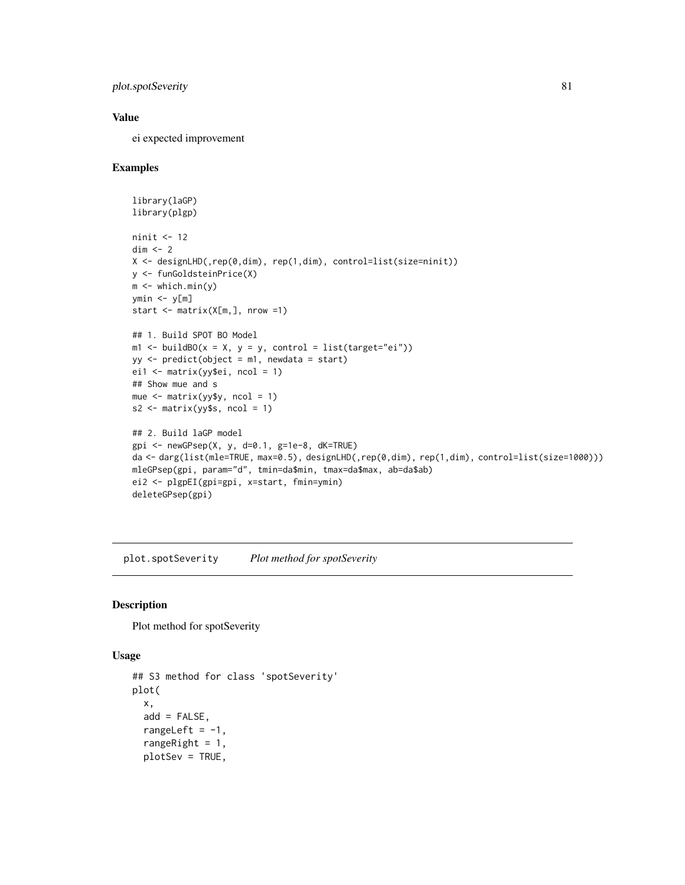```
plot.spotSeverity 81
```
#### Value

ei expected improvement

#### Examples

```
library(laGP)
library(plgp)
ninit <- 12
dim \leq -2X <- designLHD(,rep(0,dim), rep(1,dim), control=list(size=ninit))
y <- funGoldsteinPrice(X)
m \le - which.min(y)
ymin <- y[m]
start \leq matrix(X[m, ], nrow =1)
## 1. Build SPOT BO Model
m1 <- buildBO(x = X, y = y, control = list(target="ei"))
yy \le- predict(object = m1, newdata = start)
ei1 \leq matrix(yy$ei, ncol = 1)
## Show mue and s
mue <- matrix(yy$y, ncol = 1)
s2 \leq - matrix(yy$s, ncol = 1)
## 2. Build laGP model
gpi \leftarrow newGPsep(X, y, d=0.1, g=1e-8, dK=True)da <- darg(list(mle=TRUE, max=0.5), designLHD(,rep(0,dim), rep(1,dim), control=list(size=1000)))
mleGPsep(gpi, param="d", tmin=da$min, tmax=da$max, ab=da$ab)
ei2 <- plgpEI(gpi=gpi, x=start, fmin=ymin)
deleteGPsep(gpi)
```
plot.spotSeverity *Plot method for spotSeverity*

#### Description

Plot method for spotSeverity

#### Usage

```
## S3 method for class 'spotSeverity'
plot(
 x,
  add = FALSE,
  rangeLeft = -1,
  rangeRight = 1,
  plotSev = TRUE,
```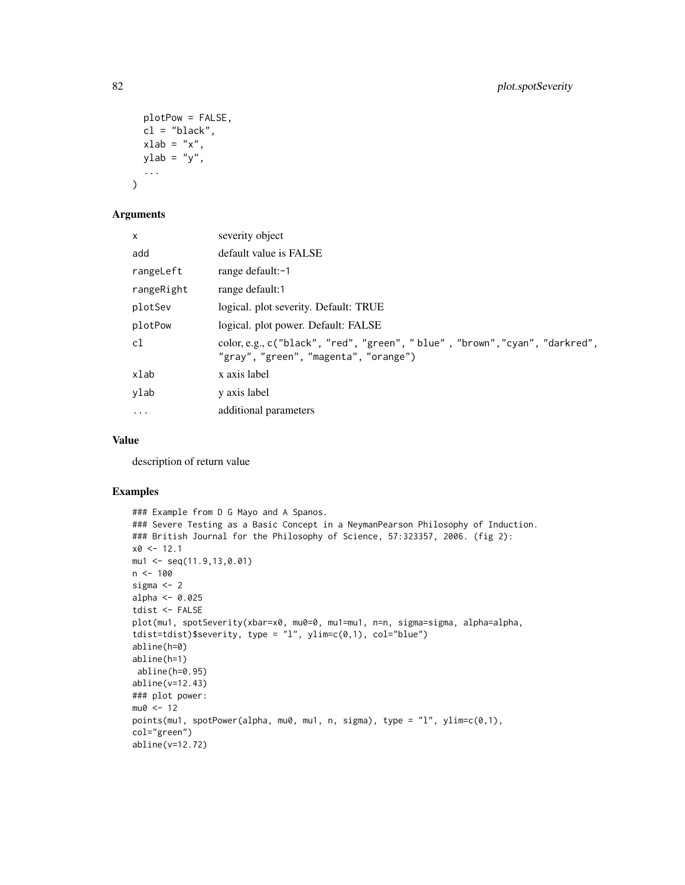```
plotPow = FALSE,
  cl = "black",xlab = "x",
 ylab = "y",
  ...
\mathcal{L}
```
## Arguments

| $\mathsf{x}$ | severity object                                                                                                      |
|--------------|----------------------------------------------------------------------------------------------------------------------|
| add          | default value is FALSE                                                                                               |
| rangeLeft    | range default:-1                                                                                                     |
| rangeRight   | range default:1                                                                                                      |
| plotSev      | logical. plot severity. Default: TRUE                                                                                |
| plotPow      | logical. plot power. Default: FALSE                                                                                  |
| cl           | color, e.g., c("black", "red", "green", "blue", "brown", "cyan", "darkred",<br>"gray", "green", "magenta", "orange") |
| xlab         | x axis label                                                                                                         |
| ylab         | y axis label                                                                                                         |
| $\ddots$     | additional parameters                                                                                                |
|              |                                                                                                                      |

## Value

description of return value

```
### Example from D G Mayo and A Spanos.
### Severe Testing as a Basic Concept in a NeymanPearson Philosophy of Induction.
### British Journal for the Philosophy of Science, 57:323357, 2006. (fig 2):
x0 < -12.1mu1 \le - seq(11.9,13,0.01)
n < -100sigma <- 2
alpha <- 0.025
tdist <- FALSE
plot(mu1, spotSeverity(xbar=x0, mu0=0, mu1=mu1, n=n, sigma=sigma, alpha=alpha,
tdist=tdist)$severity, type = "l", ylim=c(0,1), col="blue")
abline(h=0)
abline(h=1)
abline(h=0.95)
abline(v=12.43)
### plot power:
mu0 < -12points(mu1, spotPower(alpha, mu0, mu1, n, sigma), type = "l", ylim=c(0,1),
col="green")
abline(v=12.72)
```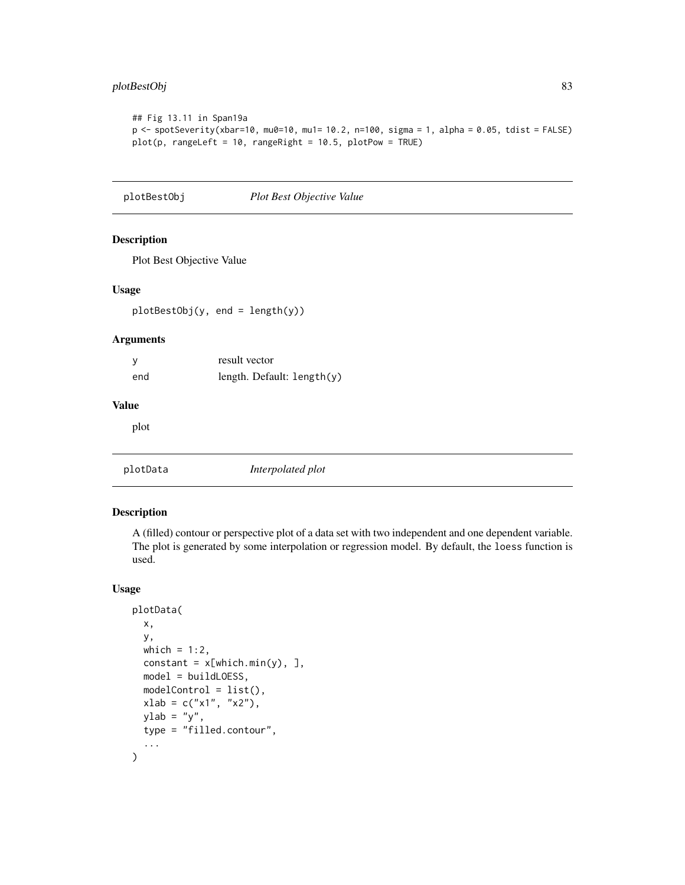## plotBestObj 83

```
## Fig 13.11 in Span19a
p <- spotSeverity(xbar=10, mu0=10, mu1= 10.2, n=100, sigma = 1, alpha = 0.05, tdist = FALSE)
plot(p, rangeLeft = 10, rangeRight = 10.5, plotPow = TRUE)
```
plotBestObj *Plot Best Objective Value*

## Description

Plot Best Objective Value

## Usage

plotBestObj(y, end = length(y))

#### Arguments

|     | result vector              |
|-----|----------------------------|
| end | length. Default: length(y) |

## Value

plot

<span id="page-82-0"></span>

## Description

A (filled) contour or perspective plot of a data set with two independent and one dependent variable. The plot is generated by some interpolation or regression model. By default, the loess function is used.

#### Usage

```
plotData(
  x,
  y,
 which = 1:2,
  constant = x[which.min(y), ],
 model = buildLOESS,
 modelControl = list(),
 xlab = c("x1", "x2"),
 ylab = "y",
  type = "filled.contour",
  ...
\mathcal{L}
```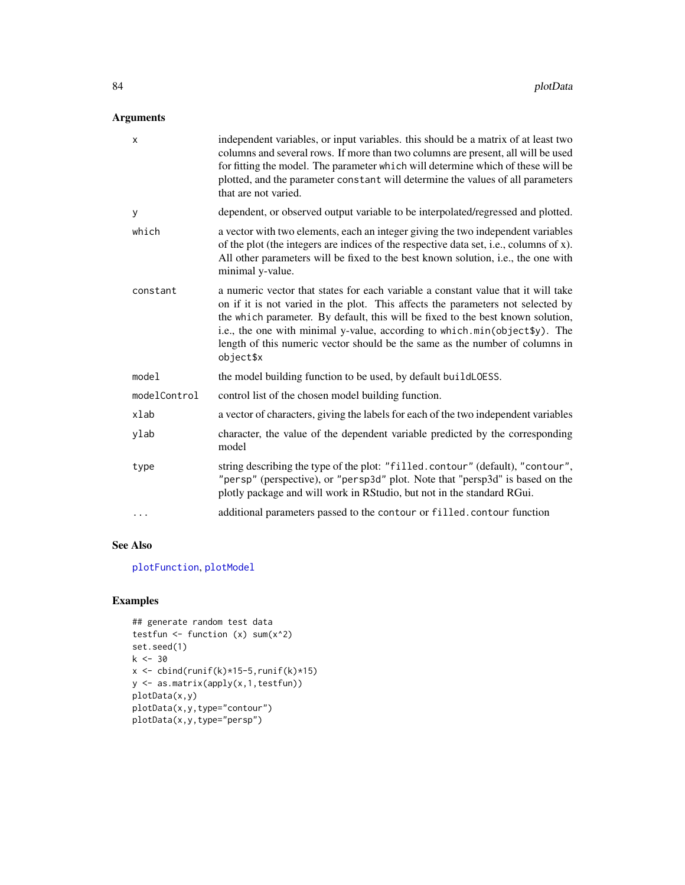## Arguments

| X            | independent variables, or input variables. this should be a matrix of at least two<br>columns and several rows. If more than two columns are present, all will be used<br>for fitting the model. The parameter which will determine which of these will be<br>plotted, and the parameter constant will determine the values of all parameters<br>that are not varied.                                                              |
|--------------|------------------------------------------------------------------------------------------------------------------------------------------------------------------------------------------------------------------------------------------------------------------------------------------------------------------------------------------------------------------------------------------------------------------------------------|
| y            | dependent, or observed output variable to be interpolated/regressed and plotted.                                                                                                                                                                                                                                                                                                                                                   |
| which        | a vector with two elements, each an integer giving the two independent variables<br>of the plot (the integers are indices of the respective data set, i.e., columns of x).<br>All other parameters will be fixed to the best known solution, i.e., the one with<br>minimal y-value.                                                                                                                                                |
| constant     | a numeric vector that states for each variable a constant value that it will take<br>on if it is not varied in the plot. This affects the parameters not selected by<br>the which parameter. By default, this will be fixed to the best known solution,<br>i.e., the one with minimal y-value, according to which.min(object\$y). The<br>length of this numeric vector should be the same as the number of columns in<br>object\$x |
| model        | the model building function to be used, by default build LOESS.                                                                                                                                                                                                                                                                                                                                                                    |
| modelControl | control list of the chosen model building function.                                                                                                                                                                                                                                                                                                                                                                                |
| xlab         | a vector of characters, giving the labels for each of the two independent variables                                                                                                                                                                                                                                                                                                                                                |
| ylab         | character, the value of the dependent variable predicted by the corresponding<br>model                                                                                                                                                                                                                                                                                                                                             |
| type         | string describing the type of the plot: "filled.contour" (default), "contour",<br>"persp" (perspective), or "persp3d" plot. Note that "persp3d" is based on the<br>plotly package and will work in RStudio, but not in the standard RGui.                                                                                                                                                                                          |
| .            | additional parameters passed to the contour or filled. contour function                                                                                                                                                                                                                                                                                                                                                            |

## See Also

[plotFunction](#page-84-0), [plotModel](#page-86-0)

```
## generate random test data
testfun \leftarrow function (x) sum(x^2)
set.seed(1)
k < -30x \leftarrow \text{cbind}(\text{runif}(k)*15-5,\text{runif}(k)*15)y <- as.matrix(apply(x,1,testfun))
plotData(x,y)
plotData(x,y,type="contour")
plotData(x,y,type="persp")
```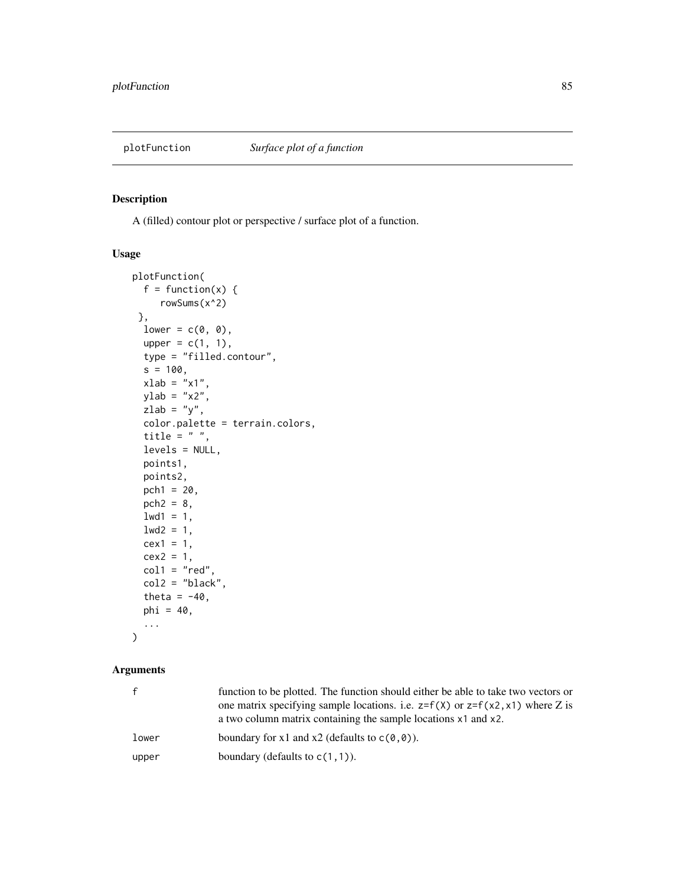<span id="page-84-0"></span>

A (filled) contour plot or perspective / surface plot of a function.

## Usage

```
plotFunction(
 f = function(x) {
     rowSums(x^2)
},
 lower = c(0, 0),upper = c(1, 1),type = "filled.contour",
 s = 100,
 xlab = "x1",
 ylab = "x2",zlab = "y",color.palette = terrain.colors,
 title = " "levels = NULL,
 points1,
 points2,
 pch1 = 20,
 pch2 = 8,
 1wd1 = 1,
 1wd2 = 1,
 cex1 = 1,cex2 = 1,
 col1 = "red",col2 = "black",theta = -40,
 phi = 40,
  ...
```
# )

| $\mathbf{f}$ | function to be plotted. The function should either be able to take two vectors or<br>one matrix specifying sample locations. i.e. $z=f(x)$ or $z=f(xz,x1)$ where Z is<br>a two column matrix containing the sample locations x1 and x2. |
|--------------|-----------------------------------------------------------------------------------------------------------------------------------------------------------------------------------------------------------------------------------------|
| lower        | boundary for x1 and x2 (defaults to $c(0,0)$ ).                                                                                                                                                                                         |
| upper        | boundary (defaults to $c(1,1)$ ).                                                                                                                                                                                                       |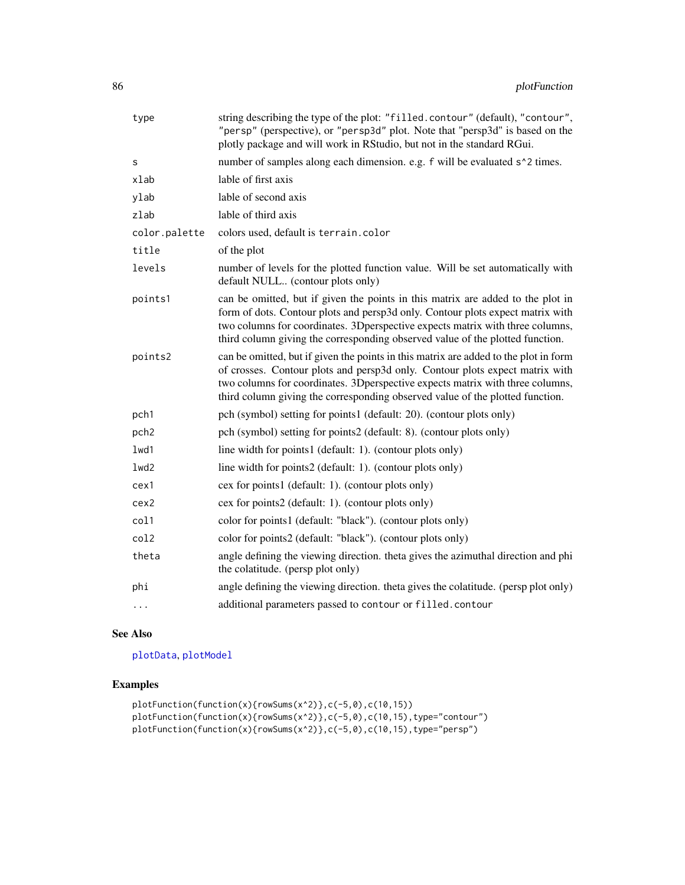| type          | string describing the type of the plot: "filled.contour" (default), "contour",<br>"persp" (perspective), or "persp3d" plot. Note that "persp3d" is based on the<br>plotly package and will work in RStudio, but not in the standard RGui.                                                                                              |
|---------------|----------------------------------------------------------------------------------------------------------------------------------------------------------------------------------------------------------------------------------------------------------------------------------------------------------------------------------------|
| s             | number of samples along each dimension. e.g. f will be evaluated s <sup>1</sup> 2 times.                                                                                                                                                                                                                                               |
| xlab          | lable of first axis                                                                                                                                                                                                                                                                                                                    |
| ylab          | lable of second axis                                                                                                                                                                                                                                                                                                                   |
| zlab          | lable of third axis                                                                                                                                                                                                                                                                                                                    |
| color.palette | colors used, default is terrain.color                                                                                                                                                                                                                                                                                                  |
| title         | of the plot                                                                                                                                                                                                                                                                                                                            |
| levels        | number of levels for the plotted function value. Will be set automatically with<br>default NULL (contour plots only)                                                                                                                                                                                                                   |
| points1       | can be omitted, but if given the points in this matrix are added to the plot in<br>form of dots. Contour plots and persp3d only. Contour plots expect matrix with<br>two columns for coordinates. 3Dperspective expects matrix with three columns,<br>third column giving the corresponding observed value of the plotted function.    |
| points2       | can be omitted, but if given the points in this matrix are added to the plot in form<br>of crosses. Contour plots and persp3d only. Contour plots expect matrix with<br>two columns for coordinates. 3Dperspective expects matrix with three columns,<br>third column giving the corresponding observed value of the plotted function. |
| pch1          | pch (symbol) setting for points1 (default: 20). (contour plots only)                                                                                                                                                                                                                                                                   |
| pch2          | pch (symbol) setting for points2 (default: 8). (contour plots only)                                                                                                                                                                                                                                                                    |
| 1wd1          | line width for points1 (default: 1). (contour plots only)                                                                                                                                                                                                                                                                              |
| lwd2          | line width for points2 (default: 1). (contour plots only)                                                                                                                                                                                                                                                                              |
| cex1          | cex for points1 (default: 1). (contour plots only)                                                                                                                                                                                                                                                                                     |
| cex2          | cex for points2 (default: 1). (contour plots only)                                                                                                                                                                                                                                                                                     |
| col1          | color for points1 (default: "black"). (contour plots only)                                                                                                                                                                                                                                                                             |
| col2          | color for points2 (default: "black"). (contour plots only)                                                                                                                                                                                                                                                                             |
| theta         | angle defining the viewing direction. theta gives the azimuthal direction and phi<br>the colatitude. (persp plot only)                                                                                                                                                                                                                 |
| phi           | angle defining the viewing direction. theta gives the colatitude. (persp plot only)                                                                                                                                                                                                                                                    |
| $\cdots$      | additional parameters passed to contour or filled.contour                                                                                                                                                                                                                                                                              |

## See Also

[plotData](#page-82-0), [plotModel](#page-86-0)

```
plotFunction(function(x){rowSums(x^2)},c(-5,0),c(10,15))
plotFunction(function(x){rowSums(x^2)},c(-5,0),c(10,15),type="contour")
plotFunction(function(x){rowSums(x^2)},c(-5,0),c(10,15),type="persp")
```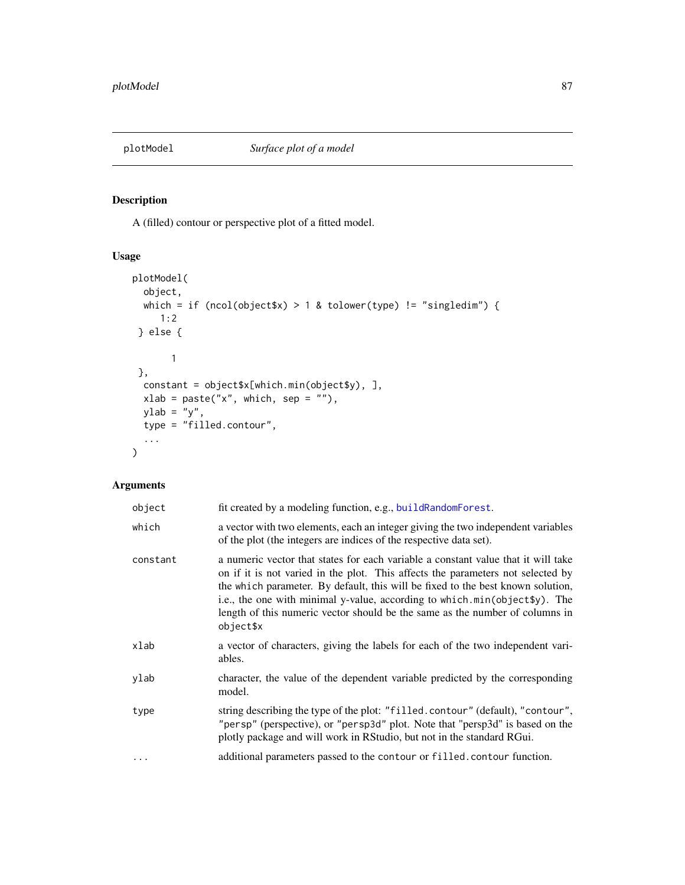<span id="page-86-0"></span>

A (filled) contour or perspective plot of a fitted model.

## Usage

```
plotModel(
  object,
  which = if (ncol(object$x) > 1 & tolower(type) != "singledim") {
     1:2
 } else {
       1
 },
  constant = object$x[which.min(object$y), ],
  xlab = paste("x", which, sep = ""),
 ylab = "y",
  type = "filled.contour",
  ...
\mathcal{L}
```

| object   | fit created by a modeling function, e.g., buildRandomForest.                                                                                                                                                                                                                                                                                                                                                                        |
|----------|-------------------------------------------------------------------------------------------------------------------------------------------------------------------------------------------------------------------------------------------------------------------------------------------------------------------------------------------------------------------------------------------------------------------------------------|
| which    | a vector with two elements, each an integer giving the two independent variables<br>of the plot (the integers are indices of the respective data set).                                                                                                                                                                                                                                                                              |
| constant | a numeric vector that states for each variable a constant value that it will take<br>on if it is not varied in the plot. This affects the parameters not selected by<br>the which parameter. By default, this will be fixed to the best known solution,<br>i.e., the one with minimal y-value, according to which.min(object \$y). The<br>length of this numeric vector should be the same as the number of columns in<br>object\$x |
| xlab     | a vector of characters, giving the labels for each of the two independent vari-<br>ables.                                                                                                                                                                                                                                                                                                                                           |
| ylab     | character, the value of the dependent variable predicted by the corresponding<br>model.                                                                                                                                                                                                                                                                                                                                             |
| type     | string describing the type of the plot: "filled.contour" (default), "contour",<br>"persp" (perspective), or "persp3d" plot. Note that "persp3d" is based on the<br>plotly package and will work in RStudio, but not in the standard RGui.                                                                                                                                                                                           |
| $\cdots$ | additional parameters passed to the contour or filled. contour function.                                                                                                                                                                                                                                                                                                                                                            |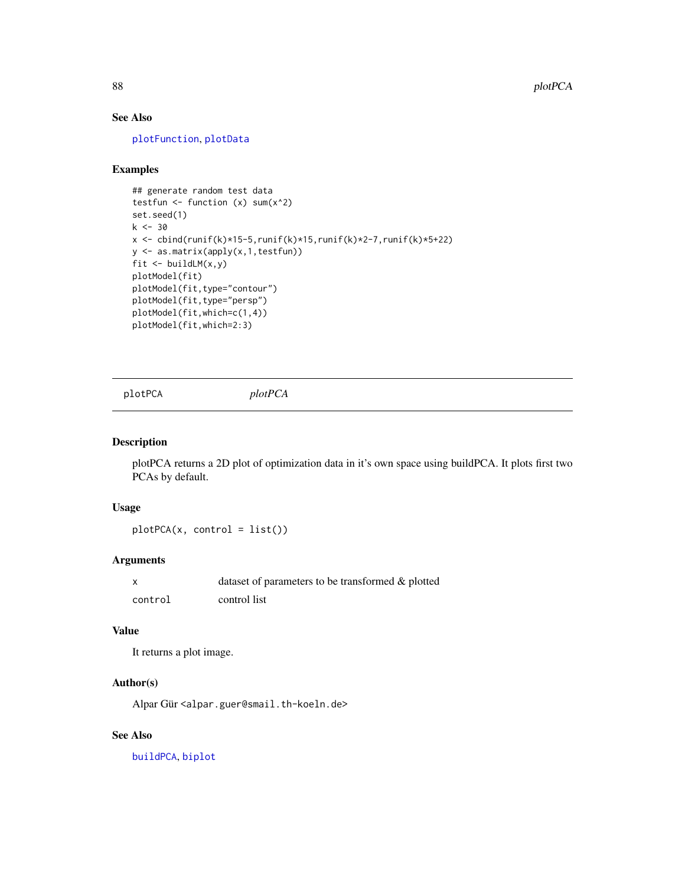## See Also

[plotFunction](#page-84-0), [plotData](#page-82-0)

## Examples

```
## generate random test data
testfun \leftarrow function (x) sum(x^2)set.seed(1)
k < -30x \leftarrow \text{cbind}(\text{runif}(k)*15-5,\text{runif}(k)*15,\text{runif}(k)*2-7,\text{runif}(k)*5+22)y <- as.matrix(apply(x,1,testfun))
fit <- buildLM(x,y)
plotModel(fit)
plotModel(fit,type="contour")
plotModel(fit,type="persp")
plotModel(fit,which=c(1,4))
plotModel(fit,which=2:3)
```
plotPCA *plotPCA*

#### Description

plotPCA returns a 2D plot of optimization data in it's own space using buildPCA. It plots first two PCAs by default.

#### Usage

plotPCA(x, control = list())

## Arguments

|         | dataset of parameters to be transformed & plotted |
|---------|---------------------------------------------------|
| control | control list                                      |

#### Value

It returns a plot image.

## Author(s)

Alpar Gür <alpar.guer@smail.th-koeln.de>

## See Also

[buildPCA](#page-16-0), [biplot](#page-0-0)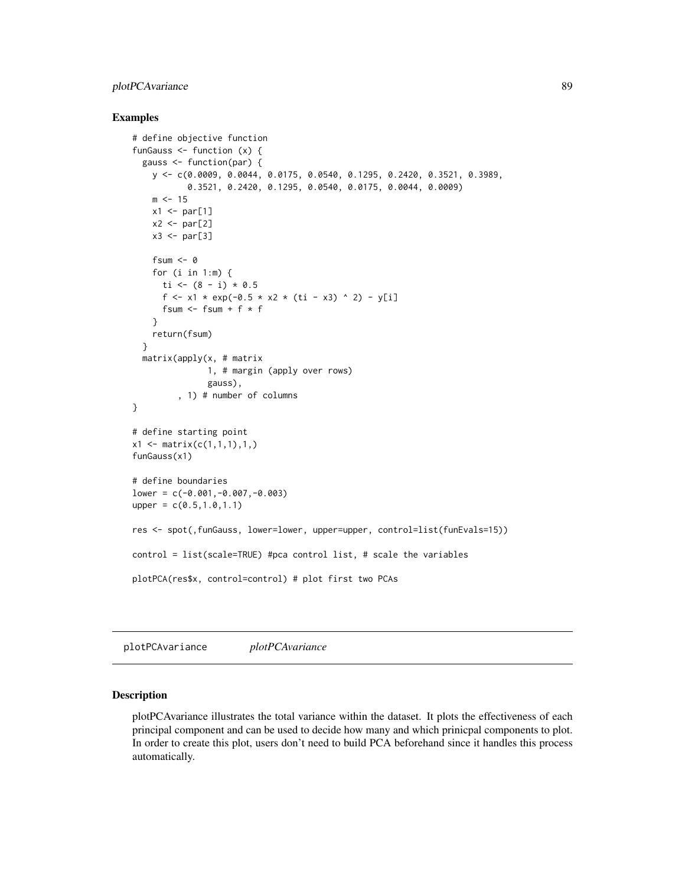## plotPCAvariance 89

#### Examples

```
# define objective function
funGauss <- function (x) {
  gauss <- function(par) {
    y <- c(0.0009, 0.0044, 0.0175, 0.0540, 0.1295, 0.2420, 0.3521, 0.3989,
           0.3521, 0.2420, 0.1295, 0.0540, 0.0175, 0.0044, 0.0009)
    m < -15x1 \leftarrow par[1]x2 \leq -\text{par}[2]x3 \leftarrow par[3]fsum <- 0
    for (i in 1:m) {
     ti <- (8 - i) * 0.5f <- x1 * exp(-0.5 * x2 * (ti - x3) ^ 2) - y[i]
      fsum \le fsum + f * f
    }
    return(fsum)
  }
  matrix(apply(x, # matrix
               1, # margin (apply over rows)
               gauss),
         , 1) # number of columns
}
# define starting point
x1 \leftarrow matrix(c(1,1,1),1,1)funGauss(x1)
# define boundaries
lower = c(-0.001,-0.007,-0.003)
upper = c(0.5, 1.0, 1.1)res <- spot(,funGauss, lower=lower, upper=upper, control=list(funEvals=15))
control = list(scale=TRUE) #pca control list, # scale the variables
plotPCA(res$x, control=control) # plot first two PCAs
```
plotPCAvariance *plotPCAvariance*

#### Description

plotPCAvariance illustrates the total variance within the dataset. It plots the effectiveness of each principal component and can be used to decide how many and which prinicpal components to plot. In order to create this plot, users don't need to build PCA beforehand since it handles this process automatically.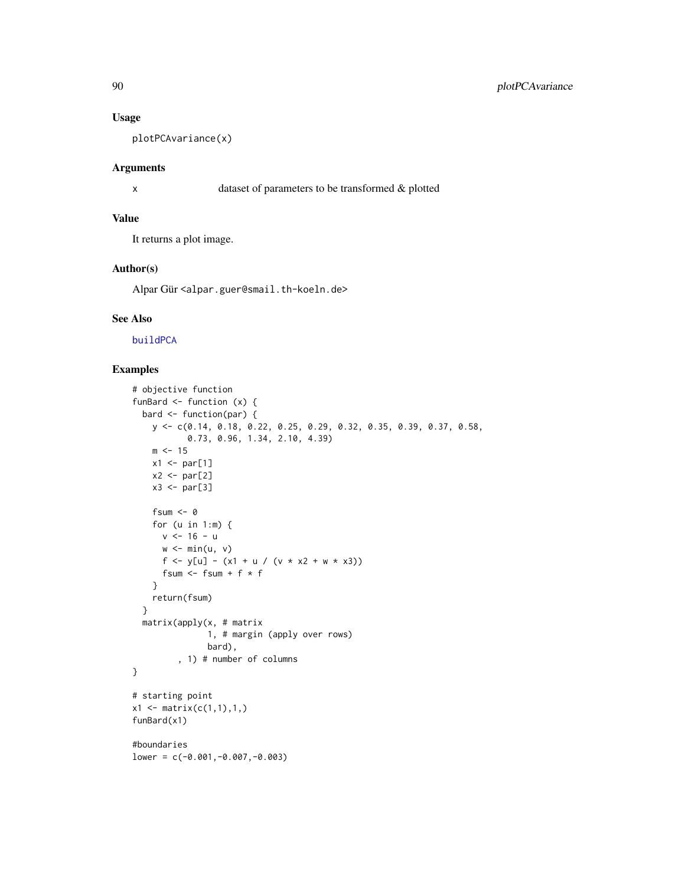#### Usage

plotPCAvariance(x)

#### Arguments

```
x dataset of parameters to be transformed & plotted
```
## Value

It returns a plot image.

#### Author(s)

Alpar Gür <alpar.guer@smail.th-koeln.de>

## See Also

[buildPCA](#page-16-0)

```
# objective function
funBard \leq function (x) {
 bard <- function(par) {
    y <- c(0.14, 0.18, 0.22, 0.25, 0.29, 0.32, 0.35, 0.39, 0.37, 0.58,
           0.73, 0.96, 1.34, 2.10, 4.39)
    m < -15x1 \leftarrow par[1]x2 \leftarrow par[2]x3 \leftarrow par[3]fsum <- 0
    for (u in 1:m) {
      v <- 16 - u
      w \leftarrow min(u, v)f <- y[u] - (x1 + u / (v * x2 + w * x3))fsum <- fsum + f * f
    }
    return(fsum)
  }
  matrix(apply(x, # matrix
               1, # margin (apply over rows)
               bard),
         , 1) # number of columns
}
# starting point
x1 \leftarrow matrix(c(1,1),1,1)funBard(x1)
#boundaries
lower = c(-0.001,-0.007,-0.003)
```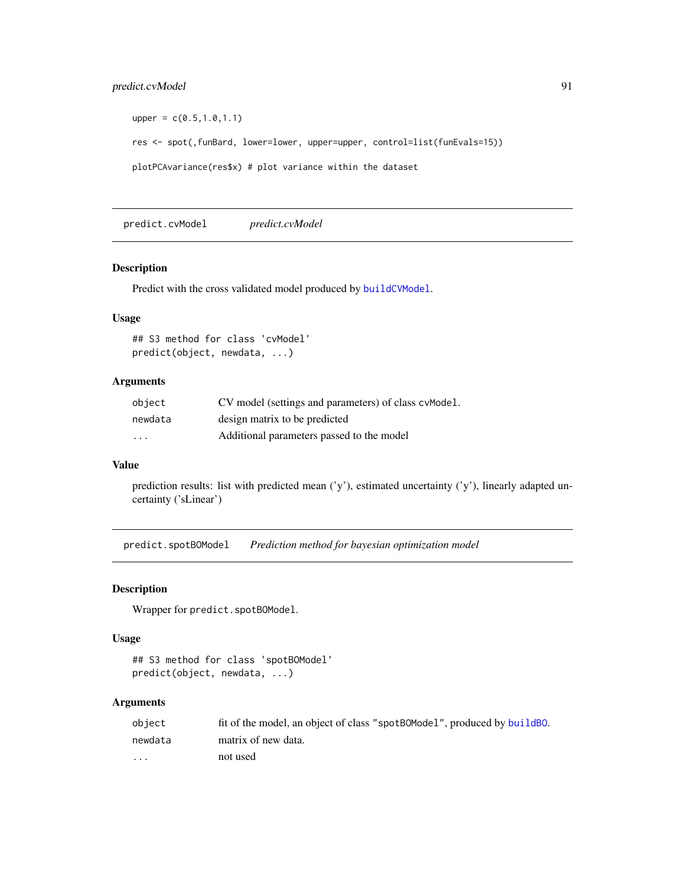## predict.cvModel 91

```
upper = c(0.5, 1.0, 1.1)res <- spot(,funBard, lower=lower, upper=upper, control=list(funEvals=15))
plotPCAvariance(res$x) # plot variance within the dataset
```
predict.cvModel *predict.cvModel*

#### Description

Predict with the cross validated model produced by [buildCVModel](#page-6-0).

#### Usage

```
## S3 method for class 'cvModel'
predict(object, newdata, ...)
```
## Arguments

| object   | CV model (settings and parameters) of class cymodel. |
|----------|------------------------------------------------------|
| newdata  | design matrix to be predicted                        |
| $\cdots$ | Additional parameters passed to the model            |

## Value

prediction results: list with predicted mean ('y'), estimated uncertainty ('y'), linearly adapted uncertainty ('sLinear')

predict.spotBOModel *Prediction method for bayesian optimization model*

## Description

Wrapper for predict.spotBOModel.

#### Usage

```
## S3 method for class 'spotBOModel'
predict(object, newdata, ...)
```

| obiect  | fit of the model, an object of class "spotBOModel", produced by build BO. |
|---------|---------------------------------------------------------------------------|
| newdata | matrix of new data.                                                       |
| $\cdot$ | not used                                                                  |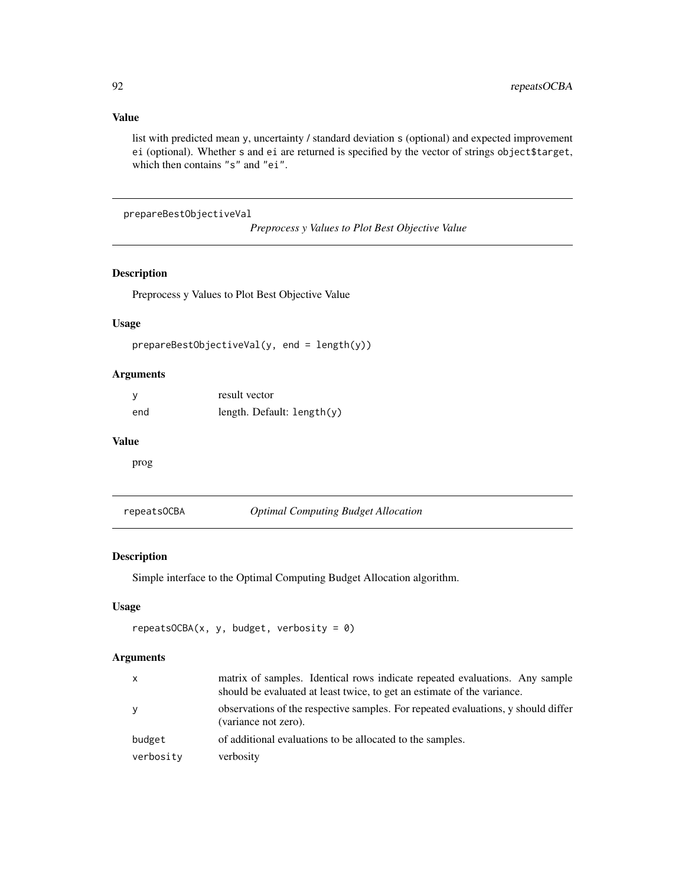## Value

list with predicted mean y, uncertainty / standard deviation s (optional) and expected improvement ei (optional). Whether s and ei are returned is specified by the vector of strings object\$target, which then contains "s" and "ei".

prepareBestObjectiveVal

*Preprocess y Values to Plot Best Objective Value*

## Description

Preprocess y Values to Plot Best Objective Value

## Usage

```
prepareBestObjectiveVal(y, end = length(y))
```
## Arguments

|     | result vector              |
|-----|----------------------------|
| end | length. Default: length(y) |

#### Value

prog

repeatsOCBA *Optimal Computing Budget Allocation*

#### Description

Simple interface to the Optimal Computing Budget Allocation algorithm.

## Usage

```
repeatsOCBA(x, y, budget, verbosity = 0)
```

| X         | matrix of samples. Identical rows indicate repeated evaluations. Any sample<br>should be evaluated at least twice, to get an estimate of the variance. |
|-----------|--------------------------------------------------------------------------------------------------------------------------------------------------------|
| У         | observations of the respective samples. For repeated evaluations, y should differ<br>(variance not zero).                                              |
| budget    | of additional evaluations to be allocated to the samples.                                                                                              |
| verbosity | verbosity                                                                                                                                              |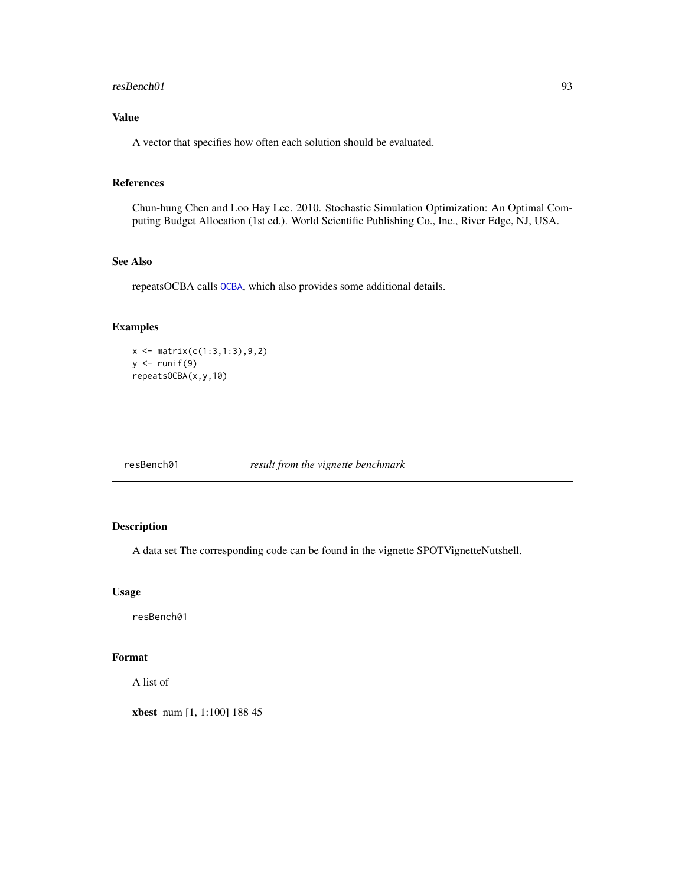#### resBench01 93

## Value

A vector that specifies how often each solution should be evaluated.

#### References

Chun-hung Chen and Loo Hay Lee. 2010. Stochastic Simulation Optimization: An Optimal Computing Budget Allocation (1st ed.). World Scientific Publishing Co., Inc., River Edge, NJ, USA.

#### See Also

repeatsOCBA calls [OCBA](#page-0-0), which also provides some additional details.

## Examples

```
x \leftarrow \text{matrix}(c(1:3,1:3), 9, 2)y \leftarrow runif(9)repeatsOCBA(x,y,10)
```
resBench01 *result from the vignette benchmark*

## Description

A data set The corresponding code can be found in the vignette SPOTVignetteNutshell.

#### Usage

resBench01

## Format

A list of

xbest num [1, 1:100] 188 45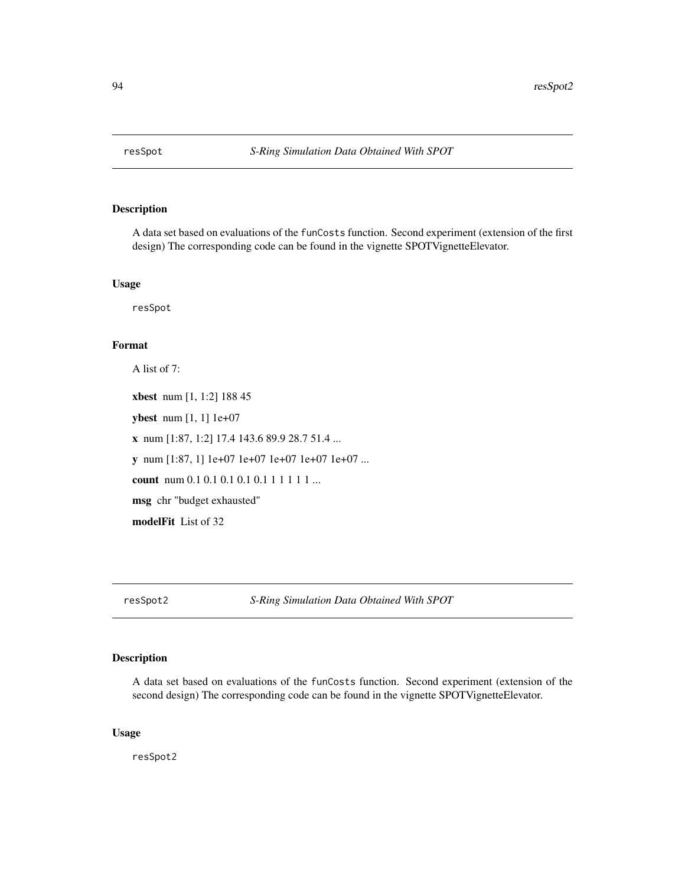A data set based on evaluations of the funCosts function. Second experiment (extension of the first design) The corresponding code can be found in the vignette SPOTVignetteElevator.

#### Usage

resSpot

## Format

A list of 7:

xbest num [1, 1:2] 188 45 ybest num [1, 1] 1e+07 x num [1:87, 1:2] 17.4 143.6 89.9 28.7 51.4 ... y num [1:87, 1] 1e+07 1e+07 1e+07 1e+07 1e+07 ... count num 0.1 0.1 0.1 0.1 0.1 1 1 1 1 1 ... msg chr "budget exhausted" modelFit List of 32

resSpot2 *S-Ring Simulation Data Obtained With SPOT*

## Description

A data set based on evaluations of the funCosts function. Second experiment (extension of the second design) The corresponding code can be found in the vignette SPOTVignetteElevator.

#### Usage

resSpot2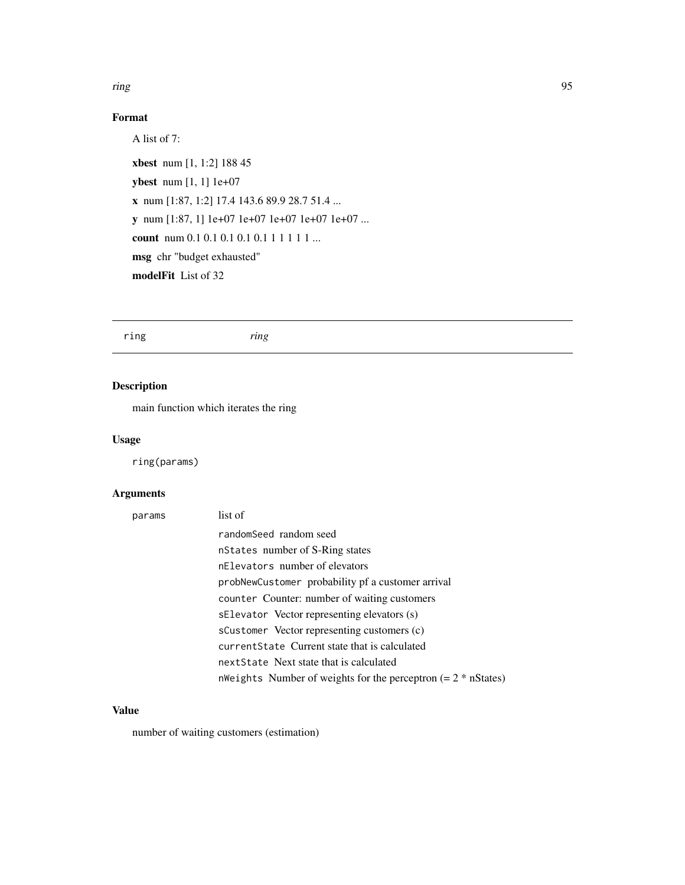#### ring the contract of the contract of the contract of the contract of the contract of the contract of the contract of the contract of the contract of the contract of the contract of the contract of the contract of the contr

## Format

A list of 7: xbest num [1, 1:2] 188 45 ybest num [1, 1] 1e+07 x num [1:87, 1:2] 17.4 143.6 89.9 28.7 51.4 ... y num [1:87, 1] 1e+07 1e+07 1e+07 1e+07 1e+07 ... count num 0.1 0.1 0.1 0.1 0.1 1 1 1 1 1 ... msg chr "budget exhausted" modelFit List of 32

ring *ring*

## Description

main function which iterates the ring

## Usage

ring(params)

## Arguments

| params | list of                                                         |
|--------|-----------------------------------------------------------------|
|        | randomSeed random seed                                          |
|        | nstates number of S-Ring states                                 |
|        | nElevators number of elevators                                  |
|        | probNewCustomer probability pf a customer arrival               |
|        | counter Counter: number of waiting customers                    |
|        | sElevator Vector representing elevators (s)                     |
|        | sCustomer Vector representing customers (c)                     |
|        | current State Current state that is calculated                  |
|        | next State Next state that is calculated                        |
|        | nWeights Number of weights for the perceptron $(= 2 * nStates)$ |

## Value

number of waiting customers (estimation)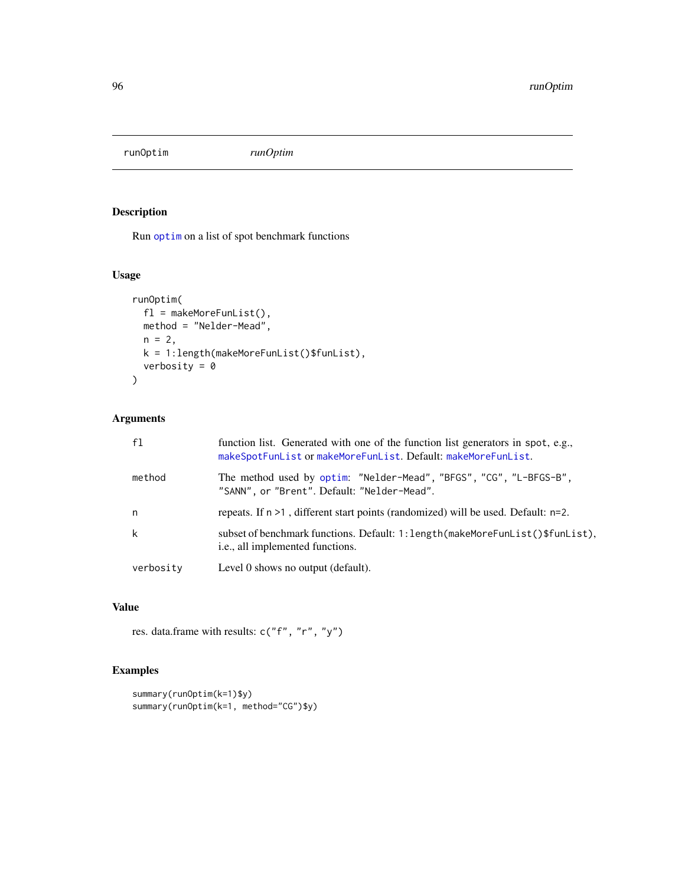runOptim *runOptim*

## Description

Run [optim](#page-0-0) on a list of spot benchmark functions

## Usage

```
runOptim(
  fl = makeMoreFunList(),
 method = "Nelder-Mead",
 n = 2,
 k = 1:length(makeMoreFunList()$funList),
 verbosity = \theta)
```
## Arguments

| f1        | function list. Generated with one of the function list generators in spot, e.g.,<br>makeSpotFunList or makeMoreFunList. Default: makeMoreFunList. |
|-----------|---------------------------------------------------------------------------------------------------------------------------------------------------|
| method    | The method used by optim: "Nelder-Mead", "BFGS", "CG", "L-BFGS-B",<br>"SANN", or "Brent". Default: "Nelder-Mead".                                 |
| n         | repeats. If $n > 1$ , different start points (randomized) will be used. Default: $n=2$ .                                                          |
| k         | subset of benchmark functions. Default: 1: length (makeMoreFunList()\$funList),<br>i.e., all implemented functions.                               |
| verbosity | Level 0 shows no output (default).                                                                                                                |

## Value

res. data.frame with results: c("f", "r", "y")

```
summary(runOptim(k=1)$y)
summary(runOptim(k=1, method="CG")$y)
```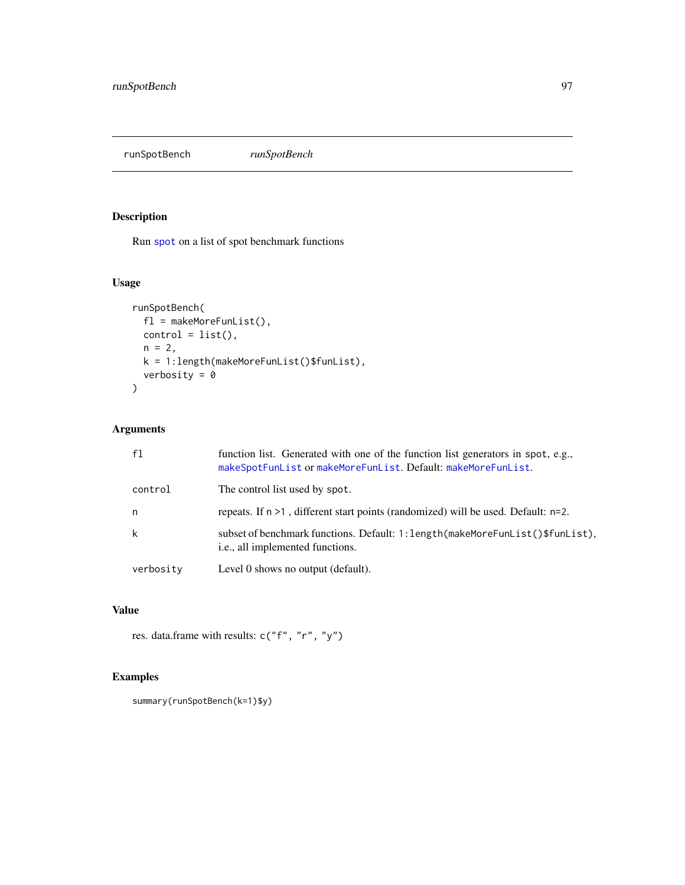runSpotBench *runSpotBench*

## Description

Run [spot](#page-101-0) on a list of spot benchmark functions

# Usage

```
runSpotBench(
 fl = makeMoreFunList(),
 control = list(),n = 2,k = 1:length(makeMoreFunList()$funList),
 verbosity = 0)
```
## Arguments

| f1        | function list. Generated with one of the function list generators in spot, e.g.,<br>makeSpotFunList or makeMoreFunList. Default: makeMoreFunList. |
|-----------|---------------------------------------------------------------------------------------------------------------------------------------------------|
| control   | The control list used by spot.                                                                                                                    |
| n         | repeats. If $n > 1$ , different start points (randomized) will be used. Default: $n=2$ .                                                          |
| k         | subset of benchmark functions. Default: 1: length (makeMoreFunList () \$funList),<br>i.e., all implemented functions.                             |
| verbosity | Level 0 shows no output (default).                                                                                                                |

## Value

res. data.frame with results: c("f", "r", "y")

```
summary(runSpotBench(k=1)$y)
```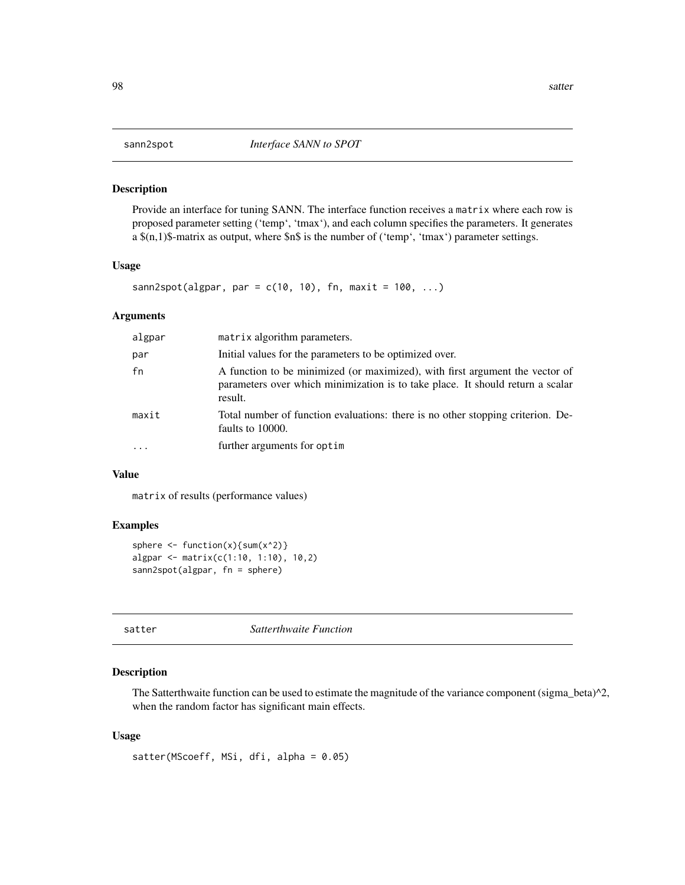Provide an interface for tuning SANN. The interface function receives a matrix where each row is proposed parameter setting ('temp', 'tmax'), and each column specifies the parameters. It generates a \$(n,1)\$-matrix as output, where \$n\$ is the number of ('temp', 'tmax') parameter settings.

#### Usage

```
sann2spot(algpar, par = c(10, 10), fn, maxit = 100, ...)
```
#### Arguments

| algpar    | matrix algorithm parameters.                                                                                                                                              |
|-----------|---------------------------------------------------------------------------------------------------------------------------------------------------------------------------|
| par       | Initial values for the parameters to be optimized over.                                                                                                                   |
| fn        | A function to be minimized (or maximized), with first argument the vector of<br>parameters over which minimization is to take place. It should return a scalar<br>result. |
| maxit     | Total number of function evaluations: there is no other stopping criterion. De-<br>faults to 10000.                                                                       |
| $\ddotsc$ | further arguments for optim                                                                                                                                               |

#### Value

matrix of results (performance values)

#### Examples

```
sphere \leq function(x){sum(x^2)}
algpar <- matrix(c(1:10, 1:10), 10,2)
sann2spot(algpar, fn = sphere)
```
satter *Satterthwaite Function*

#### Description

The Satterthwaite function can be used to estimate the magnitude of the variance component (sigma\_beta) $^{\wedge}2$ , when the random factor has significant main effects.

#### Usage

```
satter(MScoeff, MSi, dfi, alpha = 0.05)
```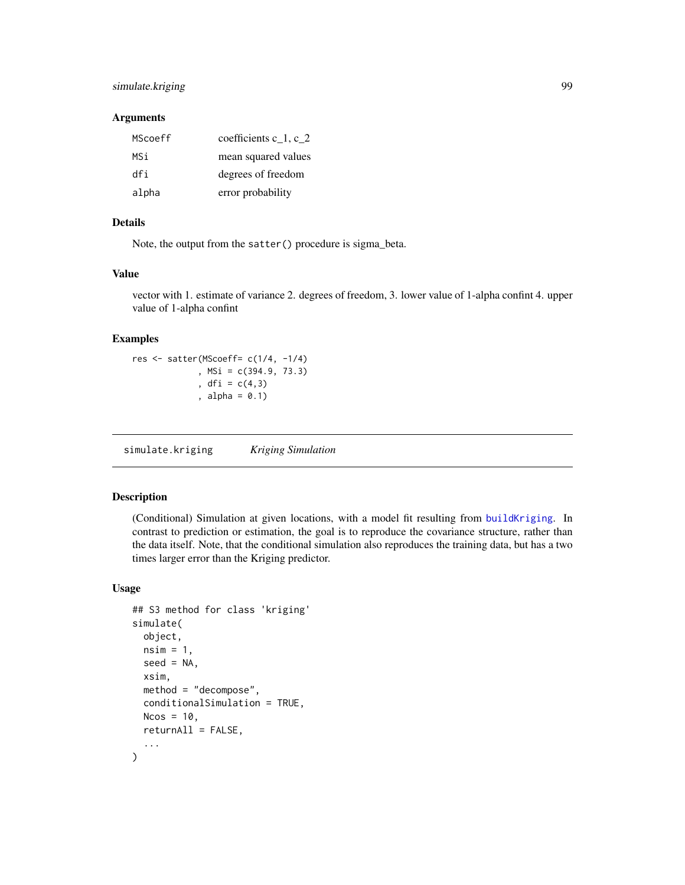## simulate.kriging 99

## Arguments

| MScoeff | coefficients $c_1, c_2$ |
|---------|-------------------------|
| MSi     | mean squared values     |
| dfi     | degrees of freedom      |
| alpha   | error probability       |

## Details

Note, the output from the satter() procedure is sigma\_beta.

#### Value

vector with 1. estimate of variance 2. degrees of freedom, 3. lower value of 1-alpha confint 4. upper value of 1-alpha confint

## Examples

res <- satter(MScoeff= c(1/4, -1/4) , MSi = c(394.9, 73.3) , dfi = c(4,3) , alpha =  $0.1$ )

<span id="page-98-0"></span>simulate.kriging *Kriging Simulation*

## Description

(Conditional) Simulation at given locations, with a model fit resulting from [buildKriging](#page-9-0). In contrast to prediction or estimation, the goal is to reproduce the covariance structure, rather than the data itself. Note, that the conditional simulation also reproduces the training data, but has a two times larger error than the Kriging predictor.

## Usage

```
## S3 method for class 'kriging'
simulate(
  object,
 nsim = 1,
  seed = NA,
  xsim,
 method = "decompose",
  conditionalSimulation = TRUE,
  Ncos = 10,
  returnAll = FALSE,
  ...
)
```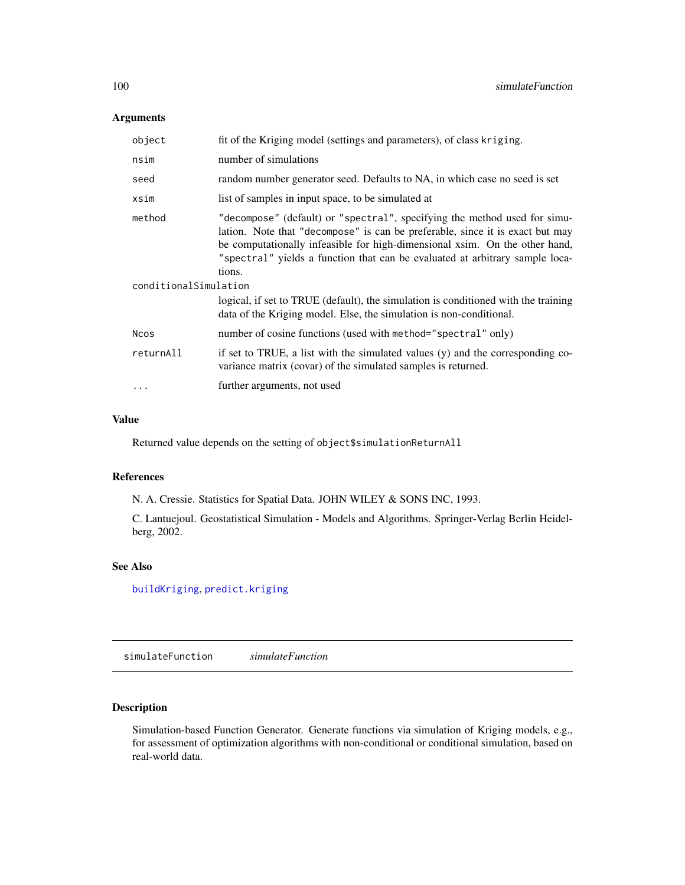## Arguments

| object                | fit of the Kriging model (settings and parameters), of class kriging.                                                                                                                                                                                                                                                               |
|-----------------------|-------------------------------------------------------------------------------------------------------------------------------------------------------------------------------------------------------------------------------------------------------------------------------------------------------------------------------------|
| nsim                  | number of simulations                                                                                                                                                                                                                                                                                                               |
| seed                  | random number generator seed. Defaults to NA, in which case no seed is set                                                                                                                                                                                                                                                          |
| xsim                  | list of samples in input space, to be simulated at                                                                                                                                                                                                                                                                                  |
| method                | "decompose" (default) or "spectral", specifying the method used for simu-<br>lation. Note that "decompose" is can be preferable, since it is exact but may<br>be computationally infeasible for high-dimensional xsim. On the other hand,<br>"spectral" yields a function that can be evaluated at arbitrary sample loca-<br>tions. |
| conditionalSimulation |                                                                                                                                                                                                                                                                                                                                     |
|                       | logical, if set to TRUE (default), the simulation is conditioned with the training<br>data of the Kriging model. Else, the simulation is non-conditional.                                                                                                                                                                           |
| Ncos                  | number of cosine functions (used with method="spectral" only)                                                                                                                                                                                                                                                                       |
| returnAll             | if set to TRUE, a list with the simulated values (y) and the corresponding co-<br>variance matrix (covar) of the simulated samples is returned.                                                                                                                                                                                     |
| $\ddots$              | further arguments, not used                                                                                                                                                                                                                                                                                                         |

## Value

Returned value depends on the setting of object\$simulationReturnAll

## References

N. A. Cressie. Statistics for Spatial Data. JOHN WILEY & SONS INC, 1993.

C. Lantuejoul. Geostatistical Simulation - Models and Algorithms. Springer-Verlag Berlin Heidelberg, 2002.

## See Also

[buildKriging](#page-9-0), [predict.kriging](#page-0-0)

simulateFunction *simulateFunction*

## Description

Simulation-based Function Generator. Generate functions via simulation of Kriging models, e.g., for assessment of optimization algorithms with non-conditional or conditional simulation, based on real-world data.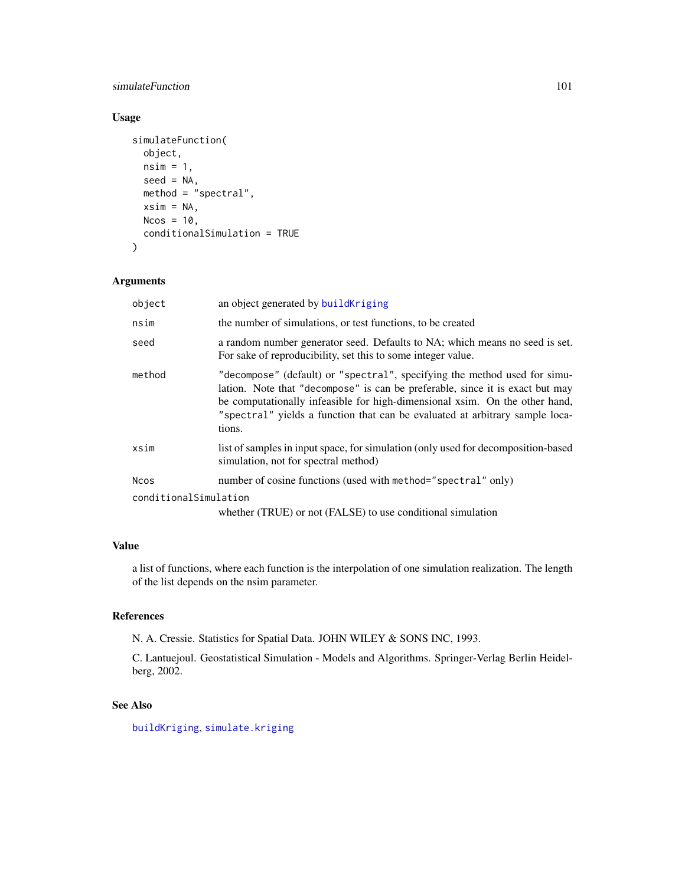## simulateFunction 101

## Usage

```
simulateFunction(
  object,
 nsim = 1,seed = NA,
 method = "spectral",
 xsim = NA,
 Ncos = 10,
  conditionalSimulation = TRUE
)
```
## Arguments

| object                | an object generated by buildKriging                                                                                                                                                                                                                                                                                                 |
|-----------------------|-------------------------------------------------------------------------------------------------------------------------------------------------------------------------------------------------------------------------------------------------------------------------------------------------------------------------------------|
| nsim                  | the number of simulations, or test functions, to be created                                                                                                                                                                                                                                                                         |
| seed                  | a random number generator seed. Defaults to NA; which means no seed is set.<br>For sake of reproducibility, set this to some integer value.                                                                                                                                                                                         |
| method                | "decompose" (default) or "spectral", specifying the method used for simu-<br>lation. Note that "decompose" is can be preferable, since it is exact but may<br>be computationally infeasible for high-dimensional xsim. On the other hand,<br>"spectral" yields a function that can be evaluated at arbitrary sample loca-<br>tions. |
| xsim                  | list of samples in input space, for simulation (only used for decomposition-based<br>simulation, not for spectral method)                                                                                                                                                                                                           |
| <b>Ncos</b>           | number of cosine functions (used with method="spectral" only)                                                                                                                                                                                                                                                                       |
| conditionalSimulation |                                                                                                                                                                                                                                                                                                                                     |
|                       | whether (TRUE) or not (FALSE) to use conditional simulation                                                                                                                                                                                                                                                                         |

## Value

a list of functions, where each function is the interpolation of one simulation realization. The length of the list depends on the nsim parameter.

## References

N. A. Cressie. Statistics for Spatial Data. JOHN WILEY & SONS INC, 1993.

C. Lantuejoul. Geostatistical Simulation - Models and Algorithms. Springer-Verlag Berlin Heidelberg, 2002.

## See Also

[buildKriging](#page-9-0), [simulate.kriging](#page-98-0)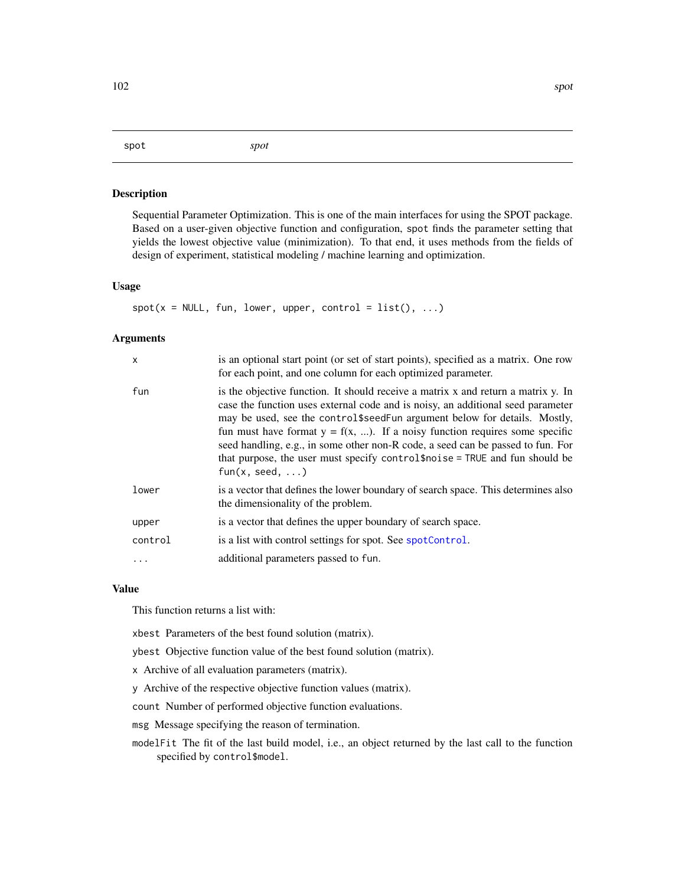#### <span id="page-101-0"></span>spot *spot*

#### Description

Sequential Parameter Optimization. This is one of the main interfaces for using the SPOT package. Based on a user-given objective function and configuration, spot finds the parameter setting that yields the lowest objective value (minimization). To that end, it uses methods from the fields of design of experiment, statistical modeling / machine learning and optimization.

#### Usage

 $spot(x = NULL, fun, lower, upper, control = list(), ...)$ 

## Arguments

| $\mathsf{x}$ | is an optional start point (or set of start points), specified as a matrix. One row<br>for each point, and one column for each optimized parameter.                                                                                                                                                                                                                                                                                                                                                                               |
|--------------|-----------------------------------------------------------------------------------------------------------------------------------------------------------------------------------------------------------------------------------------------------------------------------------------------------------------------------------------------------------------------------------------------------------------------------------------------------------------------------------------------------------------------------------|
| fun          | is the objective function. It should receive a matrix x and return a matrix y. In<br>case the function uses external code and is noisy, an additional seed parameter<br>may be used, see the control \$seed Fun argument below for details. Mostly,<br>fun must have format $y = f(x, )$ . If a noisy function requires some specific<br>seed handling, e.g., in some other non-R code, a seed can be passed to fun. For<br>that purpose, the user must specify control\$noise = TRUE and fun should be<br>$fun(x, seed, \ldots)$ |
| lower        | is a vector that defines the lower boundary of search space. This determines also<br>the dimensionality of the problem.                                                                                                                                                                                                                                                                                                                                                                                                           |
| upper        | is a vector that defines the upper boundary of search space.                                                                                                                                                                                                                                                                                                                                                                                                                                                                      |
| control      | is a list with control settings for spot. See spotControl.                                                                                                                                                                                                                                                                                                                                                                                                                                                                        |
| $\ddots$     | additional parameters passed to fun.                                                                                                                                                                                                                                                                                                                                                                                                                                                                                              |

#### Value

This function returns a list with:

xbest Parameters of the best found solution (matrix).

ybest Objective function value of the best found solution (matrix).

x Archive of all evaluation parameters (matrix).

y Archive of the respective objective function values (matrix).

count Number of performed objective function evaluations.

msg Message specifying the reason of termination.

modelFit The fit of the last build model, i.e., an object returned by the last call to the function specified by control\$model.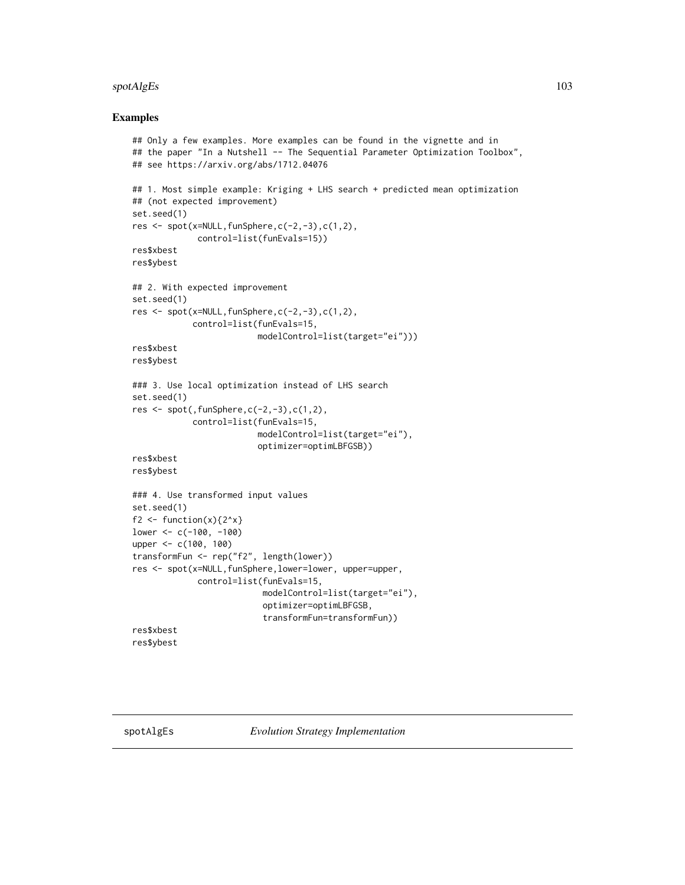## spotAlgEs 103

#### Examples

```
## Only a few examples. More examples can be found in the vignette and in
## the paper "In a Nutshell -- The Sequential Parameter Optimization Toolbox",
## see https://arxiv.org/abs/1712.04076
## 1. Most simple example: Kriging + LHS search + predicted mean optimization
## (not expected improvement)
set.seed(1)
res <- spot(x=NULL,funSphere,c(-2,-3),c(1,2),
             control=list(funEvals=15))
res$xbest
res$ybest
## 2. With expected improvement
set.seed(1)
res <- spot(x=NULL,funSphere,c(-2,-3),c(1,2),
            control=list(funEvals=15,
                         modelControl=list(target="ei")))
res$xbest
res$ybest
### 3. Use local optimization instead of LHS search
set.seed(1)
res <- spot(,funSphere,c(-2,-3),c(1,2),
            control=list(funEvals=15,
                         modelControl=list(target="ei"),
                         optimizer=optimLBFGSB))
res$xbest
res$ybest
### 4. Use transformed input values
set.seed(1)
f2 <- function(x)\{2^x x\}lower <- c(-100, -100)
upper <- c(100, 100)
transformFun <- rep("f2", length(lower))
res <- spot(x=NULL,funSphere,lower=lower, upper=upper,
             control=list(funEvals=15,
                          modelControl=list(target="ei"),
                          optimizer=optimLBFGSB,
                          transformFun=transformFun))
res$xbest
res$ybest
```
spotAlgEs *Evolution Strategy Implementation*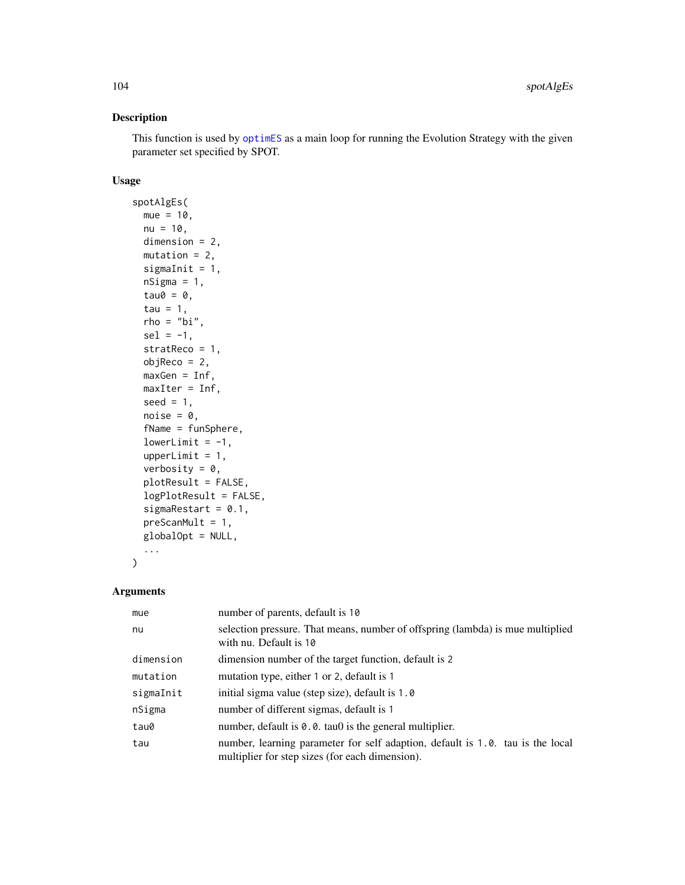This function is used by [optimES](#page-71-0) as a main loop for running the Evolution Strategy with the given parameter set specified by SPOT.

## Usage

```
spotAlgEs(
 mue = 10,
 nu = 10,
 dimension = 2,
 mutation = 2,
 sigmaInit = 1,
 nsigma = 1,
  tau@ = 0,tau = 1,
  rho = "bi",sel = -1,
  stratReco = 1,
 objReco = 2,
 maxGen = Inf,
 maxIter = Inf,
 seed = 1,
 noise = 0,
  fName = funSphere,
  lowerLimit = -1,
  upperLimit = 1,
  verbosity = 0,
 plotResult = FALSE,
  logPlotResult = FALSE,
  sigmaRestart = 0.1,
 preScanMult = 1,
 globalOpt = NULL,
  ...
\mathcal{L}
```

| mue       | number of parents, default is 10                                                                                                  |
|-----------|-----------------------------------------------------------------------------------------------------------------------------------|
| nu        | selection pressure. That means, number of offspring (lambda) is mue multiplied<br>with nu. Default is 10                          |
| dimension | dimension number of the target function, default is 2                                                                             |
| mutation  | mutation type, either 1 or 2, default is 1                                                                                        |
| sigmaInit | initial sigma value (step size), default is 1.0                                                                                   |
| nSigma    | number of different sigmas, default is 1                                                                                          |
| tau0      | number, default is $0.0$ . tau $\theta$ is the general multiplier.                                                                |
| tau       | number, learning parameter for self adaption, default is 1.0. tau is the local<br>multiplier for step sizes (for each dimension). |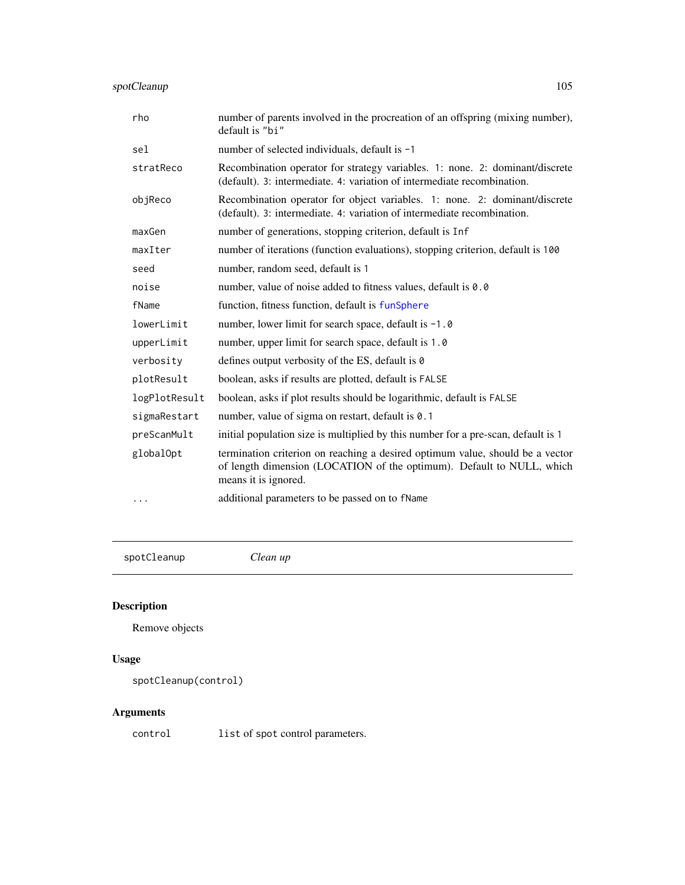| rho           | number of parents involved in the procreation of an offspring (mixing number),<br>default is "bi"                                                                              |
|---------------|--------------------------------------------------------------------------------------------------------------------------------------------------------------------------------|
| sel           | number of selected individuals, default is -1                                                                                                                                  |
| stratReco     | Recombination operator for strategy variables. 1: none. 2: dominant/discrete<br>(default). 3: intermediate. 4: variation of intermediate recombination.                        |
| objReco       | Recombination operator for object variables. 1: none. 2: dominant/discrete<br>(default). 3: intermediate. 4: variation of intermediate recombination.                          |
| maxGen        | number of generations, stopping criterion, default is Inf                                                                                                                      |
| maxIter       | number of iterations (function evaluations), stopping criterion, default is 100                                                                                                |
| seed          | number, random seed, default is 1                                                                                                                                              |
| noise         | number, value of noise added to fitness values, default is 0.0                                                                                                                 |
| fName         | function, fitness function, default is funSphere                                                                                                                               |
| lowerLimit    | number, lower limit for search space, default is -1.0                                                                                                                          |
| upperLimit    | number, upper limit for search space, default is 1.0                                                                                                                           |
| verbosity     | defines output verbosity of the ES, default is 0                                                                                                                               |
| plotResult    | boolean, asks if results are plotted, default is FALSE                                                                                                                         |
| logPlotResult | boolean, asks if plot results should be logarithmic, default is FALSE                                                                                                          |
| sigmaRestart  | number, value of sigma on restart, default is 0.1                                                                                                                              |
| preScanMult   | initial population size is multiplied by this number for a pre-scan, default is 1                                                                                              |
| globalOpt     | termination criterion on reaching a desired optimum value, should be a vector<br>of length dimension (LOCATION of the optimum). Default to NULL, which<br>means it is ignored. |
| .             | additional parameters to be passed on to fName                                                                                                                                 |

spotCleanup *Clean up*

# Description

Remove objects

# Usage

```
spotCleanup(control)
```
## Arguments

control list of spot control parameters.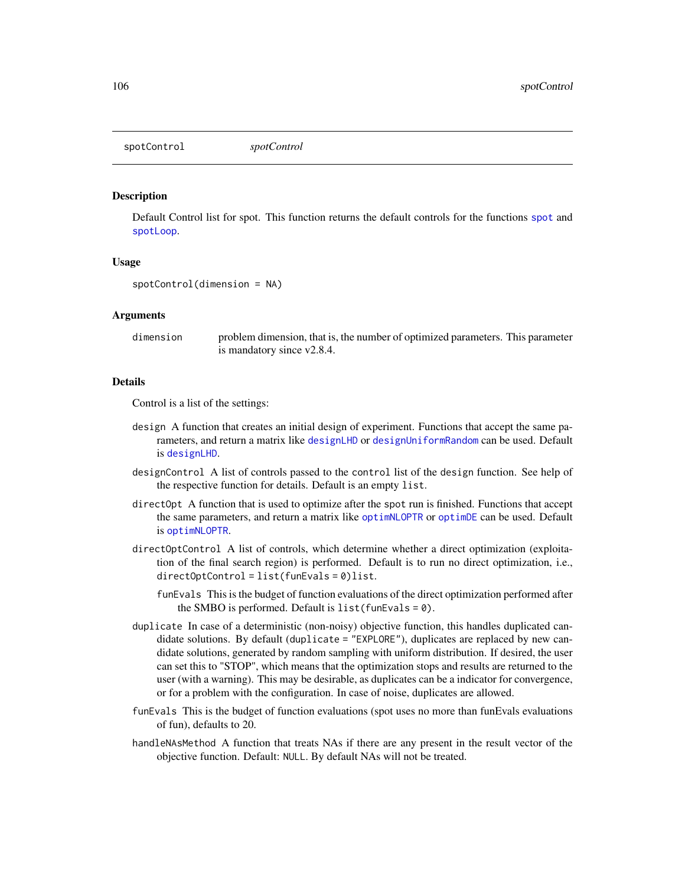<span id="page-105-0"></span>spotControl *spotControl*

## **Description**

Default Control list for spot. This function returns the default controls for the functions [spot](#page-101-0) and [spotLoop](#page-107-0).

#### Usage

```
spotControl(dimension = NA)
```
#### Arguments

dimension problem dimension, that is, the number of optimized parameters. This parameter is mandatory since v2.8.4.

## Details

Control is a list of the settings:

- design A function that creates an initial design of experiment. Functions that accept the same parameters, and return a matrix like [designLHD](#page-26-0) or [designUniformRandom](#page-27-0) can be used. Default is [designLHD](#page-26-0).
- designControl A list of controls passed to the control list of the design function. See help of the respective function for details. Default is an empty list.
- directOpt A function that is used to optimize after the spot run is finished. Functions that accept the same parameters, and return a matrix like [optimNLOPTR](#page-77-0) or [optimDE](#page-70-0) can be used. Default is [optimNLOPTR](#page-77-0).
- directOptControl A list of controls, which determine whether a direct optimization (exploitation of the final search region) is performed. Default is to run no direct optimization, i.e., directOptControl = list(funEvals = 0)list.
	- funEvals This is the budget of function evaluations of the direct optimization performed after the SMBO is performed. Default is  $list(funkvals = 0)$ .
- duplicate In case of a deterministic (non-noisy) objective function, this handles duplicated candidate solutions. By default (duplicate = "EXPLORE"), duplicates are replaced by new candidate solutions, generated by random sampling with uniform distribution. If desired, the user can set this to "STOP", which means that the optimization stops and results are returned to the user (with a warning). This may be desirable, as duplicates can be a indicator for convergence, or for a problem with the configuration. In case of noise, duplicates are allowed.
- funEvals This is the budget of function evaluations (spot uses no more than funEvals evaluations of fun), defaults to 20.
- handleNAsMethod A function that treats NAs if there are any present in the result vector of the objective function. Default: NULL. By default NAs will not be treated.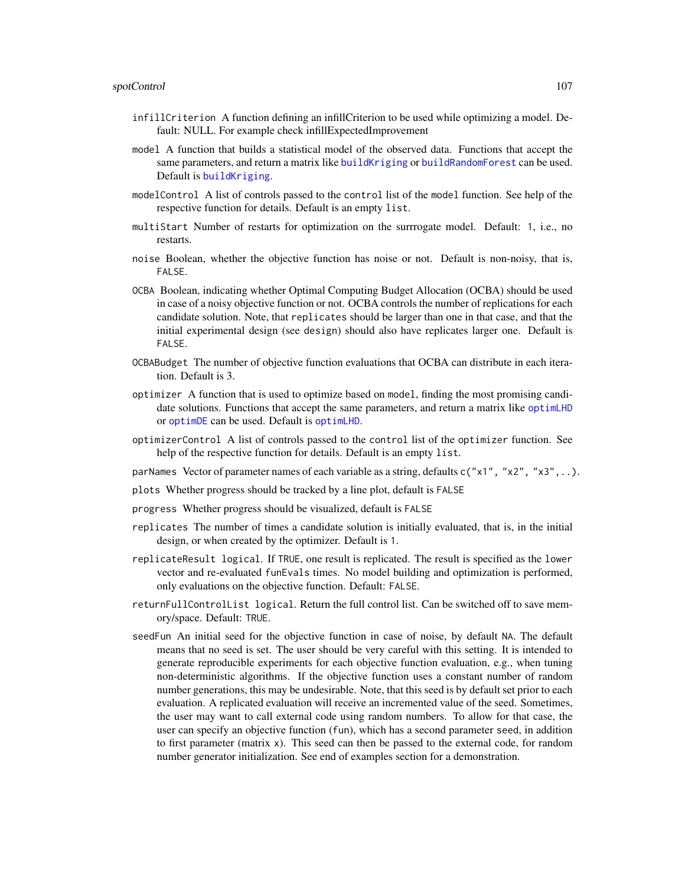- infillCriterion A function defining an infillCriterion to be used while optimizing a model. Default: NULL. For example check infillExpectedImprovement
- model A function that builds a statistical model of the observed data. Functions that accept the same parameters, and return a matrix like [buildKriging](#page-9-0) or [buildRandomForest](#page-17-0) can be used. Default is [buildKriging](#page-9-0).
- modelControl A list of controls passed to the control list of the model function. See help of the respective function for details. Default is an empty list.
- multiStart Number of restarts for optimization on the surrrogate model. Default: 1, i.e., no restarts.
- noise Boolean, whether the objective function has noise or not. Default is non-noisy, that is, FALSE.
- OCBA Boolean, indicating whether Optimal Computing Budget Allocation (OCBA) should be used in case of a noisy objective function or not. OCBA controls the number of replications for each candidate solution. Note, that replicates should be larger than one in that case, and that the initial experimental design (see design) should also have replicates larger one. Default is FALSE.
- OCBABudget The number of objective function evaluations that OCBA can distribute in each iteration. Default is 3.
- optimizer A function that is used to optimize based on model, finding the most promising candidate solutions. Functions that accept the same parameters, and return a matrix like [optimLHD](#page-76-0) or [optimDE](#page-70-0) can be used. Default is [optimLHD](#page-76-0).
- optimizerControl A list of controls passed to the control list of the optimizer function. See help of the respective function for details. Default is an empty list.
- parNames Vector of parameter names of each variable as a string, defaults  $c("x1", "x2", "x3", ...)$ .
- plots Whether progress should be tracked by a line plot, default is FALSE
- progress Whether progress should be visualized, default is FALSE
- replicates The number of times a candidate solution is initially evaluated, that is, in the initial design, or when created by the optimizer. Default is 1.
- replicateResult logical. If TRUE, one result is replicated. The result is specified as the lower vector and re-evaluated funEvals times. No model building and optimization is performed, only evaluations on the objective function. Default: FALSE.
- returnFullControlList logical. Return the full control list. Can be switched off to save memory/space. Default: TRUE.
- seedFun An initial seed for the objective function in case of noise, by default NA. The default means that no seed is set. The user should be very careful with this setting. It is intended to generate reproducible experiments for each objective function evaluation, e.g., when tuning non-deterministic algorithms. If the objective function uses a constant number of random number generations, this may be undesirable. Note, that this seed is by default set prior to each evaluation. A replicated evaluation will receive an incremented value of the seed. Sometimes, the user may want to call external code using random numbers. To allow for that case, the user can specify an objective function (fun), which has a second parameter seed, in addition to first parameter (matrix x). This seed can then be passed to the external code, for random number generator initialization. See end of examples section for a demonstration.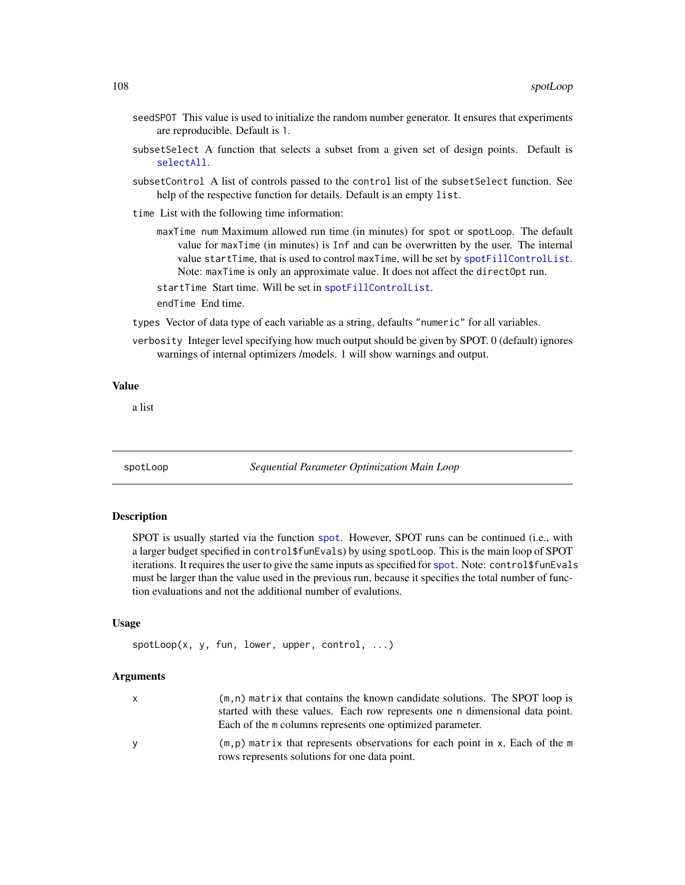- seedSPOT This value is used to initialize the random number generator. It ensures that experiments are reproducible. Default is 1.
- subsetSelect A function that selects a subset from a given set of design points. Default is [selectAll](#page-0-0).
- subsetControl A list of controls passed to the control list of the subsetSelect function. See help of the respective function for details. Default is an empty list.
- time List with the following time information:
	- maxTime num Maximum allowed run time (in minutes) for spot or spotLoop. The default value for maxTime (in minutes) is Inf and can be overwritten by the user. The internal value startTime, that is used to control maxTime, will be set by [spotFillControlList](#page-0-0). Note: maxTime is only an approximate value. It does not affect the directOpt run.

startTime Start time. Will be set in [spotFillControlList](#page-0-0).

endTime End time.

- types Vector of data type of each variable as a string, defaults "numeric" for all variables.
- verbosity Integer level specifying how much output should be given by SPOT. 0 (default) ignores warnings of internal optimizers /models. 1 will show warnings and output.

#### Value

a list

<span id="page-107-0"></span>spotLoop *Sequential Parameter Optimization Main Loop*

#### Description

SPOT is usually started via the function [spot](#page-101-0). However, SPOT runs can be continued (i.e., with a larger budget specified in control\$funEvals) by using spotLoop. This is the main loop of SPOT iterations. It requires the user to give the same inputs as specified for [spot](#page-101-0). Note: control\$funEvals must be larger than the value used in the previous run, because it specifies the total number of function evaluations and not the additional number of evalutions.

#### Usage

spotLoop(x, y, fun, lower, upper, control, ...)

| x. | $(m, n)$ matrix that contains the known candidate solutions. The SPOT loop is                                                    |
|----|----------------------------------------------------------------------------------------------------------------------------------|
|    | started with these values. Each row represents one n dimensional data point.                                                     |
|    | Each of the m columns represents one optimized parameter.                                                                        |
| v  | $(m, p)$ matrix that represents observations for each point in x, Each of the m<br>rows represents solutions for one data point. |
|    |                                                                                                                                  |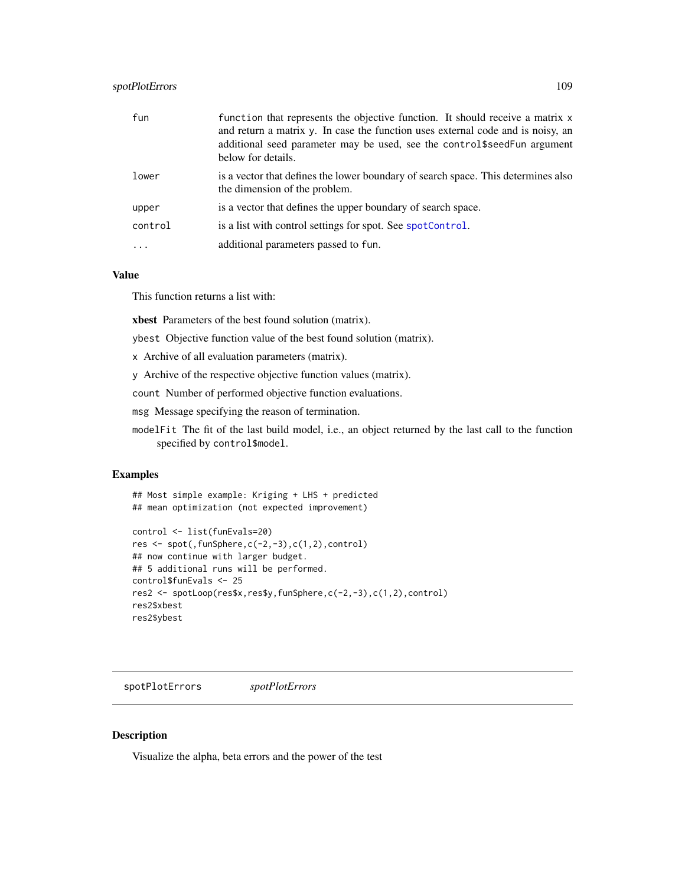# <span id="page-108-0"></span>spotPlotErrors 109

| fun     | function that represents the objective function. It should receive a matrix x<br>and return a matrix y. In case the function uses external code and is noisy, an<br>additional seed parameter may be used, see the control\$seedFun argument<br>below for details. |
|---------|--------------------------------------------------------------------------------------------------------------------------------------------------------------------------------------------------------------------------------------------------------------------|
| lower   | is a vector that defines the lower boundary of search space. This determines also<br>the dimension of the problem.                                                                                                                                                 |
| upper   | is a vector that defines the upper boundary of search space.                                                                                                                                                                                                       |
| control | is a list with control settings for spot. See spotControl.                                                                                                                                                                                                         |
|         | additional parameters passed to fun.                                                                                                                                                                                                                               |

#### Value

This function returns a list with:

xbest Parameters of the best found solution (matrix).

ybest Objective function value of the best found solution (matrix).

- x Archive of all evaluation parameters (matrix).
- y Archive of the respective objective function values (matrix).

count Number of performed objective function evaluations.

msg Message specifying the reason of termination.

modelFit The fit of the last build model, i.e., an object returned by the last call to the function specified by control\$model.

#### Examples

```
## Most simple example: Kriging + LHS + predicted
## mean optimization (not expected improvement)
```

```
control <- list(funEvals=20)
res <- spot(,funSphere,c(-2,-3),c(1,2),control)
## now continue with larger budget.
## 5 additional runs will be performed.
control$funEvals <- 25
res2 <- spotLoop(res$x,res$y,funSphere,c(-2,-3),c(1,2),control)
res2$xbest
res2$ybest
```
spotPlotErrors *spotPlotErrors*

#### Description

Visualize the alpha, beta errors and the power of the test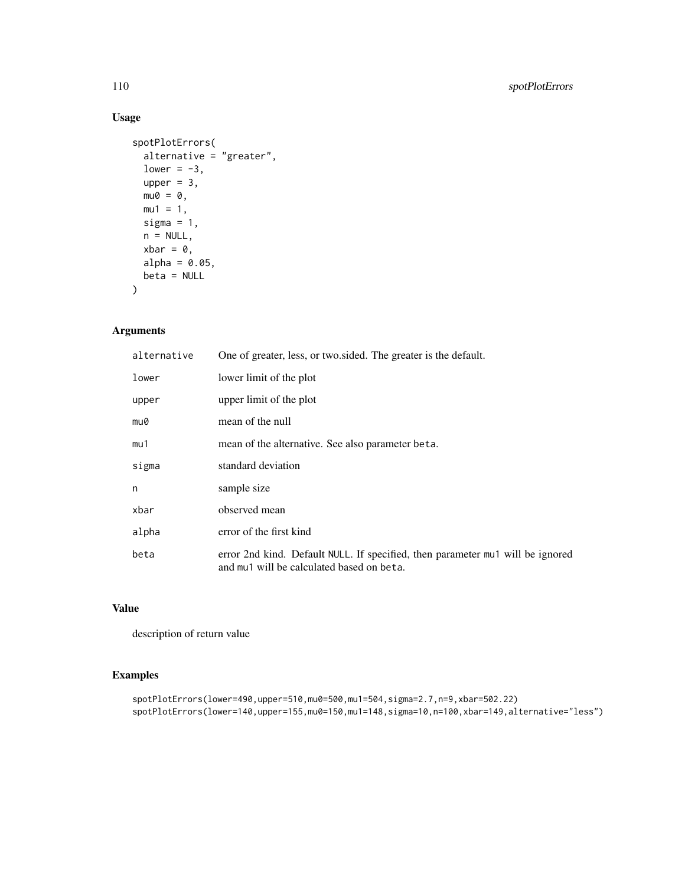# Usage

```
spotPlotErrors(
 alternative = "greater",
 lower = -3,
 upper = 3,
 mu0 = 0,
 mu1 = 1,sigma = 1,
 n = NULL,xbar = 0,
 alpha = 0.05,
 beta = NULL
)
```
# Arguments

| alternative | One of greater, less, or two sided. The greater is the default.                                                             |
|-------------|-----------------------------------------------------------------------------------------------------------------------------|
| lower       | lower limit of the plot                                                                                                     |
| upper       | upper limit of the plot                                                                                                     |
| mu0         | mean of the null                                                                                                            |
| mu1         | mean of the alternative. See also parameter beta.                                                                           |
| sigma       | standard deviation                                                                                                          |
| n           | sample size                                                                                                                 |
| xbar        | observed mean                                                                                                               |
| alpha       | error of the first kind                                                                                                     |
| beta        | error 2nd kind. Default NULL. If specified, then parameter mut will be ignored<br>and mu1 will be calculated based on beta. |

# Value

description of return value

```
spotPlotErrors(lower=490,upper=510,mu0=500,mu1=504,sigma=2.7,n=9,xbar=502.22)
spotPlotErrors(lower=140,upper=155,mu0=150,mu1=148,sigma=10,n=100,xbar=149,alternative="less")
```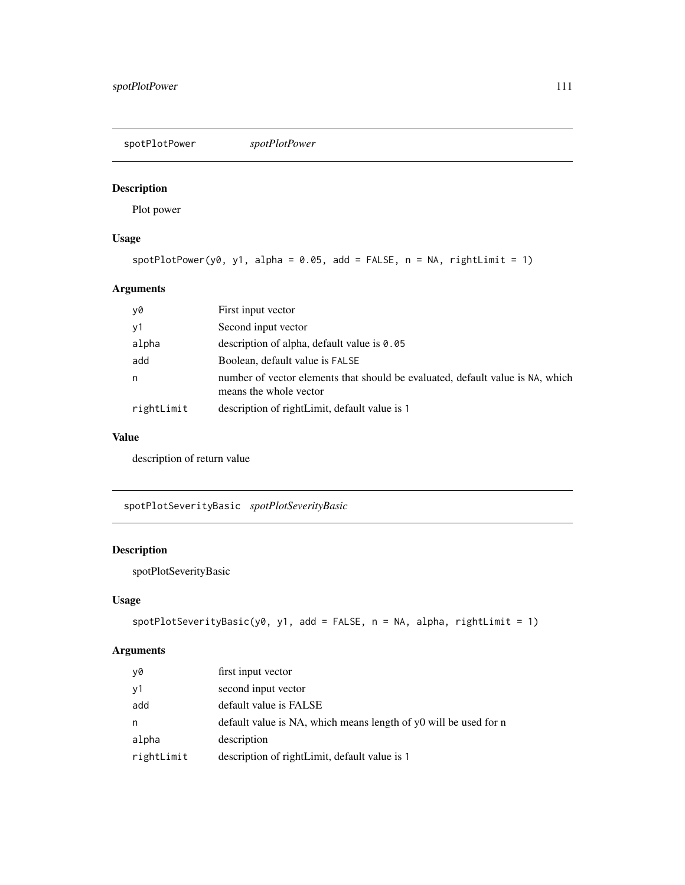<span id="page-110-0"></span>spotPlotPower *spotPlotPower*

# Description

Plot power

# Usage

 $spotPlotPower(y0, y1, alpha = 0.05, add = FALSE, n = NA, rightLimit = 1)$ 

# Arguments

| y0         | First input vector                                                                                       |
|------------|----------------------------------------------------------------------------------------------------------|
| y1         | Second input vector                                                                                      |
| alpha      | description of alpha, default value is 0.05                                                              |
| add        | Boolean, default value is FALSE                                                                          |
| n          | number of vector elements that should be evaluated, default value is NA, which<br>means the whole vector |
| rightLimit | description of rightLimit, default value is 1                                                            |

# Value

description of return value

spotPlotSeverityBasic *spotPlotSeverityBasic*

# Description

spotPlotSeverityBasic

#### Usage

```
spotPlotSecurityBasic(y0, y1, add = FALSE, n = NA, alpha, rightLimit = 1)
```

| y0         | first input vector                                               |
|------------|------------------------------------------------------------------|
| y1         | second input vector                                              |
| add        | default value is FALSE                                           |
| n          | default value is NA, which means length of y0 will be used for n |
| alpha      | description                                                      |
| rightLimit | description of rightLimit, default value is 1                    |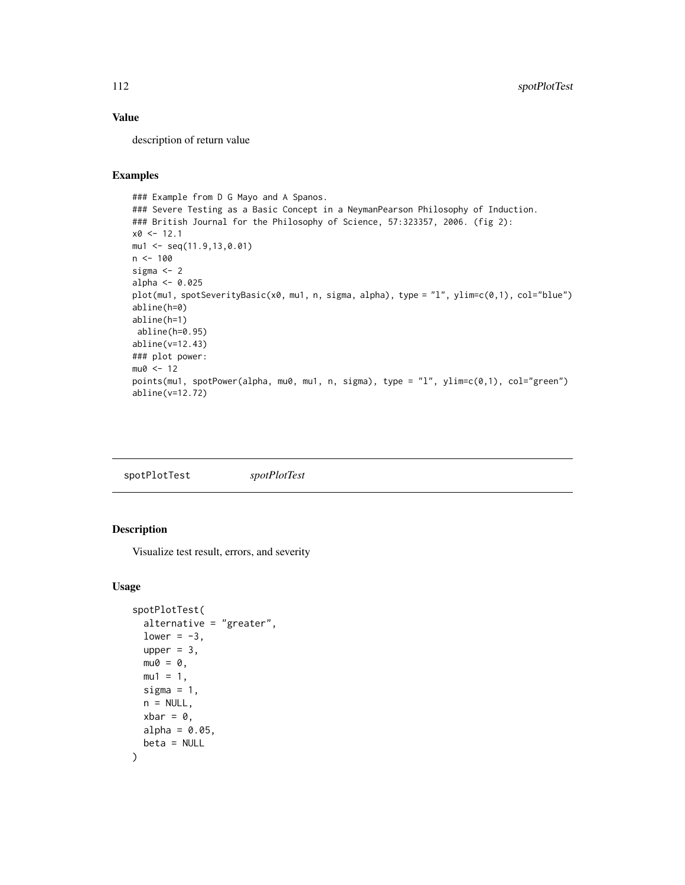# <span id="page-111-0"></span>Value

description of return value

# Examples

```
### Example from D G Mayo and A Spanos.
### Severe Testing as a Basic Concept in a NeymanPearson Philosophy of Induction.
### British Journal for the Philosophy of Science, 57:323357, 2006. (fig 2):
x0 \le -12.1mu1 <- seq(11.9,13,0.01)
n < - 100sigma <- 2
alpha <- 0.025
plot(mu1, spotSeverityBasic(x0, mu1, n, sigma, alpha), type = "l", ylim=c(0,1), col="blue")
abline(h=0)
abline(h=1)
abline(h=0.95)
abline(v=12.43)
### plot power:
mu0 < -12points(mu1, spotPower(alpha, mu0, mu1, n, sigma), type = "l", ylim=c(0,1), col="green")
abline(v=12.72)
```

| spotPlotTest | spotPlotTest |
|--------------|--------------|
|              |              |

# Description

Visualize test result, errors, and severity

#### Usage

```
spotPlotTest(
 alternative = "greater",
 lower = -3,upper = 3,
 mu0 = 0,
 mu1 = 1,sigma = 1,
 n = NULL,xbar = 0,
 alpha = 0.05,
 beta = NULL
)
```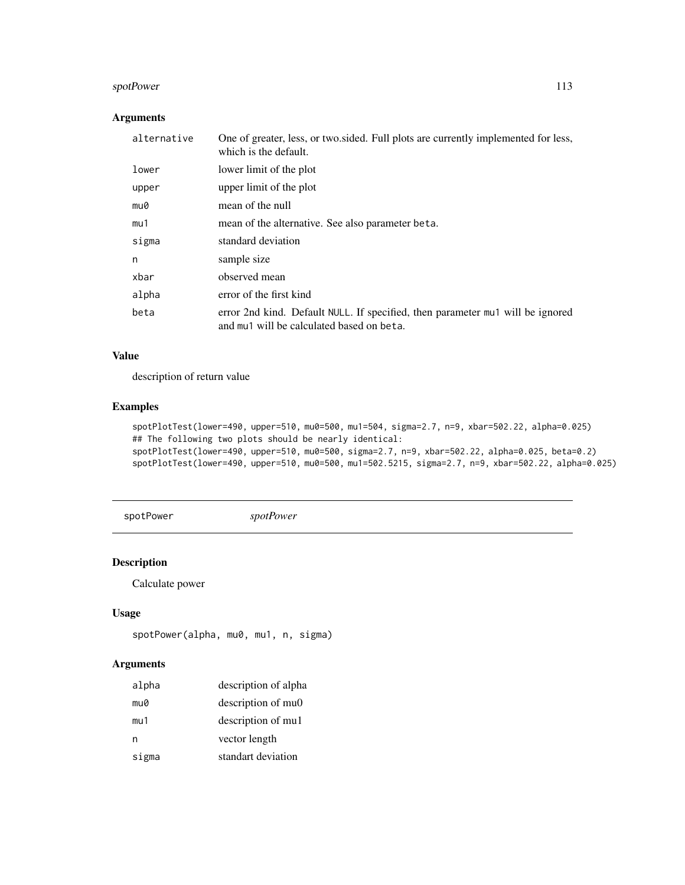# <span id="page-112-0"></span>spotPower 113

# Arguments

| alternative | One of greater, less, or two sided. Full plots are currently implemented for less,<br>which is the default.                 |
|-------------|-----------------------------------------------------------------------------------------------------------------------------|
| lower       | lower limit of the plot                                                                                                     |
| upper       | upper limit of the plot                                                                                                     |
| mu0         | mean of the null                                                                                                            |
| mu1         | mean of the alternative. See also parameter beta.                                                                           |
| sigma       | standard deviation                                                                                                          |
| n           | sample size                                                                                                                 |
| xbar        | observed mean                                                                                                               |
| alpha       | error of the first kind                                                                                                     |
| beta        | error 2nd kind. Default NULL. If specified, then parameter mul will be ignored<br>and mu1 will be calculated based on beta. |

# Value

description of return value

# Examples

```
spotPlotTest(lower=490, upper=510, mu0=500, mu1=504, sigma=2.7, n=9, xbar=502.22, alpha=0.025)
## The following two plots should be nearly identical:
spotPlotTest(lower=490, upper=510, mu0=500, sigma=2.7, n=9, xbar=502.22, alpha=0.025, beta=0.2)
spotPlotTest(lower=490, upper=510, mu0=500, mu1=502.5215, sigma=2.7, n=9, xbar=502.22, alpha=0.025)
```

```
spotPower spotPower
```
# Description

Calculate power

#### Usage

```
spotPower(alpha, mu0, mu1, n, sigma)
```

| alpha | description of alpha |
|-------|----------------------|
| mu0   | description of mu0   |
| mu1   | description of mul   |
| n     | vector length        |
| sigma | standart deviation   |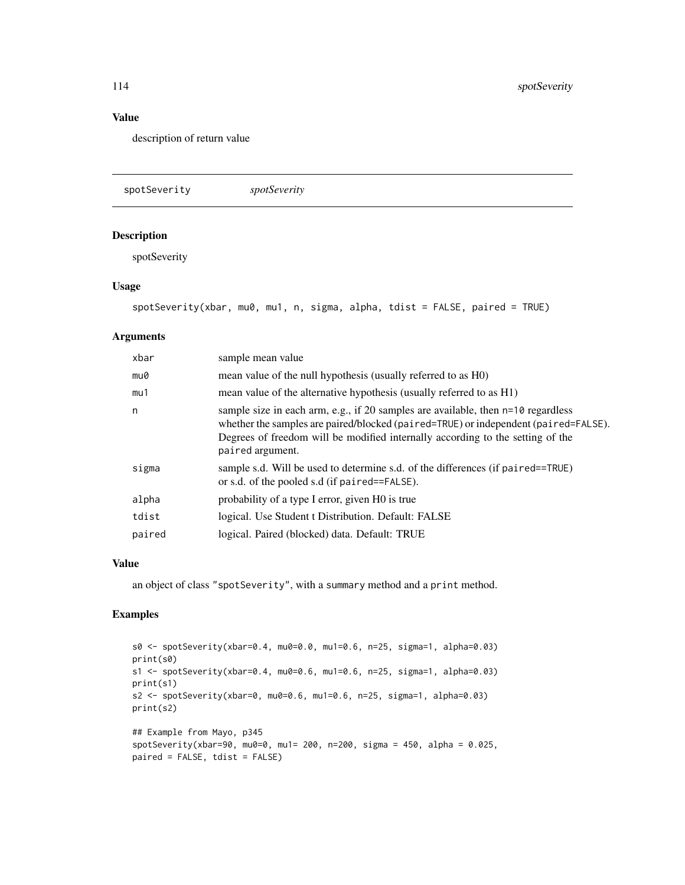# Value

description of return value

spotSeverity *spotSeverity*

#### Description

spotSeverity

#### Usage

```
spotSeverity(xbar, mu0, mu1, n, sigma, alpha, tdist = FALSE, paired = TRUE)
```
#### Arguments

| xbar   | sample mean value                                                                                                                                                                                                                                                             |
|--------|-------------------------------------------------------------------------------------------------------------------------------------------------------------------------------------------------------------------------------------------------------------------------------|
| mu0    | mean value of the null hypothesis (usually referred to as H0)                                                                                                                                                                                                                 |
| mu1    | mean value of the alternative hypothesis (usually referred to as H1)                                                                                                                                                                                                          |
| n      | sample size in each arm, e.g., if 20 samples are available, then n=10 regardless<br>whether the samples are paired/blocked (paired=TRUE) or independent (paired=FALSE).<br>Degrees of freedom will be modified internally according to the setting of the<br>paired argument. |
| sigma  | sample s.d. Will be used to determine s.d. of the differences (if paired==TRUE)<br>or s.d. of the pooled s.d (if paired==FALSE).                                                                                                                                              |
| alpha  | probability of a type I error, given HO is true                                                                                                                                                                                                                               |
| tdist  | logical. Use Student t Distribution. Default: FALSE                                                                                                                                                                                                                           |
| paired | logical. Paired (blocked) data. Default: TRUE                                                                                                                                                                                                                                 |

#### Value

an object of class "spotSeverity", with a summary method and a print method.

```
s0 <- spotSeverity(xbar=0.4, mu0=0.0, mu1=0.6, n=25, sigma=1, alpha=0.03)
print(s0)
s1 <- spotSeverity(xbar=0.4, mu0=0.6, mu1=0.6, n=25, sigma=1, alpha=0.03)
print(s1)
s2 <- spotSeverity(xbar=0, mu0=0.6, mu1=0.6, n=25, sigma=1, alpha=0.03)
print(s2)
## Example from Mayo, p345
spotSeverity(xbar=90, mu0=0, mu1= 200, n=200, sigma = 450, alpha = 0.025,
paired = FALSE, tdist = FALSE)
```
<span id="page-113-0"></span>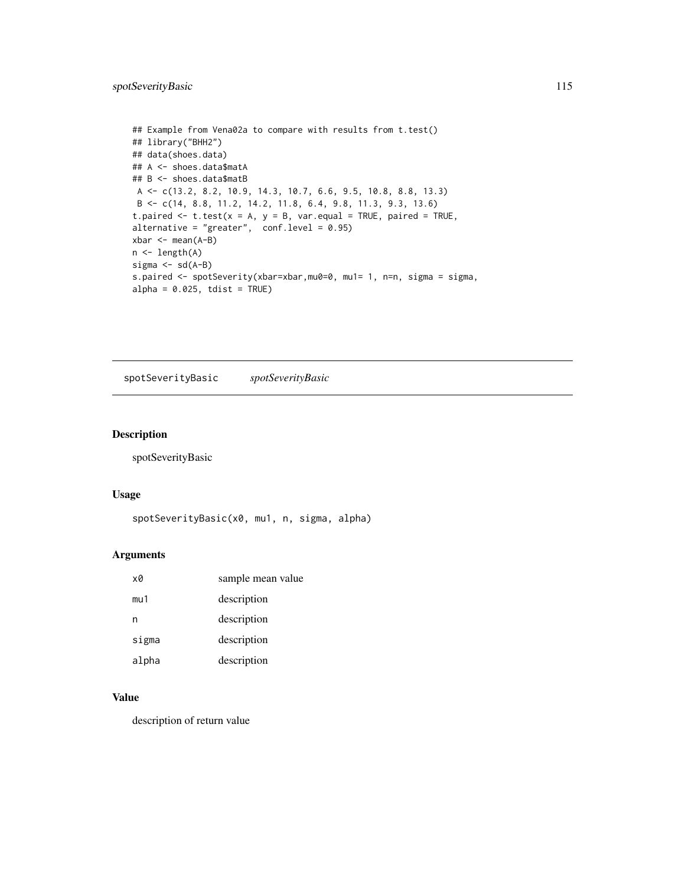```
## Example from Vena02a to compare with results from t.test()
## library("BHH2")
## data(shoes.data)
## A <- shoes.data$matA
## B <- shoes.data$matB
A <- c(13.2, 8.2, 10.9, 14.3, 10.7, 6.6, 9.5, 10.8, 8.8, 13.3)
B <- c(14, 8.8, 11.2, 14.2, 11.8, 6.4, 9.8, 11.3, 9.3, 13.6)
t.paired \leq t.test(x = A, y = B, var.equal = TRUE, paired = TRUE,
alternative = "greater", conf. level = 0.95)
xbar <- mean(A-B)
n <- length(A)
sigma \leftarrow sd(A-B)
s.paired <- spotSeverity(xbar=xbar,mu0=0, mu1= 1, n=n, sigma = sigma,
alpha = 0.025, tdist = TRUE)
```
spotSeverityBasic *spotSeverityBasic*

#### Description

spotSeverityBasic

#### Usage

```
spotSeverityBasic(x0, mu1, n, sigma, alpha)
```
#### Arguments

| xØ    | sample mean value |
|-------|-------------------|
| mu1   | description       |
| n     | description       |
| sigma | description       |
| alpha | description       |

#### Value

description of return value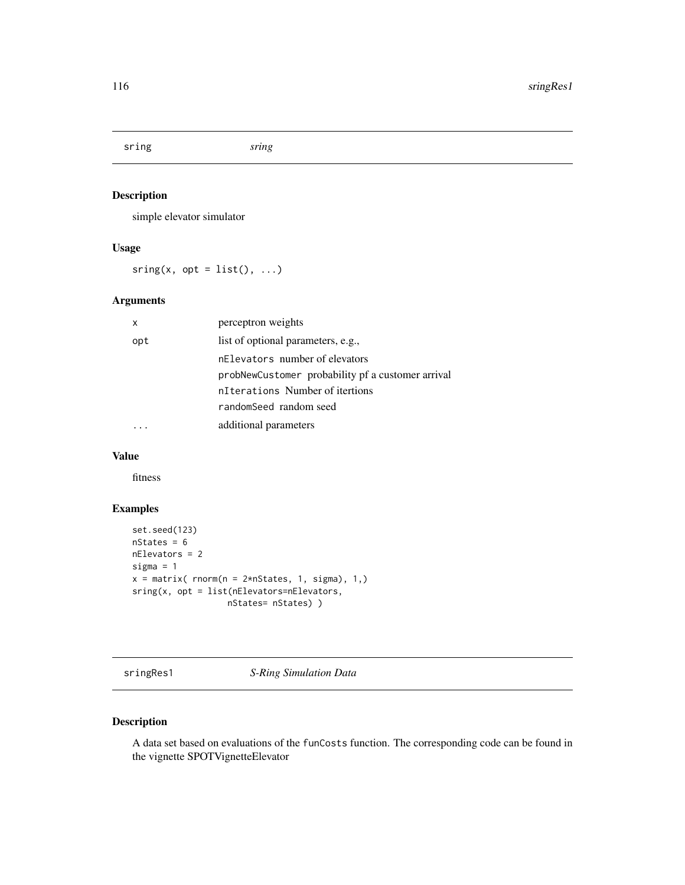<span id="page-115-0"></span>sring *sring*

# Description

simple elevator simulator

# Usage

 $sring(x, opt = list(), ...)$ 

# Arguments

| X   | perceptron weights                                |
|-----|---------------------------------------------------|
| opt | list of optional parameters, e.g.,                |
|     | nElevators number of elevators                    |
|     | probNewCustomer probability pf a customer arrival |
|     | nTterations Number of itertions                   |
|     | randomSeed random seed                            |
|     | additional parameters                             |

# Value

fitness

# Examples

```
set.seed(123)
nStates = 6
nElevators = 2
sigma = 1
x = matrix( rnorm(n = 2*nStates, 1, sigma), 1, )sring(x, opt = list(nElevators=nElevators,
                  nStates= nStates) )
```
sringRes1 *S-Ring Simulation Data*

#### Description

A data set based on evaluations of the funCosts function. The corresponding code can be found in the vignette SPOTVignetteElevator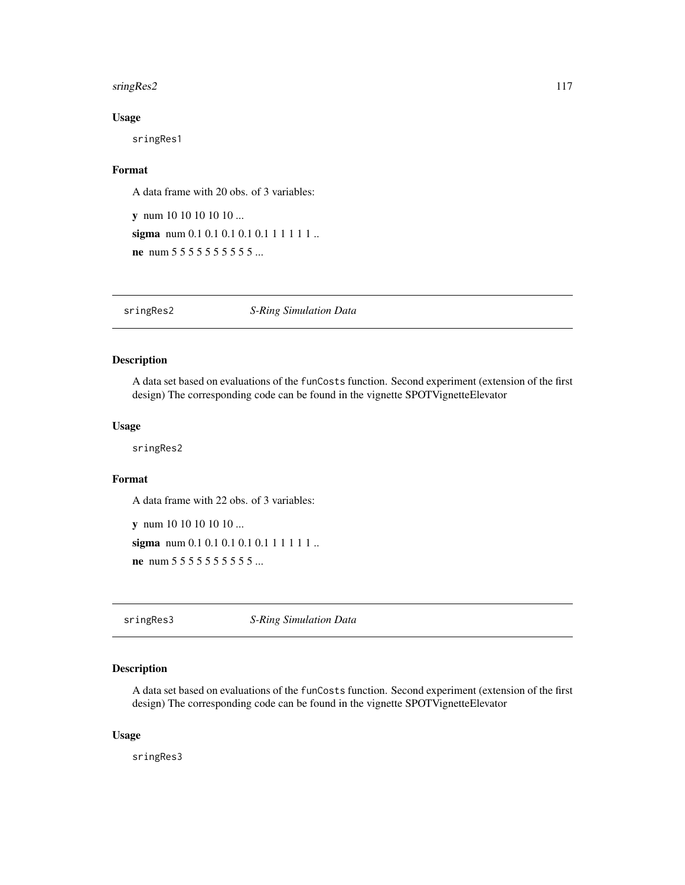#### <span id="page-116-0"></span>sringRes2 117

#### Usage

sringRes1

#### Format

A data frame with 20 obs. of 3 variables:

y num 10 10 10 10 10 ... sigma num 0.1 0.1 0.1 0.1 0.1 1 1 1 1 1 ... ne num 5 5 5 5 5 5 5 5 5 5 5 5 ...

sringRes2 *S-Ring Simulation Data*

# Description

A data set based on evaluations of the funCosts function. Second experiment (extension of the first design) The corresponding code can be found in the vignette SPOTVignetteElevator

#### Usage

sringRes2

# Format

A data frame with 22 obs. of 3 variables:

y num 10 10 10 10 10 ... sigma num 0.1 0.1 0.1 0.1 0.1 1 1 1 1 1 ... ne num 5 5 5 5 5 5 5 5 5 5 5 ...

sringRes3 *S-Ring Simulation Data*

#### Description

A data set based on evaluations of the funCosts function. Second experiment (extension of the first design) The corresponding code can be found in the vignette SPOTVignetteElevator

#### Usage

sringRes3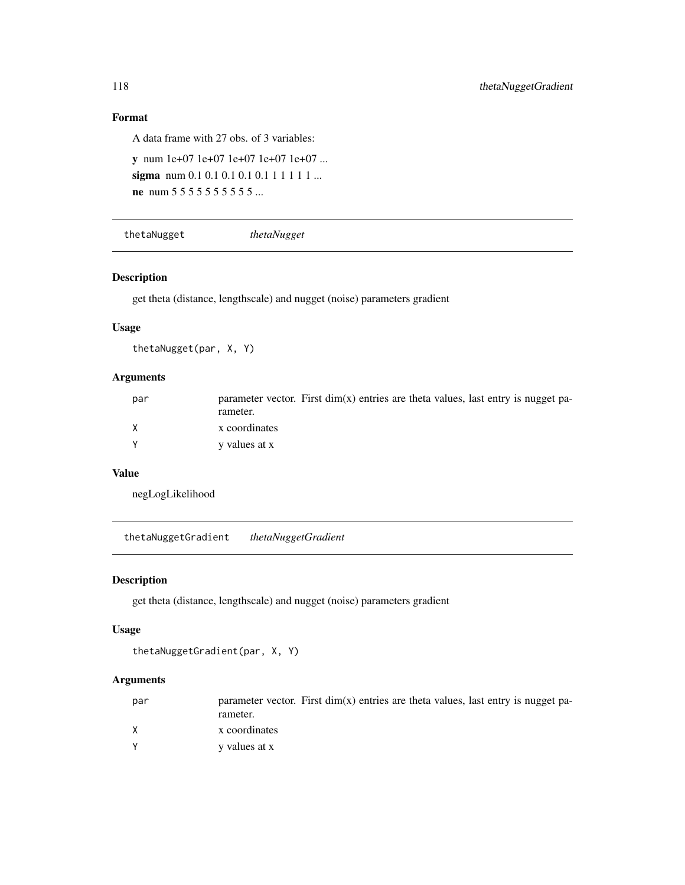# Format

A data frame with 27 obs. of 3 variables:

```
y num 1e+07 1e+07 1e+07 1e+07 1e+07 ...
sigma num 0.1 0.1 0.1 0.1 0.1 1 1 1 1 1 ...
ne num 5 5 5 5 5 5 5 5 5 5 5 5 ...
```

```
thetaNugget thetaNugget
```
#### Description

get theta (distance, lengthscale) and nugget (noise) parameters gradient

# Usage

thetaNugget(par, X, Y)

# Arguments

| par      | parameter vector. First $dim(x)$ entries are theta values, last entry is nugget pa-<br>rameter. |
|----------|-------------------------------------------------------------------------------------------------|
| X        | x coordinates                                                                                   |
| <b>V</b> | y values at x                                                                                   |

# Value

negLogLikelihood

thetaNuggetGradient *thetaNuggetGradient*

#### Description

get theta (distance, lengthscale) and nugget (noise) parameters gradient

#### Usage

```
thetaNuggetGradient(par, X, Y)
```

| par | parameter vector. First $dim(x)$ entries are theta values, last entry is nugget pa-<br>rameter. |
|-----|-------------------------------------------------------------------------------------------------|
|     | x coordinates                                                                                   |
|     | y values at x                                                                                   |

<span id="page-117-0"></span>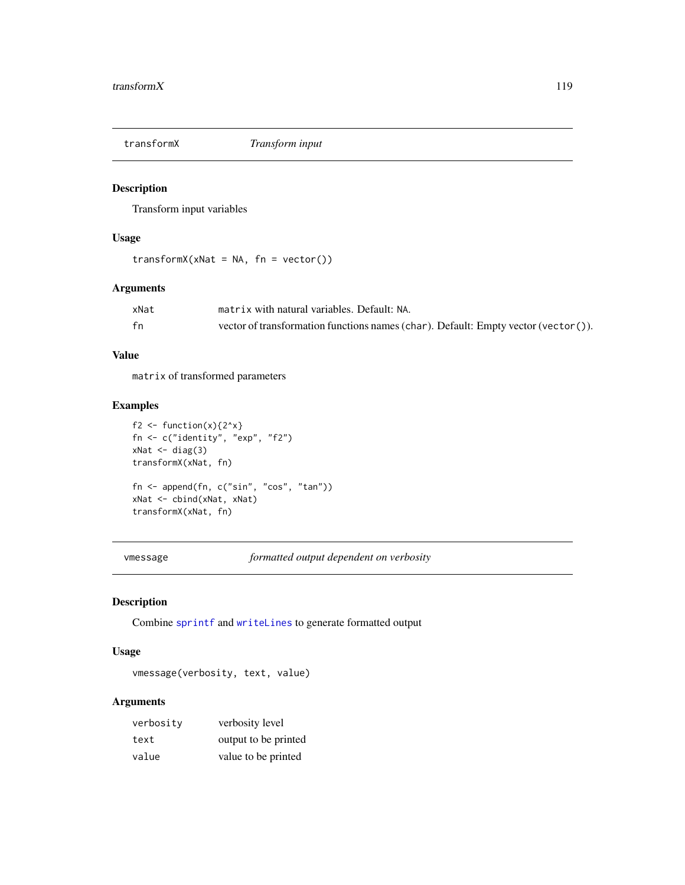<span id="page-118-0"></span>

#### Description

Transform input variables

# Usage

```
transformX(xNat = NA, fn = vector())
```
# Arguments

| xNat | matrix with natural variables. Default: NA.                                        |
|------|------------------------------------------------------------------------------------|
| fn   | vector of transformation functions names (char). Default: Empty vector (vector()). |

# Value

matrix of transformed parameters

# Examples

```
f2 <- function(x){2^x}
fn <- c("identity", "exp", "f2")
xNat \leftarrow diag(3)transformX(xNat, fn)
fn <- append(fn, c("sin", "cos", "tan"))
xNat <- cbind(xNat, xNat)
transformX(xNat, fn)
```
vmessage *formatted output dependent on verbosity*

# Description

Combine [sprintf](#page-0-0) and [writeLines](#page-0-0) to generate formatted output

#### Usage

vmessage(verbosity, text, value)

| verbosity | verbosity level      |
|-----------|----------------------|
| text      | output to be printed |
| value     | value to be printed  |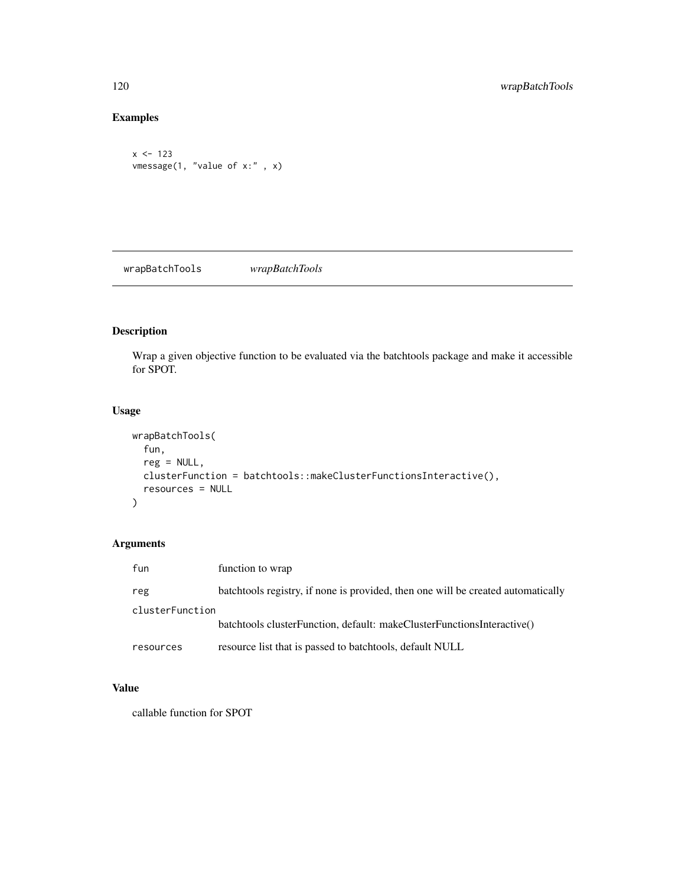# Examples

```
x < -123vmessage(1, "value of x:" , x)
```
wrapBatchTools *wrapBatchTools*

# Description

Wrap a given objective function to be evaluated via the batchtools package and make it accessible for SPOT.

# Usage

```
wrapBatchTools(
  fun,
 reg = NULL,clusterFunction = batchtools::makeClusterFunctionsInteractive(),
 resources = NULL
)
```
# Arguments

| fun             | function to wrap                                                                 |
|-----------------|----------------------------------------------------------------------------------|
| reg             | batchtools registry, if none is provided, then one will be created automatically |
| clusterFunction |                                                                                  |
|                 | batchtools clusterFunction, default: makeClusterFunctionsInteractive()           |
| resources       | resource list that is passed to batchtools, default NULL                         |

#### Value

callable function for SPOT

<span id="page-119-0"></span>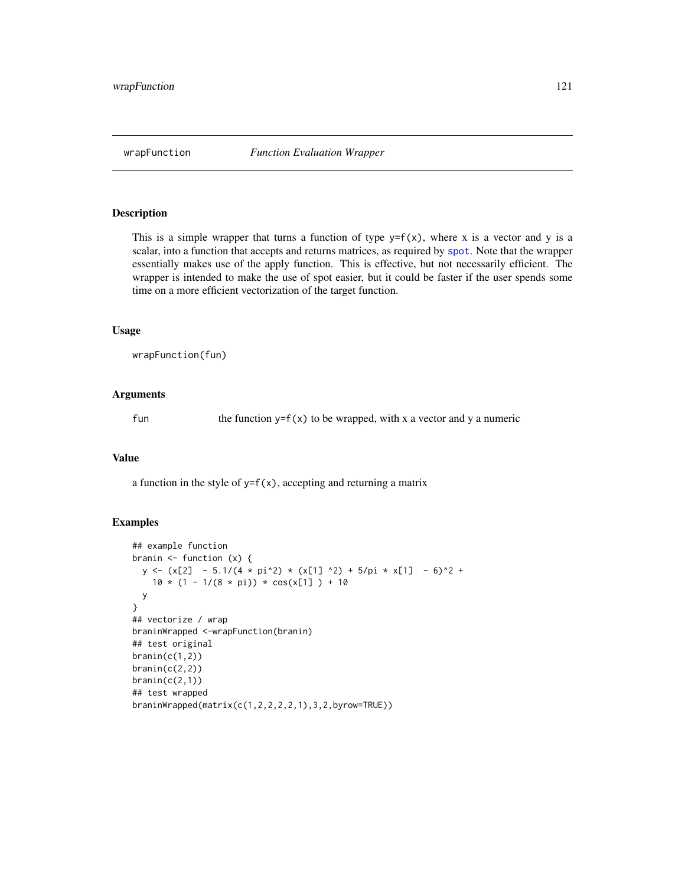<span id="page-120-0"></span>

#### Description

This is a simple wrapper that turns a function of type  $y=f(x)$ , where x is a vector and y is a scalar, into a function that accepts and returns matrices, as required by [spot](#page-101-0). Note that the wrapper essentially makes use of the apply function. This is effective, but not necessarily efficient. The wrapper is intended to make the use of spot easier, but it could be faster if the user spends some time on a more efficient vectorization of the target function.

#### Usage

wrapFunction(fun)

#### Arguments

fun the function  $y=f(x)$  to be wrapped, with x a vector and y a numeric

#### Value

a function in the style of  $y=f(x)$ , accepting and returning a matrix

```
## example function
branin <- function (x) {
  y \leftarrow (x[2] - 5.1/(4 * pi^2) * (x[1] ) 2) + 5/pi * x[1] - 6)^2 +10 * (1 - 1/(8 * pi)) * cos(x[1]) + 10y
}
## vectorize / wrap
braninWrapped <-wrapFunction(branin)
## test original
brain(c(1,2))branin(c(2,2))
branin(c(2,1))## test wrapped
braninWrapped(matrix(c(1,2,2,2,2,1),3,2,byrow=TRUE))
```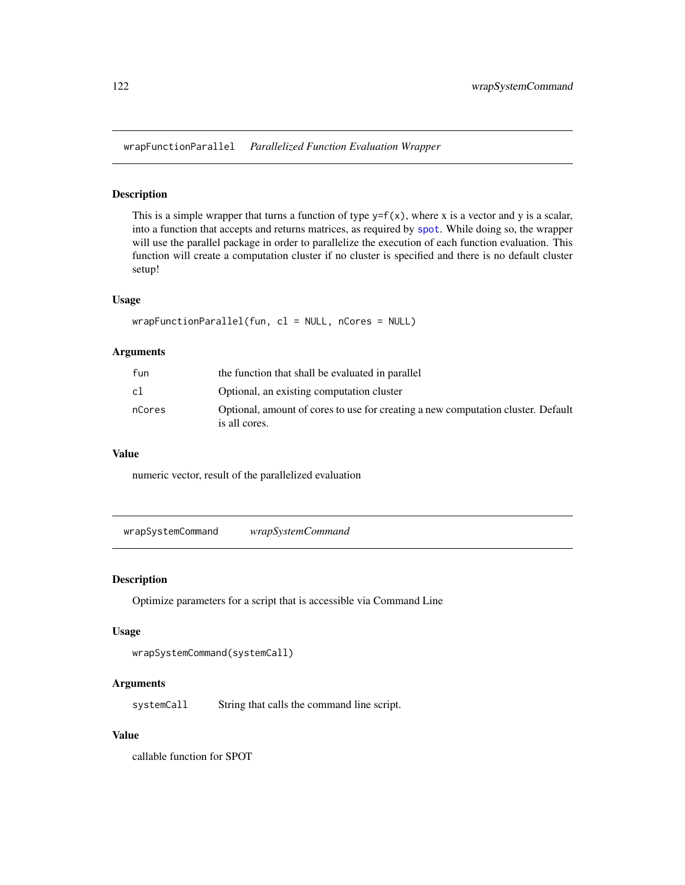<span id="page-121-0"></span>wrapFunctionParallel *Parallelized Function Evaluation Wrapper*

#### Description

This is a simple wrapper that turns a function of type  $y=f(x)$ , where x is a vector and y is a scalar, into a function that accepts and returns matrices, as required by [spot](#page-101-0). While doing so, the wrapper will use the parallel package in order to parallelize the execution of each function evaluation. This function will create a computation cluster if no cluster is specified and there is no default cluster setup!

#### Usage

```
wrapFunctionParallel(fun, cl = NULL, nCores = NULL)
```
### Arguments

| fun    | the function that shall be evaluated in parallel                                                  |
|--------|---------------------------------------------------------------------------------------------------|
| cl     | Optional, an existing computation cluster                                                         |
| nCores | Optional, amount of cores to use for creating a new computation cluster. Default<br>is all cores. |

#### Value

numeric vector, result of the parallelized evaluation

wrapSystemCommand *wrapSystemCommand*

#### Description

Optimize parameters for a script that is accessible via Command Line

#### Usage

```
wrapSystemCommand(systemCall)
```
#### Arguments

systemCall String that calls the command line script.

#### Value

callable function for SPOT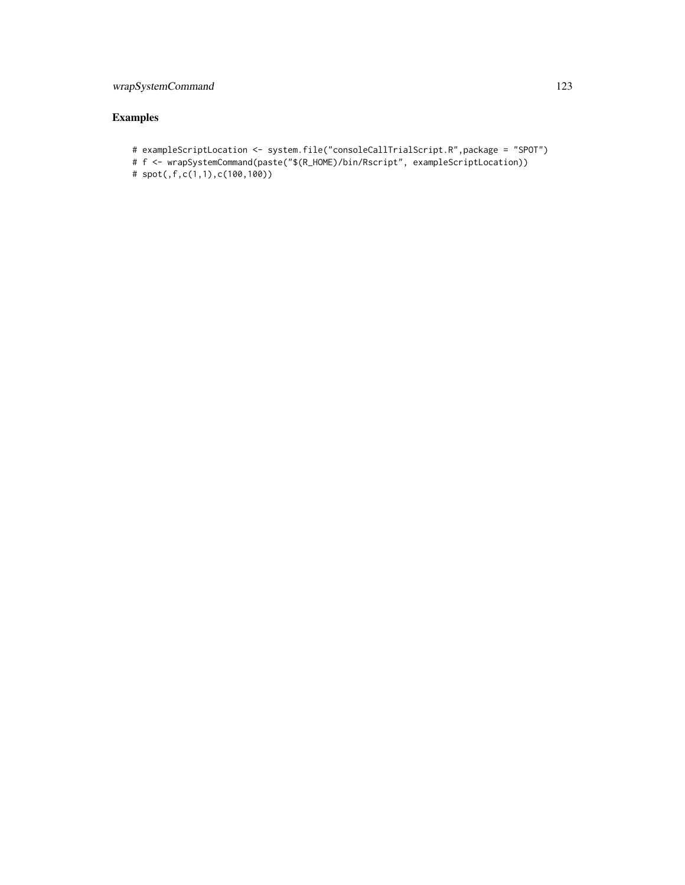# wrapSystemCommand 123

- # exampleScriptLocation <- system.file("consoleCallTrialScript.R",package = "SPOT")
- # f <- wrapSystemCommand(paste("\$(R\_HOME)/bin/Rscript", exampleScriptLocation))
- # spot(,f,c(1,1),c(100,100))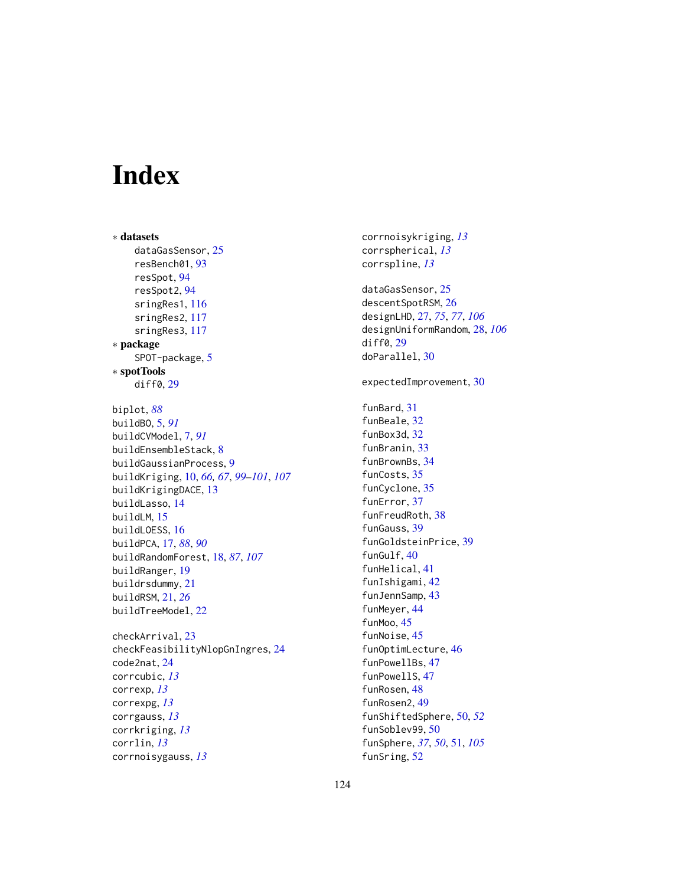# Index

∗ datasets dataGasSensor, [25](#page-24-0) resBench01, [93](#page-92-0) resSpot, [94](#page-93-0) resSpot2, [94](#page-93-0) sringRes1, [116](#page-115-0) sringRes2, [117](#page-116-0) sringRes3, [117](#page-116-0) ∗ package SPOT-package, [5](#page-4-0) ∗ spotTools diff0, [29](#page-28-0) biplot, *[88](#page-87-0)* buildBO, [5,](#page-4-0) *[91](#page-90-0)* buildCVModel, [7,](#page-6-0) *[91](#page-90-0)* buildEnsembleStack, [8](#page-7-0) buildGaussianProcess, [9](#page-8-0) buildKriging, [10,](#page-9-0) *[66,](#page-65-0) [67](#page-66-0)*, *[99–](#page-98-0)[101](#page-100-0)*, *[107](#page-106-0)* buildKrigingDACE, [13](#page-12-0) buildLasso, [14](#page-13-0) buildLM, [15](#page-14-0) buildLOESS, [16](#page-15-0) buildPCA, [17,](#page-16-0) *[88](#page-87-0)*, *[90](#page-89-0)* buildRandomForest, [18,](#page-17-0) *[87](#page-86-0)*, *[107](#page-106-0)* buildRanger, [19](#page-18-0) buildrsdummy, [21](#page-20-0) buildRSM, [21,](#page-20-0) *[26](#page-25-0)* buildTreeModel, [22](#page-21-0) checkArrival, [23](#page-22-0) checkFeasibilityNlopGnIngres, [24](#page-23-0) code2nat, [24](#page-23-0) corrcubic, *[13](#page-12-0)*

correxp, *[13](#page-12-0)* correxpg, *[13](#page-12-0)* corrgauss, *[13](#page-12-0)* corrkriging, *[13](#page-12-0)* corrlin, *[13](#page-12-0)*

corrnoisygauss, *[13](#page-12-0)*

corrnoisykriging, *[13](#page-12-0)* corrspherical, *[13](#page-12-0)* corrspline, *[13](#page-12-0)* dataGasSensor, [25](#page-24-0) descentSpotRSM, [26](#page-25-0) designLHD, [27,](#page-26-0) *[75](#page-74-0)*, *[77](#page-76-0)*, *[106](#page-105-1)* designUniformRandom, [28,](#page-27-0) *[106](#page-105-1)* diff0, [29](#page-28-0) doParallel, [30](#page-29-0) expectedImprovement, [30](#page-29-0) funBard, [31](#page-30-0) funBeale, [32](#page-31-0) funBox3d, [32](#page-31-0) funBranin, [33](#page-32-0) funBrownBs, [34](#page-33-0) funCosts, [35](#page-34-0) funCyclone, [35](#page-34-0) funError, [37](#page-36-0) funFreudRoth, [38](#page-37-0) funGauss, [39](#page-38-0) funGoldsteinPrice, [39](#page-38-0) funGulf, [40](#page-39-0) funHelical, [41](#page-40-0) funIshigami, [42](#page-41-0) funJennSamp, [43](#page-42-0) funMeyer, [44](#page-43-0) funMoo, [45](#page-44-0) funNoise, [45](#page-44-0) funOptimLecture, [46](#page-45-0) funPowellBs, [47](#page-46-0) funPowellS, [47](#page-46-0) funRosen, [48](#page-47-0) funRosen2, [49](#page-48-0) funShiftedSphere, [50,](#page-49-0) *[52](#page-51-0)* funSoblev99, [50](#page-49-0) funSphere, *[37](#page-36-0)*, *[50](#page-49-0)*, [51,](#page-50-0) *[105](#page-104-0)* funSring, [52](#page-51-0)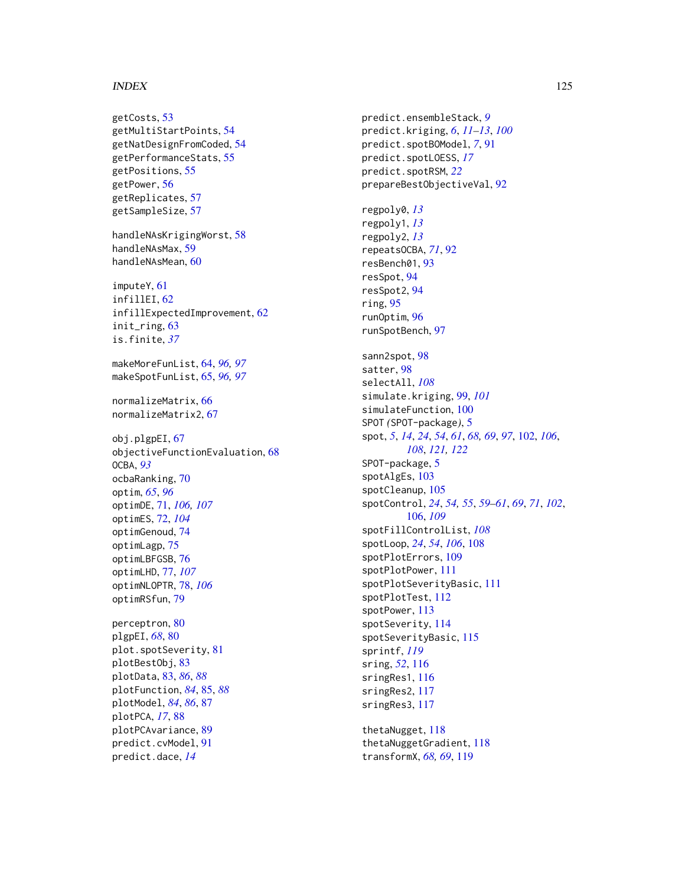#### INDEX 125

getCosts, [53](#page-52-0) getMultiStartPoints, [54](#page-53-0) getNatDesignFromCoded, [54](#page-53-0) getPerformanceStats, [55](#page-54-0) getPositions, [55](#page-54-0) getPower, [56](#page-55-0) getReplicates, [57](#page-56-0) getSampleSize, [57](#page-56-0)

handleNAsKrigingWorst, [58](#page-57-0) handleNAsMax, [59](#page-58-0) handleNAsMean, [60](#page-59-0)

imputeY, [61](#page-60-0) infillEI, [62](#page-61-0) infillExpectedImprovement, [62](#page-61-0) init\_ring, [63](#page-62-0) is.finite, *[37](#page-36-0)*

makeMoreFunList, [64,](#page-63-0) *[96,](#page-95-0) [97](#page-96-0)* makeSpotFunList, [65,](#page-64-0) *[96,](#page-95-0) [97](#page-96-0)*

normalizeMatrix, [66](#page-65-0) normalizeMatrix2, [67](#page-66-0)

obj.plgpEI, [67](#page-66-0) objectiveFunctionEvaluation, [68](#page-67-0) OCBA, *[93](#page-92-0)* ocbaRanking, [70](#page-69-0) optim, *[65](#page-64-0)*, *[96](#page-95-0)* optimDE, [71,](#page-70-0) *[106,](#page-105-1) [107](#page-106-0)* optimES, [72,](#page-71-0) *[104](#page-103-0)* optimGenoud, [74](#page-73-0) optimLagp, [75](#page-74-0) optimLBFGSB, [76](#page-75-0) optimLHD, [77,](#page-76-0) *[107](#page-106-0)* optimNLOPTR, [78,](#page-77-0) *[106](#page-105-1)* optimRSfun, [79](#page-78-0)

perceptron, [80](#page-79-0) plgpEI, *[68](#page-67-0)*, [80](#page-79-0) plot.spotSeverity, [81](#page-80-0) plotBestObj, [83](#page-82-0) plotData, [83,](#page-82-0) *[86](#page-85-0)*, *[88](#page-87-0)* plotFunction, *[84](#page-83-0)*, [85,](#page-84-0) *[88](#page-87-0)* plotModel, *[84](#page-83-0)*, *[86](#page-85-0)*, [87](#page-86-0) plotPCA, *[17](#page-16-0)*, [88](#page-87-0) plotPCAvariance, [89](#page-88-0) predict.cvModel, [91](#page-90-0) predict.dace, *[14](#page-13-0)*

predict.ensembleStack, *[9](#page-8-0)* predict.kriging, *[6](#page-5-0)*, *[11](#page-10-0)[–13](#page-12-0)*, *[100](#page-99-0)* predict.spotBOModel, *[7](#page-6-0)*, [91](#page-90-0) predict.spotLOESS, *[17](#page-16-0)* predict.spotRSM, *[22](#page-21-0)* prepareBestObjectiveVal, [92](#page-91-0) regpoly0, *[13](#page-12-0)* regpoly1, *[13](#page-12-0)* regpoly2, *[13](#page-12-0)* repeatsOCBA, *[71](#page-70-0)*, [92](#page-91-0) resBench01, [93](#page-92-0) resSpot, [94](#page-93-0) resSpot2, [94](#page-93-0) ring, [95](#page-94-0) runOptim, [96](#page-95-0) runSpotBench, [97](#page-96-0) sann2spot, [98](#page-97-0) satter, [98](#page-97-0) selectAll, *[108](#page-107-0)* simulate.kriging, [99,](#page-98-0) *[101](#page-100-0)* simulateFunction, [100](#page-99-0) SPOT *(*SPOT-package*)*, [5](#page-4-0) spot, *[5](#page-4-0)*, *[14](#page-13-0)*, *[24](#page-23-0)*, *[54](#page-53-0)*, *[61](#page-60-0)*, *[68,](#page-67-0) [69](#page-68-0)*, *[97](#page-96-0)*, [102,](#page-101-1) *[106](#page-105-1)*, *[108](#page-107-0)*, *[121,](#page-120-0) [122](#page-121-0)* SPOT-package, [5](#page-4-0) spotAlgEs, [103](#page-102-0) spotCleanup, [105](#page-104-0) spotControl, *[24](#page-23-0)*, *[54,](#page-53-0) [55](#page-54-0)*, *[59](#page-58-0)[–61](#page-60-0)*, *[69](#page-68-0)*, *[71](#page-70-0)*, *[102](#page-101-1)*, [106,](#page-105-1) *[109](#page-108-0)* spotFillControlList, *[108](#page-107-0)* spotLoop, *[24](#page-23-0)*, *[54](#page-53-0)*, *[106](#page-105-1)*, [108](#page-107-0) spotPlotErrors, [109](#page-108-0) spotPlotPower, [111](#page-110-0) spotPlotSeverityBasic, [111](#page-110-0) spotPlotTest, [112](#page-111-0) spotPower, [113](#page-112-0) spotSeverity, [114](#page-113-0) spotSeverityBasic, [115](#page-114-0) sprintf, *[119](#page-118-0)* sring, *[52](#page-51-0)*, [116](#page-115-0) sringRes1, [116](#page-115-0) sringRes2, [117](#page-116-0) sringRes3, [117](#page-116-0)

thetaNugget, [118](#page-117-0) thetaNuggetGradient, [118](#page-117-0) transformX, *[68,](#page-67-0) [69](#page-68-0)*, [119](#page-118-0)